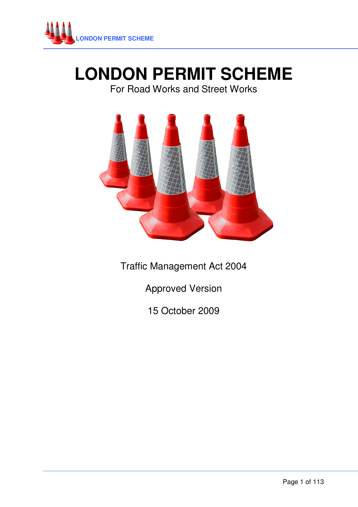

# **LONDON PERMIT SCHEME**

# For Road Works and Street Works



Traffic Management Act 2004

Approved Version

15 October 2009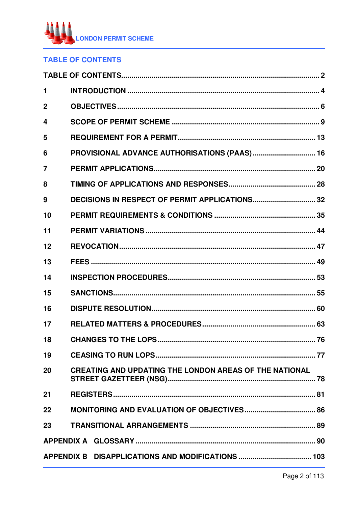

# **TABLE OF CONTENTS**

| 1              |                                                               |  |  |  |  |  |
|----------------|---------------------------------------------------------------|--|--|--|--|--|
| $\mathbf 2$    |                                                               |  |  |  |  |  |
| 4              |                                                               |  |  |  |  |  |
| 5              |                                                               |  |  |  |  |  |
| 6              | PROVISIONAL ADVANCE AUTHORISATIONS (PAAS) 16                  |  |  |  |  |  |
| $\overline{7}$ |                                                               |  |  |  |  |  |
| 8              |                                                               |  |  |  |  |  |
| 9              |                                                               |  |  |  |  |  |
| 10             |                                                               |  |  |  |  |  |
| 11             |                                                               |  |  |  |  |  |
| 12             |                                                               |  |  |  |  |  |
| 13             |                                                               |  |  |  |  |  |
| 14             |                                                               |  |  |  |  |  |
| 15             |                                                               |  |  |  |  |  |
| 16             |                                                               |  |  |  |  |  |
| 17             |                                                               |  |  |  |  |  |
| 18             |                                                               |  |  |  |  |  |
| 19             |                                                               |  |  |  |  |  |
| 20             | <b>CREATING AND UPDATING THE LONDON AREAS OF THE NATIONAL</b> |  |  |  |  |  |
| 21             |                                                               |  |  |  |  |  |
| 22             | <b>MONITORING AND EVALUATION OF OBJECTIVES 86</b>             |  |  |  |  |  |
| 23             |                                                               |  |  |  |  |  |
|                |                                                               |  |  |  |  |  |
|                |                                                               |  |  |  |  |  |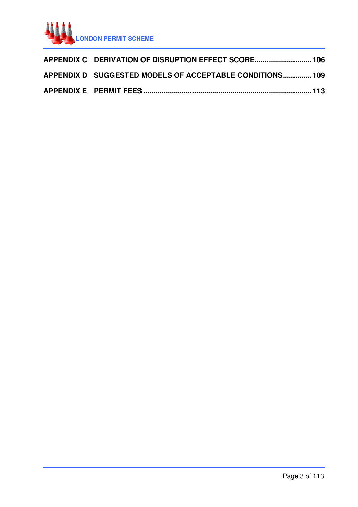

| APPENDIX C DERIVATION OF DISRUPTION EFFECT SCORE 106     |  |
|----------------------------------------------------------|--|
| APPENDIX D SUGGESTED MODELS OF ACCEPTABLE CONDITIONS 109 |  |
|                                                          |  |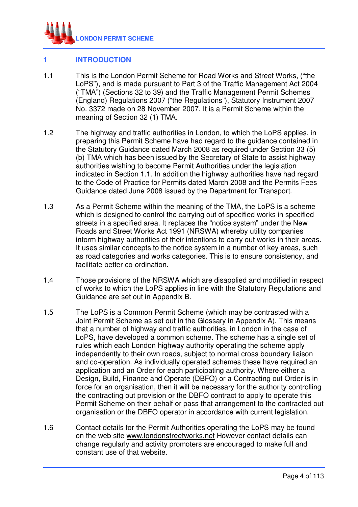

# **1 INTRODUCTION**

- 1.1 This is the London Permit Scheme for Road Works and Street Works, ("the LoPS"), and is made pursuant to Part 3 of the Traffic Management Act 2004 ("TMA") (Sections 32 to 39) and the Traffic Management Permit Schemes (England) Regulations 2007 ("the Regulations"), Statutory Instrument 2007 No. 3372 made on 28 November 2007. It is a Permit Scheme within the meaning of Section 32 (1) TMA.
- 1.2 The highway and traffic authorities in London, to which the LoPS applies, in preparing this Permit Scheme have had regard to the guidance contained in the Statutory Guidance dated March 2008 as required under Section 33 (5) (b) TMA which has been issued by the Secretary of State to assist highway authorities wishing to become Permit Authorities under the legislation indicated in Section 1.1. In addition the highway authorities have had regard to the Code of Practice for Permits dated March 2008 and the Permits Fees Guidance dated June 2008 issued by the Department for Transport.
- 1.3 As a Permit Scheme within the meaning of the TMA, the LoPS is a scheme which is designed to control the carrying out of specified works in specified streets in a specified area. It replaces the "notice system" under the New Roads and Street Works Act 1991 (NRSWA) whereby utility companies inform highway authorities of their intentions to carry out works in their areas. It uses similar concepts to the notice system in a number of key areas, such as road categories and works categories. This is to ensure consistency, and facilitate better co-ordination.
- 1.4 Those provisions of the NRSWA which are disapplied and modified in respect of works to which the LoPS applies in line with the Statutory Regulations and Guidance are set out in Appendix B.
- 1.5 The LoPS is a Common Permit Scheme (which may be contrasted with a Joint Permit Scheme as set out in the Glossary in Appendix A). This means that a number of highway and traffic authorities, in London in the case of LoPS, have developed a common scheme. The scheme has a single set of rules which each London highway authority operating the scheme apply independently to their own roads, subject to normal cross boundary liaison and co-operation. As individually operated schemes these have required an application and an Order for each participating authority. Where either a Design, Build, Finance and Operate (DBFO) or a Contracting out Order is in force for an organisation, then it will be necessary for the authority controlling the contracting out provision or the DBFO contract to apply to operate this Permit Scheme on their behalf or pass that arrangement to the contracted out organisation or the DBFO operator in accordance with current legislation.
- 1.6 Contact details for the Permit Authorities operating the LoPS may be found on the web site www.londonstreetworks.net However contact details can change regularly and activity promoters are encouraged to make full and constant use of that website.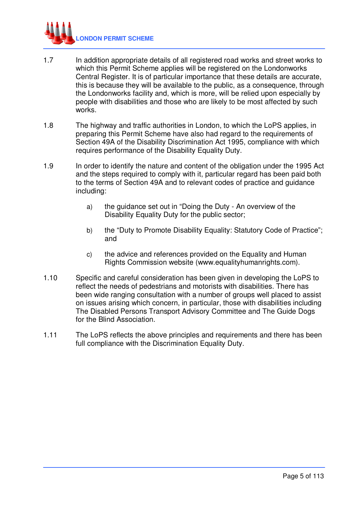

- 1.7 In addition appropriate details of all registered road works and street works to which this Permit Scheme applies will be registered on the Londonworks Central Register. It is of particular importance that these details are accurate, this is because they will be available to the public, as a consequence, through the Londonworks facility and, which is more, will be relied upon especially by people with disabilities and those who are likely to be most affected by such works.
- 1.8 The highway and traffic authorities in London, to which the LoPS applies, in preparing this Permit Scheme have also had regard to the requirements of Section 49A of the Disability Discrimination Act 1995, compliance with which requires performance of the Disability Equality Duty.
- 1.9 In order to identify the nature and content of the obligation under the 1995 Act and the steps required to comply with it, particular regard has been paid both to the terms of Section 49A and to relevant codes of practice and guidance including:
	- a) the guidance set out in "Doing the Duty An overview of the Disability Equality Duty for the public sector;
	- b) the "Duty to Promote Disability Equality: Statutory Code of Practice"; and
	- c) the advice and references provided on the Equality and Human Rights Commission website (www.equalityhumanrights.com).
- 1.10 Specific and careful consideration has been given in developing the LoPS to reflect the needs of pedestrians and motorists with disabilities. There has been wide ranging consultation with a number of groups well placed to assist on issues arising which concern, in particular, those with disabilities including The Disabled Persons Transport Advisory Committee and The Guide Dogs for the Blind Association.
- 1.11 The LoPS reflects the above principles and requirements and there has been full compliance with the Discrimination Equality Duty.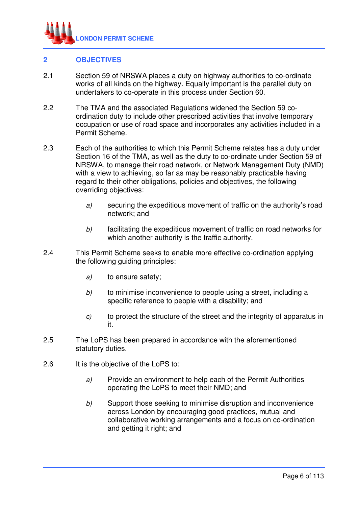

#### **2 OBJECTIVES**

- 2.1 Section 59 of NRSWA places a duty on highway authorities to co-ordinate works of all kinds on the highway. Equally important is the parallel duty on undertakers to co-operate in this process under Section 60.
- 2.2 The TMA and the associated Regulations widened the Section 59 coordination duty to include other prescribed activities that involve temporary occupation or use of road space and incorporates any activities included in a Permit Scheme.
- 2.3 Each of the authorities to which this Permit Scheme relates has a duty under Section 16 of the TMA, as well as the duty to co-ordinate under Section 59 of NRSWA, to manage their road network, or Network Management Duty (NMD) with a view to achieving, so far as may be reasonably practicable having regard to their other obligations, policies and objectives, the following overriding objectives:
	- a) securing the expeditious movement of traffic on the authority's road network; and
	- b) facilitating the expeditious movement of traffic on road networks for which another authority is the traffic authority.
- 2.4 This Permit Scheme seeks to enable more effective co-ordination applying the following guiding principles:
	- a) to ensure safety;
	- b) to minimise inconvenience to people using a street, including a specific reference to people with a disability; and
	- c) to protect the structure of the street and the integrity of apparatus in it.
- 2.5 The LoPS has been prepared in accordance with the aforementioned statutory duties.
- 2.6 It is the objective of the LoPS to:
	- a) Provide an environment to help each of the Permit Authorities operating the LoPS to meet their NMD; and
	- b) Support those seeking to minimise disruption and inconvenience across London by encouraging good practices, mutual and collaborative working arrangements and a focus on co-ordination and getting it right; and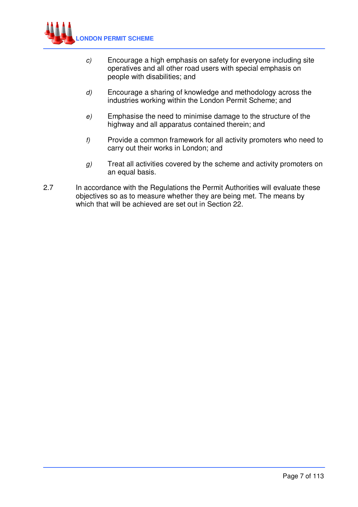

- c) Encourage a high emphasis on safety for everyone including site operatives and all other road users with special emphasis on people with disabilities; and
- d) Encourage a sharing of knowledge and methodology across the industries working within the London Permit Scheme; and
- e) Emphasise the need to minimise damage to the structure of the highway and all apparatus contained therein; and
- $f$  Provide a common framework for all activity promoters who need to carry out their works in London; and
- $g$ ) Treat all activities covered by the scheme and activity promoters on an equal basis.
- 2.7 In accordance with the Regulations the Permit Authorities will evaluate these objectives so as to measure whether they are being met. The means by which that will be achieved are set out in Section 22.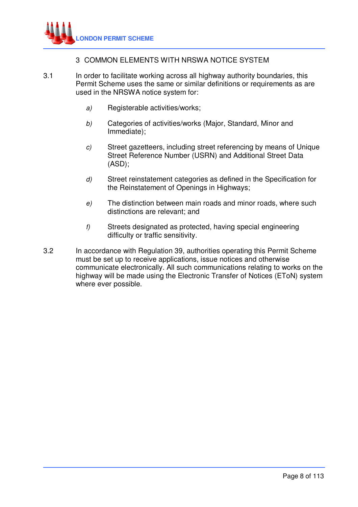#### 3 COMMON ELEMENTS WITH NRSWA NOTICE SYSTEM

- 3.1 In order to facilitate working across all highway authority boundaries, this Permit Scheme uses the same or similar definitions or requirements as are used in the NRSWA notice system for:
	- a) Registerable activities/works;
	- b) Categories of activities/works (Major, Standard, Minor and Immediate);
	- c) Street gazetteers, including street referencing by means of Unique Street Reference Number (USRN) and Additional Street Data (ASD);
	- d) Street reinstatement categories as defined in the Specification for the Reinstatement of Openings in Highways;
	- e) The distinction between main roads and minor roads, where such distinctions are relevant; and
	- f) Streets designated as protected, having special engineering difficulty or traffic sensitivity.
- 3.2 In accordance with Regulation 39, authorities operating this Permit Scheme must be set up to receive applications, issue notices and otherwise communicate electronically. All such communications relating to works on the highway will be made using the Electronic Transfer of Notices (EToN) system where ever possible.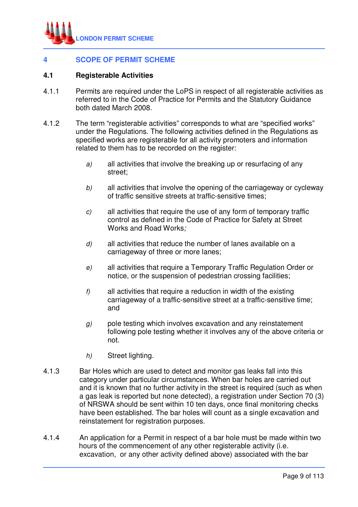

# **4 SCOPE OF PERMIT SCHEME**

#### **4.1 Registerable Activities**

- 4.1.1 Permits are required under the LoPS in respect of all registerable activities as referred to in the Code of Practice for Permits and the Statutory Guidance both dated March 2008.
- 4.1.2 The term "registerable activities" corresponds to what are "specified works" under the Regulations. The following activities defined in the Regulations as specified works are registerable for all activity promoters and information related to them has to be recorded on the register:
	- a) all activities that involve the breaking up or resurfacing of any street;
	- b) all activities that involve the opening of the carriageway or cycleway of traffic sensitive streets at traffic-sensitive times;
	- c) all activities that require the use of any form of temporary traffic control as defined in the Code of Practice for Safety at Street Works and Road Works;
	- $d$  all activities that reduce the number of lanes available on a carriageway of three or more lanes;
	- e) all activities that require a Temporary Traffic Regulation Order or notice, or the suspension of pedestrian crossing facilities;
	- $f$  all activities that require a reduction in width of the existing carriageway of a traffic-sensitive street at a traffic-sensitive time; and
	- $g$ ) pole testing which involves excavation and any reinstatement following pole testing whether it involves any of the above criteria or not.
	- h) Street lighting.
- 4.1.3 Bar Holes which are used to detect and monitor gas leaks fall into this category under particular circumstances. When bar holes are carried out and it is known that no further activity in the street is required (such as when a gas leak is reported but none detected), a registration under Section 70 (3) of NRSWA should be sent within 10 ten days, once final monitoring checks have been established. The bar holes will count as a single excavation and reinstatement for registration purposes.
- 4.1.4 An application for a Permit in respect of a bar hole must be made within two hours of the commencement of any other registerable activity (i.e. excavation, or any other activity defined above) associated with the bar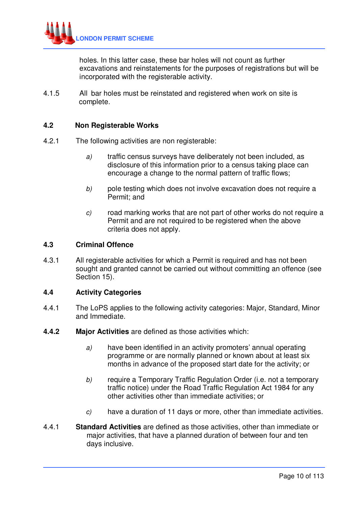

holes. In this latter case, these bar holes will not count as further excavations and reinstatements for the purposes of registrations but will be incorporated with the registerable activity.

4.1.5 All bar holes must be reinstated and registered when work on site is complete.

#### **4.2 Non Registerable Works**

- 4.2.1 The following activities are non registerable:
	- a) traffic census surveys have deliberately not been included, as disclosure of this information prior to a census taking place can encourage a change to the normal pattern of traffic flows;
	- b) pole testing which does not involve excavation does not require a Permit; and
	- c) road marking works that are not part of other works do not require a Permit and are not required to be registered when the above criteria does not apply.

#### **4.3 Criminal Offence**

4.3.1 All registerable activities for which a Permit is required and has not been sought and granted cannot be carried out without committing an offence (see Section 15).

#### **4.4 Activity Categories**

- 4.4.1 The LoPS applies to the following activity categories: Major, Standard, Minor and Immediate.
- **4.4.2 Major Activities** are defined as those activities which:
	- a) have been identified in an activity promoters' annual operating programme or are normally planned or known about at least six months in advance of the proposed start date for the activity; or
	- b) require a Temporary Traffic Regulation Order (i.e. not a temporary traffic notice) under the Road Traffic Regulation Act 1984 for any other activities other than immediate activities; or
	- c) have a duration of 11 days or more, other than immediate activities.
- 4.4.1 **Standard Activities** are defined as those activities, other than immediate or major activities, that have a planned duration of between four and ten days inclusive.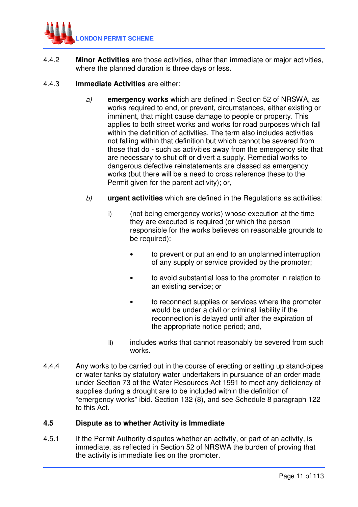

4.4.2 **Minor Activities** are those activities, other than immediate or major activities, where the planned duration is three days or less.

# 4.4.3 **Immediate Activities** are either:

- a) **emergency works** which are defined in Section 52 of NRSWA, as works required to end, or prevent, circumstances, either existing or imminent, that might cause damage to people or property. This applies to both street works and works for road purposes which fall within the definition of activities. The term also includes activities not falling within that definition but which cannot be severed from those that do - such as activities away from the emergency site that are necessary to shut off or divert a supply. Remedial works to dangerous defective reinstatements are classed as emergency works (but there will be a need to cross reference these to the Permit given for the parent activity); or,
- b) **urgent activities** which are defined in the Regulations as activities:
	- i) (not being emergency works) whose execution at the time they are executed is required (or which the person responsible for the works believes on reasonable grounds to be required):
		- to prevent or put an end to an unplanned interruption of any supply or service provided by the promoter;
		- to avoid substantial loss to the promoter in relation to an existing service; or
		- to reconnect supplies or services where the promoter would be under a civil or criminal liability if the reconnection is delayed until after the expiration of the appropriate notice period; and,
	- ii) includes works that cannot reasonably be severed from such works.
- 4.4.4 Any works to be carried out in the course of erecting or setting up stand-pipes or water tanks by statutory water undertakers in pursuance of an order made under Section 73 of the Water Resources Act 1991 to meet any deficiency of supplies during a drought are to be included within the definition of "emergency works" ibid. Section 132 (8), and see Schedule 8 paragraph 122 to this Act.

#### **4.5 Dispute as to whether Activity is Immediate**

4.5.1 If the Permit Authority disputes whether an activity, or part of an activity, is immediate, as reflected in Section 52 of NRSWA the burden of proving that the activity is immediate lies on the promoter.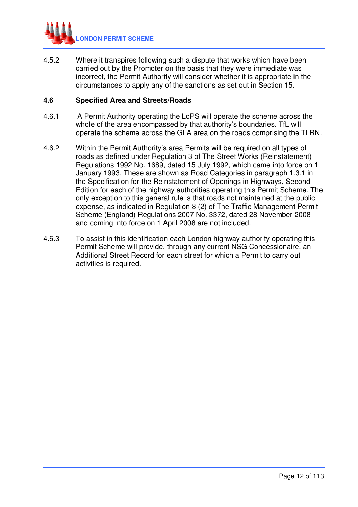

4.5.2 Where it transpires following such a dispute that works which have been carried out by the Promoter on the basis that they were immediate was incorrect, the Permit Authority will consider whether it is appropriate in the circumstances to apply any of the sanctions as set out in Section 15.

#### **4.6 Specified Area and Streets/Roads**

- 4.6.1 A Permit Authority operating the LoPS will operate the scheme across the whole of the area encompassed by that authority's boundaries. TfL will operate the scheme across the GLA area on the roads comprising the TLRN.
- 4.6.2 Within the Permit Authority's area Permits will be required on all types of roads as defined under Regulation 3 of The Street Works (Reinstatement) Regulations 1992 No. 1689, dated 15 July 1992, which came into force on 1 January 1993. These are shown as Road Categories in paragraph 1.3.1 in the Specification for the Reinstatement of Openings in Highways, Second Edition for each of the highway authorities operating this Permit Scheme. The only exception to this general rule is that roads not maintained at the public expense, as indicated in Regulation 8 (2) of The Traffic Management Permit Scheme (England) Regulations 2007 No. 3372, dated 28 November 2008 and coming into force on 1 April 2008 are not included.
- 4.6.3 To assist in this identification each London highway authority operating this Permit Scheme will provide, through any current NSG Concessionaire, an Additional Street Record for each street for which a Permit to carry out activities is required.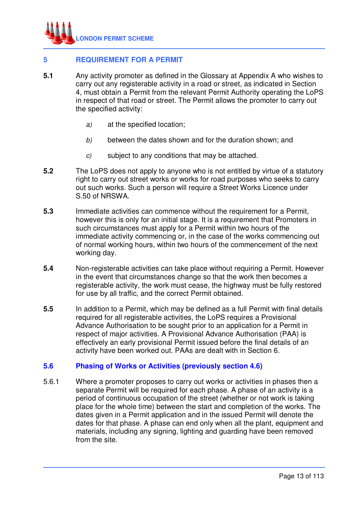

# **5 REQUIREMENT FOR A PERMIT**

- **5.1** Any activity promoter as defined in the Glossary at Appendix A who wishes to carry out any registerable activity in a road or street, as indicated in Section 4, must obtain a Permit from the relevant Permit Authority operating the LoPS in respect of that road or street. The Permit allows the promoter to carry out the specified activity:
	- a) at the specified location;
	- b) between the dates shown and for the duration shown; and
	- c) subject to any conditions that may be attached.
- **5.2** The LoPS does not apply to anyone who is not entitled by virtue of a statutory right to carry out street works or works for road purposes who seeks to carry out such works. Such a person will require a Street Works Licence under S.50 of NRSWA.
- **5.3** Immediate activities can commence without the requirement for a Permit, however this is only for an initial stage. It is a requirement that Promoters in such circumstances must apply for a Permit within two hours of the immediate activity commencing or, in the case of the works commencing out of normal working hours, within two hours of the commencement of the next working day.
- **5.4** Non-registerable activities can take place without requiring a Permit. However in the event that circumstances change so that the work then becomes a registerable activity, the work must cease, the highway must be fully restored for use by all traffic, and the correct Permit obtained.
- **5.5** In addition to a Permit, which may be defined as a full Permit with final details required for all registerable activities, the LoPS requires a Provisional Advance Authorisation to be sought prior to an application for a Permit in respect of major activities. A Provisional Advance Authorisation (PAA) is effectively an early provisional Permit issued before the final details of an activity have been worked out. PAAs are dealt with in Section 6.

#### **5.6 Phasing of Works or Activities (previously section 4.6)**

5.6.1 Where a promoter proposes to carry out works or activities in phases then a separate Permit will be required for each phase. A phase of an activity is a period of continuous occupation of the street (whether or not work is taking place for the whole time) between the start and completion of the works. The dates given in a Permit application and in the issued Permit will denote the dates for that phase. A phase can end only when all the plant, equipment and materials, including any signing, lighting and guarding have been removed from the site.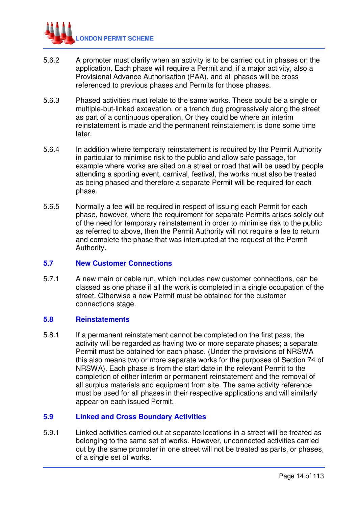

- 5.6.2 A promoter must clarify when an activity is to be carried out in phases on the application. Each phase will require a Permit and, if a major activity, also a Provisional Advance Authorisation (PAA), and all phases will be cross referenced to previous phases and Permits for those phases.
- 5.6.3 Phased activities must relate to the same works. These could be a single or multiple-but-linked excavation, or a trench dug progressively along the street as part of a continuous operation. Or they could be where an interim reinstatement is made and the permanent reinstatement is done some time later.
- 5.6.4 In addition where temporary reinstatement is required by the Permit Authority in particular to minimise risk to the public and allow safe passage, for example where works are sited on a street or road that will be used by people attending a sporting event, carnival, festival, the works must also be treated as being phased and therefore a separate Permit will be required for each phase.
- 5.6.5 Normally a fee will be required in respect of issuing each Permit for each phase, however, where the requirement for separate Permits arises solely out of the need for temporary reinstatement in order to minimise risk to the public as referred to above, then the Permit Authority will not require a fee to return and complete the phase that was interrupted at the request of the Permit Authority.

#### **5.7 New Customer Connections**

5.7.1 A new main or cable run, which includes new customer connections, can be classed as one phase if all the work is completed in a single occupation of the street. Otherwise a new Permit must be obtained for the customer connections stage.

#### **5.8 Reinstatements**

5.8.1 If a permanent reinstatement cannot be completed on the first pass, the activity will be regarded as having two or more separate phases; a separate Permit must be obtained for each phase. (Under the provisions of NRSWA this also means two or more separate works for the purposes of Section 74 of NRSWA). Each phase is from the start date in the relevant Permit to the completion of either interim or permanent reinstatement and the removal of all surplus materials and equipment from site. The same activity reference must be used for all phases in their respective applications and will similarly appear on each issued Permit.

# **5.9 Linked and Cross Boundary Activities**

5.9.1 Linked activities carried out at separate locations in a street will be treated as belonging to the same set of works. However, unconnected activities carried out by the same promoter in one street will not be treated as parts, or phases, of a single set of works.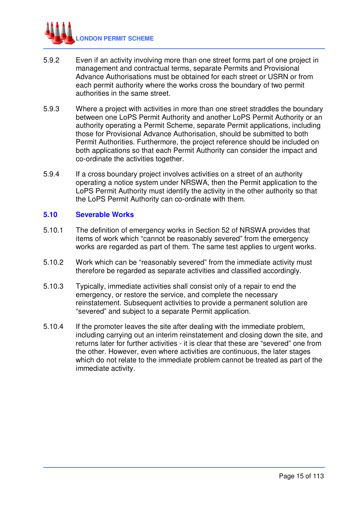

- 5.9.2 Even if an activity involving more than one street forms part of one project in management and contractual terms, separate Permits and Provisional Advance Authorisations must be obtained for each street or USRN or from each permit authority where the works cross the boundary of two permit authorities in the same street.
- 5.9.3 Where a project with activities in more than one street straddles the boundary between one LoPS Permit Authority and another LoPS Permit Authority or an authority operating a Permit Scheme, separate Permit applications, including those for Provisional Advance Authorisation, should be submitted to both Permit Authorities. Furthermore, the project reference should be included on both applications so that each Permit Authority can consider the impact and co-ordinate the activities together.
- 5.9.4 If a cross boundary project involves activities on a street of an authority operating a notice system under NRSWA, then the Permit application to the LoPS Permit Authority must identify the activity in the other authority so that the LoPS Permit Authority can co-ordinate with them.

#### **5.10 Severable Works**

- 5.10.1 The definition of emergency works in Section 52 of NRSWA provides that items of work which "cannot be reasonably severed" from the emergency works are regarded as part of them. The same test applies to urgent works.
- 5.10.2 Work which can be "reasonably severed" from the immediate activity must therefore be regarded as separate activities and classified accordingly.
- 5.10.3 Typically, immediate activities shall consist only of a repair to end the emergency, or restore the service, and complete the necessary reinstatement. Subsequent activities to provide a permanent solution are "severed" and subject to a separate Permit application.
- 5.10.4 If the promoter leaves the site after dealing with the immediate problem, including carrying out an interim reinstatement and closing down the site, and returns later for further activities - it is clear that these are "severed" one from the other. However, even where activities are continuous, the later stages which do not relate to the immediate problem cannot be treated as part of the immediate activity.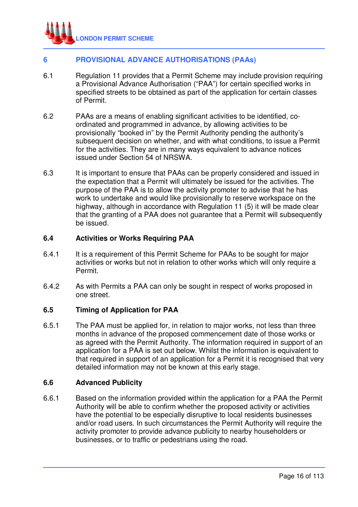

# **6 PROVISIONAL ADVANCE AUTHORISATIONS (PAAs)**

- 6.1 Regulation 11 provides that a Permit Scheme may include provision requiring a Provisional Advance Authorisation ("PAA") for certain specified works in specified streets to be obtained as part of the application for certain classes of Permit.
- 6.2 PAAs are a means of enabling significant activities to be identified, coordinated and programmed in advance, by allowing activities to be provisionally "booked in" by the Permit Authority pending the authority's subsequent decision on whether, and with what conditions, to issue a Permit for the activities. They are in many ways equivalent to advance notices issued under Section 54 of NRSWA.
- 6.3 It is important to ensure that PAAs can be properly considered and issued in the expectation that a Permit will ultimately be issued for the activities. The purpose of the PAA is to allow the activity promoter to advise that he has work to undertake and would like provisionally to reserve workspace on the highway, although in accordance with Regulation 11 (5) it will be made clear that the granting of a PAA does not guarantee that a Permit will subsequently be issued.

#### **6.4 Activities or Works Requiring PAA**

- 6.4.1 It is a requirement of this Permit Scheme for PAAs to be sought for major activities or works but not in relation to other works which will only require a Permit.
- 6.4.2 As with Permits a PAA can only be sought in respect of works proposed in one street.

#### **6.5 Timing of Application for PAA**

6.5.1 The PAA must be applied for, in relation to major works, not less than three months in advance of the proposed commencement date of those works or as agreed with the Permit Authority. The information required in support of an application for a PAA is set out below. Whilst the information is equivalent to that required in support of an application for a Permit it is recognised that very detailed information may not be known at this early stage.

#### **6.6 Advanced Publicity**

6.6.1 Based on the information provided within the application for a PAA the Permit Authority will be able to confirm whether the proposed activity or activities have the potential to be especially disruptive to local residents businesses and/or road users. In such circumstances the Permit Authority will require the activity promoter to provide advance publicity to nearby householders or businesses, or to traffic or pedestrians using the road.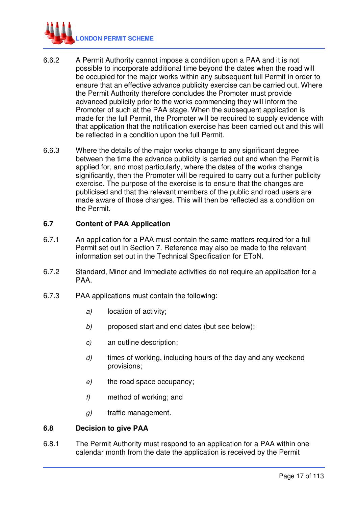

- 6.6.2 A Permit Authority cannot impose a condition upon a PAA and it is not possible to incorporate additional time beyond the dates when the road will be occupied for the major works within any subsequent full Permit in order to ensure that an effective advance publicity exercise can be carried out. Where the Permit Authority therefore concludes the Promoter must provide advanced publicity prior to the works commencing they will inform the Promoter of such at the PAA stage. When the subsequent application is made for the full Permit, the Promoter will be required to supply evidence with that application that the notification exercise has been carried out and this will be reflected in a condition upon the full Permit.
- 6.6.3 Where the details of the major works change to any significant degree between the time the advance publicity is carried out and when the Permit is applied for, and most particularly, where the dates of the works change significantly, then the Promoter will be required to carry out a further publicity exercise. The purpose of the exercise is to ensure that the changes are publicised and that the relevant members of the public and road users are made aware of those changes. This will then be reflected as a condition on the Permit.

#### **6.7 Content of PAA Application**

- 6.7.1 An application for a PAA must contain the same matters required for a full Permit set out in Section 7. Reference may also be made to the relevant information set out in the Technical Specification for EToN.
- 6.7.2 Standard, Minor and Immediate activities do not require an application for a PAA.
- 6.7.3 PAA applications must contain the following:
	- a) location of activity;
	- b) proposed start and end dates (but see below);
	- c) an outline description;
	- d) times of working, including hours of the day and any weekend provisions;
	- e) the road space occupancy;
	- f) method of working; and
	- g) traffic management.

#### **6.8 Decision to give PAA**

6.8.1 The Permit Authority must respond to an application for a PAA within one calendar month from the date the application is received by the Permit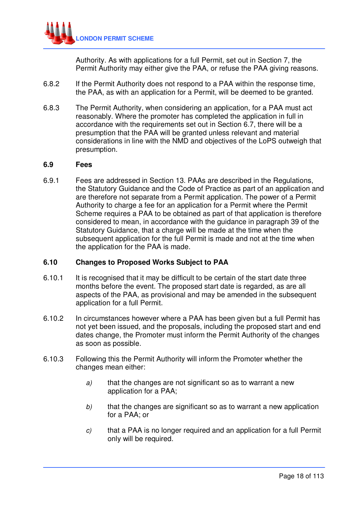Authority. As with applications for a full Permit, set out in Section 7, the Permit Authority may either give the PAA, or refuse the PAA giving reasons.

- 6.8.2 If the Permit Authority does not respond to a PAA within the response time, the PAA, as with an application for a Permit, will be deemed to be granted.
- 6.8.3 The Permit Authority, when considering an application, for a PAA must act reasonably. Where the promoter has completed the application in full in accordance with the requirements set out in Section 6.7, there will be a presumption that the PAA will be granted unless relevant and material considerations in line with the NMD and objectives of the LoPS outweigh that presumption.

#### **6.9 Fees**

6.9.1 Fees are addressed in Section 13. PAAs are described in the Regulations, the Statutory Guidance and the Code of Practice as part of an application and are therefore not separate from a Permit application. The power of a Permit Authority to charge a fee for an application for a Permit where the Permit Scheme requires a PAA to be obtained as part of that application is therefore considered to mean, in accordance with the guidance in paragraph 39 of the Statutory Guidance, that a charge will be made at the time when the subsequent application for the full Permit is made and not at the time when the application for the PAA is made.

# **6.10 Changes to Proposed Works Subject to PAA**

- 6.10.1 It is recognised that it may be difficult to be certain of the start date three months before the event. The proposed start date is regarded, as are all aspects of the PAA, as provisional and may be amended in the subsequent application for a full Permit.
- 6.10.2 In circumstances however where a PAA has been given but a full Permit has not yet been issued, and the proposals, including the proposed start and end dates change, the Promoter must inform the Permit Authority of the changes as soon as possible.
- 6.10.3 Following this the Permit Authority will inform the Promoter whether the changes mean either:
	- $a$ ) that the changes are not significant so as to warrant a new application for a PAA;
	- $b$  that the changes are significant so as to warrant a new application for a PAA; or
	- c) that a PAA is no longer required and an application for a full Permit only will be required.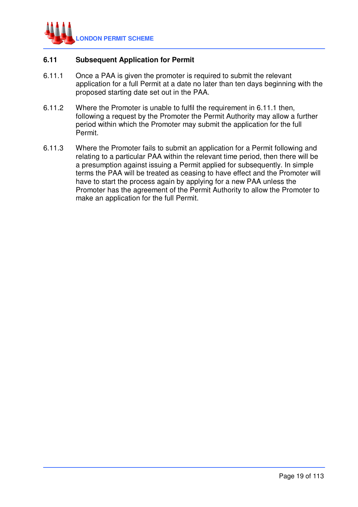

### **6.11 Subsequent Application for Permit**

- 6.11.1 Once a PAA is given the promoter is required to submit the relevant application for a full Permit at a date no later than ten days beginning with the proposed starting date set out in the PAA.
- 6.11.2 Where the Promoter is unable to fulfil the requirement in 6.11.1 then, following a request by the Promoter the Permit Authority may allow a further period within which the Promoter may submit the application for the full Permit.
- 6.11.3 Where the Promoter fails to submit an application for a Permit following and relating to a particular PAA within the relevant time period, then there will be a presumption against issuing a Permit applied for subsequently. In simple terms the PAA will be treated as ceasing to have effect and the Promoter will have to start the process again by applying for a new PAA unless the Promoter has the agreement of the Permit Authority to allow the Promoter to make an application for the full Permit.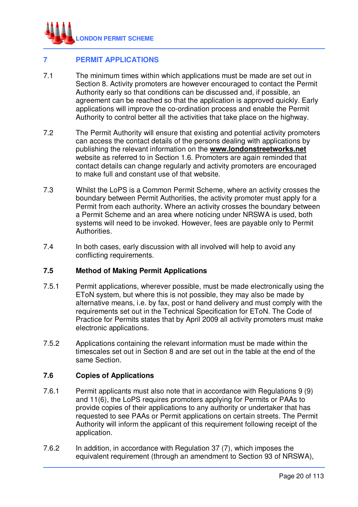

# **7 PERMIT APPLICATIONS**

- 7.1 The minimum times within which applications must be made are set out in Section 8. Activity promoters are however encouraged to contact the Permit Authority early so that conditions can be discussed and, if possible, an agreement can be reached so that the application is approved quickly. Early applications will improve the co-ordination process and enable the Permit Authority to control better all the activities that take place on the highway.
- 7.2 The Permit Authority will ensure that existing and potential activity promoters can access the contact details of the persons dealing with applications by publishing the relevant information on the **www.londonstreetworks.net** website as referred to in Section 1.6. Promoters are again reminded that contact details can change regularly and activity promoters are encouraged to make full and constant use of that website.
- 7.3 Whilst the LoPS is a Common Permit Scheme, where an activity crosses the boundary between Permit Authorities, the activity promoter must apply for a Permit from each authority. Where an activity crosses the boundary between a Permit Scheme and an area where noticing under NRSWA is used, both systems will need to be invoked. However, fees are payable only to Permit Authorities.
- 7.4 In both cases, early discussion with all involved will help to avoid any conflicting requirements.

#### **7.5 Method of Making Permit Applications**

- 7.5.1 Permit applications, wherever possible, must be made electronically using the EToN system, but where this is not possible, they may also be made by alternative means, i.e. by fax, post or hand delivery and must comply with the requirements set out in the Technical Specification for EToN. The Code of Practice for Permits states that by April 2009 all activity promoters must make electronic applications.
- 7.5.2 Applications containing the relevant information must be made within the timescales set out in Section 8 and are set out in the table at the end of the same Section.

#### **7.6 Copies of Applications**

- 7.6.1 Permit applicants must also note that in accordance with Regulations 9 (9) and 11(6), the LoPS requires promoters applying for Permits or PAAs to provide copies of their applications to any authority or undertaker that has requested to see PAAs or Permit applications on certain streets. The Permit Authority will inform the applicant of this requirement following receipt of the application.
- 7.6.2 In addition, in accordance with Regulation 37 (7), which imposes the equivalent requirement (through an amendment to Section 93 of NRSWA),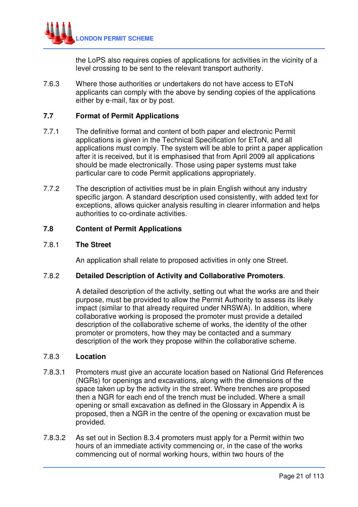

the LoPS also requires copies of applications for activities in the vicinity of a level crossing to be sent to the relevant transport authority.

7.6.3 Where those authorities or undertakers do not have access to EToN applicants can comply with the above by sending copies of the applications either by e-mail, fax or by post.

#### **7.7 Format of Permit Applications**

- 7.7.1 The definitive format and content of both paper and electronic Permit applications is given in the Technical Specification for EToN, and all applications must comply. The system will be able to print a paper application after it is received, but it is emphasised that from April 2009 all applications should be made electronically. Those using paper systems must take particular care to code Permit applications appropriately.
- 7.7.2 The description of activities must be in plain English without any industry specific jargon. A standard description used consistently, with added text for exceptions, allows quicker analysis resulting in clearer information and helps authorities to co-ordinate activities.

#### **7.8 Content of Permit Applications**

#### 7.8.1 **The Street**

An application shall relate to proposed activities in only one Street.

#### 7.8.2 **Detailed Description of Activity and Collaborative Promoters**.

 A detailed description of the activity, setting out what the works are and their purpose, must be provided to allow the Permit Authority to assess its likely impact (similar to that already required under NRSWA). In addition, where collaborative working is proposed the promoter must provide a detailed description of the collaborative scheme of works, the identity of the other promoter or promoters, how they may be contacted and a summary description of the work they propose within the collaborative scheme.

#### 7.8.3 **Location**

- 7.8.3.1 Promoters must give an accurate location based on National Grid References (NGRs) for openings and excavations, along with the dimensions of the space taken up by the activity in the street. Where trenches are proposed then a NGR for each end of the trench must be included. Where a small opening or small excavation as defined in the Glossary in Appendix A is proposed, then a NGR in the centre of the opening or excavation must be provided.
- 7.8.3.2 As set out in Section 8.3.4 promoters must apply for a Permit within two hours of an immediate activity commencing or, in the case of the works commencing out of normal working hours, within two hours of the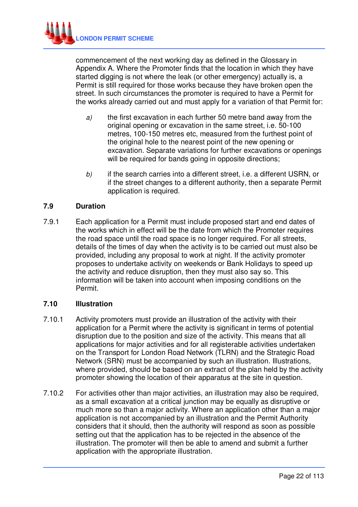

commencement of the next working day as defined in the Glossary in Appendix A. Where the Promoter finds that the location in which they have started digging is not where the leak (or other emergency) actually is, a Permit is still required for those works because they have broken open the street. In such circumstances the promoter is required to have a Permit for the works already carried out and must apply for a variation of that Permit for:

- a) the first excavation in each further 50 metre band away from the original opening or excavation in the same street, i.e. 50-100 metres, 100-150 metres etc, measured from the furthest point of the original hole to the nearest point of the new opening or excavation. Separate variations for further excavations or openings will be required for bands going in opposite directions;
- b) if the search carries into a different street, i.e. a different USRN, or if the street changes to a different authority, then a separate Permit application is required.

# **7.9 Duration**

7.9.1 Each application for a Permit must include proposed start and end dates of the works which in effect will be the date from which the Promoter requires the road space until the road space is no longer required. For all streets, details of the times of day when the activity is to be carried out must also be provided, including any proposal to work at night. If the activity promoter proposes to undertake activity on weekends or Bank Holidays to speed up the activity and reduce disruption, then they must also say so. This information will be taken into account when imposing conditions on the Permit.

#### **7.10 Illustration**

- 7.10.1 Activity promoters must provide an illustration of the activity with their application for a Permit where the activity is significant in terms of potential disruption due to the position and size of the activity. This means that all applications for major activities and for all registerable activities undertaken on the Transport for London Road Network (TLRN) and the Strategic Road Network (SRN) must be accompanied by such an illustration. Illustrations, where provided, should be based on an extract of the plan held by the activity promoter showing the location of their apparatus at the site in question.
- 7.10.2 For activities other than major activities, an illustration may also be required, as a small excavation at a critical junction may be equally as disruptive or much more so than a major activity. Where an application other than a major application is not accompanied by an illustration and the Permit Authority considers that it should, then the authority will respond as soon as possible setting out that the application has to be rejected in the absence of the illustration. The promoter will then be able to amend and submit a further application with the appropriate illustration.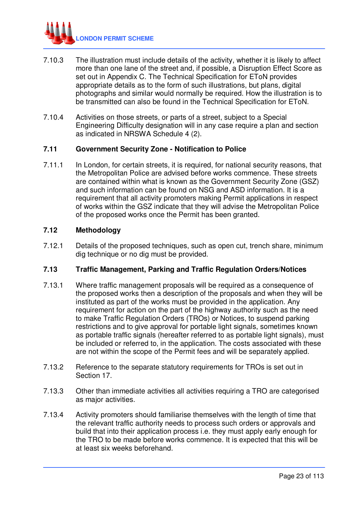

- 7.10.3 The illustration must include details of the activity, whether it is likely to affect more than one lane of the street and, if possible, a Disruption Effect Score as set out in Appendix C. The Technical Specification for EToN provides appropriate details as to the form of such illustrations, but plans, digital photographs and similar would normally be required. How the illustration is to be transmitted can also be found in the Technical Specification for EToN.
- 7.10.4 Activities on those streets, or parts of a street, subject to a Special Engineering Difficulty designation will in any case require a plan and section as indicated in NRSWA Schedule 4 (2).

#### **7.11 Government Security Zone - Notification to Police**

7.11.1 In London, for certain streets, it is required, for national security reasons, that the Metropolitan Police are advised before works commence. These streets are contained within what is known as the Government Security Zone (GSZ) and such information can be found on NSG and ASD information. It is a requirement that all activity promoters making Permit applications in respect of works within the GSZ indicate that they will advise the Metropolitan Police of the proposed works once the Permit has been granted.

#### **7.12 Methodology**

7.12.1 Details of the proposed techniques, such as open cut, trench share, minimum dig technique or no dig must be provided.

#### **7.13 Traffic Management, Parking and Traffic Regulation Orders/Notices**

- 7.13.1 Where traffic management proposals will be required as a consequence of the proposed works then a description of the proposals and when they will be instituted as part of the works must be provided in the application. Any requirement for action on the part of the highway authority such as the need to make Traffic Regulation Orders (TROs) or Notices, to suspend parking restrictions and to give approval for portable light signals, sometimes known as portable traffic signals (hereafter referred to as portable light signals), must be included or referred to, in the application. The costs associated with these are not within the scope of the Permit fees and will be separately applied.
- 7.13.2 Reference to the separate statutory requirements for TROs is set out in Section 17.
- 7.13.3 Other than immediate activities all activities requiring a TRO are categorised as major activities.
- 7.13.4 Activity promoters should familiarise themselves with the length of time that the relevant traffic authority needs to process such orders or approvals and build that into their application process i.e. they must apply early enough for the TRO to be made before works commence. It is expected that this will be at least six weeks beforehand.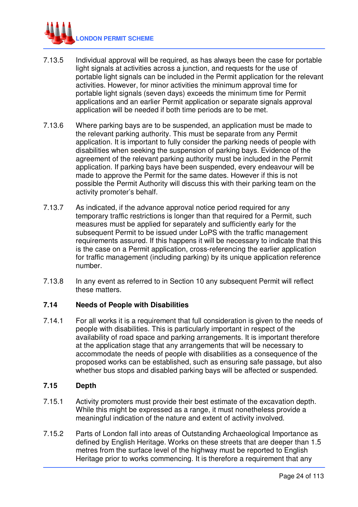

- 7.13.5 Individual approval will be required, as has always been the case for portable light signals at activities across a junction, and requests for the use of portable light signals can be included in the Permit application for the relevant activities. However, for minor activities the minimum approval time for portable light signals (seven days) exceeds the minimum time for Permit applications and an earlier Permit application or separate signals approval application will be needed if both time periods are to be met.
- 7.13.6 Where parking bays are to be suspended, an application must be made to the relevant parking authority. This must be separate from any Permit application. It is important to fully consider the parking needs of people with disabilities when seeking the suspension of parking bays. Evidence of the agreement of the relevant parking authority must be included in the Permit application. If parking bays have been suspended, every endeavour will be made to approve the Permit for the same dates. However if this is not possible the Permit Authority will discuss this with their parking team on the activity promoter's behalf.
- 7.13.7 As indicated, if the advance approval notice period required for any temporary traffic restrictions is longer than that required for a Permit, such measures must be applied for separately and sufficiently early for the subsequent Permit to be issued under LoPS with the traffic management requirements assured. If this happens it will be necessary to indicate that this is the case on a Permit application, cross-referencing the earlier application for traffic management (including parking) by its unique application reference number.
- 7.13.8 In any event as referred to in Section 10 any subsequent Permit will reflect these matters.

#### **7.14 Needs of People with Disabilities**

7.14.1 For all works it is a requirement that full consideration is given to the needs of people with disabilities. This is particularly important in respect of the availability of road space and parking arrangements. It is important therefore at the application stage that any arrangements that will be necessary to accommodate the needs of people with disabilities as a consequence of the proposed works can be established, such as ensuring safe passage, but also whether bus stops and disabled parking bays will be affected or suspended.

#### **7.15 Depth**

- 7.15.1 Activity promoters must provide their best estimate of the excavation depth. While this might be expressed as a range, it must nonetheless provide a meaningful indication of the nature and extent of activity involved.
- 7.15.2 Parts of London fall into areas of Outstanding Archaeological Importance as defined by English Heritage. Works on these streets that are deeper than 1.5 metres from the surface level of the highway must be reported to English Heritage prior to works commencing. It is therefore a requirement that any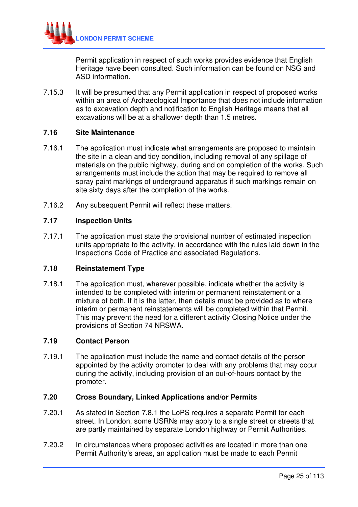

Permit application in respect of such works provides evidence that English Heritage have been consulted. Such information can be found on NSG and ASD information.

7.15.3 It will be presumed that any Permit application in respect of proposed works within an area of Archaeological Importance that does not include information as to excavation depth and notification to English Heritage means that all excavations will be at a shallower depth than 1.5 metres.

#### **7.16 Site Maintenance**

- 7.16.1 The application must indicate what arrangements are proposed to maintain the site in a clean and tidy condition, including removal of any spillage of materials on the public highway, during and on completion of the works. Such arrangements must include the action that may be required to remove all spray paint markings of underground apparatus if such markings remain on site sixty days after the completion of the works.
- 7.16.2 Any subsequent Permit will reflect these matters.

#### **7.17 Inspection Units**

7.17.1 The application must state the provisional number of estimated inspection units appropriate to the activity, in accordance with the rules laid down in the Inspections Code of Practice and associated Regulations.

#### **7.18 Reinstatement Type**

7.18.1 The application must, wherever possible, indicate whether the activity is intended to be completed with interim or permanent reinstatement or a mixture of both. If it is the latter, then details must be provided as to where interim or permanent reinstatements will be completed within that Permit. This may prevent the need for a different activity Closing Notice under the provisions of Section 74 NRSWA.

#### **7.19 Contact Person**

7.19.1 The application must include the name and contact details of the person appointed by the activity promoter to deal with any problems that may occur during the activity, including provision of an out-of-hours contact by the promoter.

#### **7.20 Cross Boundary, Linked Applications and/or Permits**

- 7.20.1 As stated in Section 7.8.1 the LoPS requires a separate Permit for each street. In London, some USRNs may apply to a single street or streets that are partly maintained by separate London highway or Permit Authorities.
- 7.20.2 In circumstances where proposed activities are located in more than one Permit Authority's areas, an application must be made to each Permit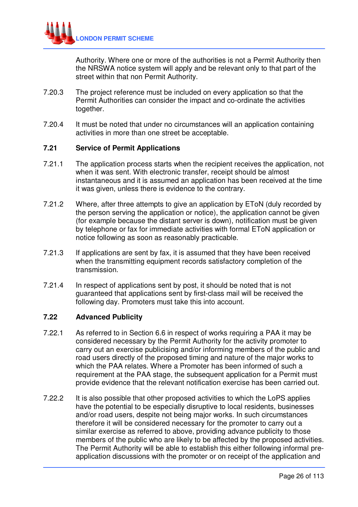

Authority. Where one or more of the authorities is not a Permit Authority then the NRSWA notice system will apply and be relevant only to that part of the street within that non Permit Authority.

- 7.20.3 The project reference must be included on every application so that the Permit Authorities can consider the impact and co-ordinate the activities together.
- 7.20.4 It must be noted that under no circumstances will an application containing activities in more than one street be acceptable.

#### **7.21 Service of Permit Applications**

- 7.21.1 The application process starts when the recipient receives the application, not when it was sent. With electronic transfer, receipt should be almost instantaneous and it is assumed an application has been received at the time it was given, unless there is evidence to the contrary.
- 7.21.2 Where, after three attempts to give an application by EToN (duly recorded by the person serving the application or notice), the application cannot be given (for example because the distant server is down), notification must be given by telephone or fax for immediate activities with formal EToN application or notice following as soon as reasonably practicable.
- 7.21.3 If applications are sent by fax, it is assumed that they have been received when the transmitting equipment records satisfactory completion of the transmission.
- 7.21.4 In respect of applications sent by post, it should be noted that is not guaranteed that applications sent by first-class mail will be received the following day. Promoters must take this into account.

#### **7.22 Advanced Publicity**

- 7.22.1 As referred to in Section 6.6 in respect of works requiring a PAA it may be considered necessary by the Permit Authority for the activity promoter to carry out an exercise publicising and/or informing members of the public and road users directly of the proposed timing and nature of the major works to which the PAA relates. Where a Promoter has been informed of such a requirement at the PAA stage, the subsequent application for a Permit must provide evidence that the relevant notification exercise has been carried out.
- 7.22.2 It is also possible that other proposed activities to which the LoPS applies have the potential to be especially disruptive to local residents, businesses and/or road users, despite not being major works. In such circumstances therefore it will be considered necessary for the promoter to carry out a similar exercise as referred to above, providing advance publicity to those members of the public who are likely to be affected by the proposed activities. The Permit Authority will be able to establish this either following informal preapplication discussions with the promoter or on receipt of the application and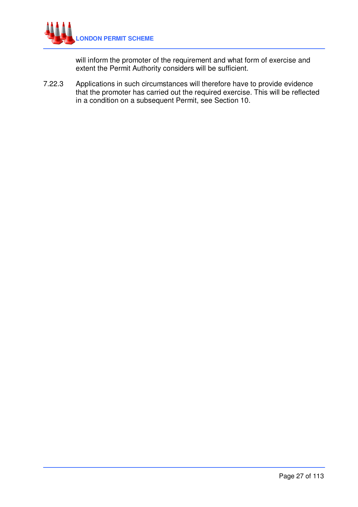

will inform the promoter of the requirement and what form of exercise and extent the Permit Authority considers will be sufficient.

7.22.3 Applications in such circumstances will therefore have to provide evidence that the promoter has carried out the required exercise. This will be reflected in a condition on a subsequent Permit, see Section 10.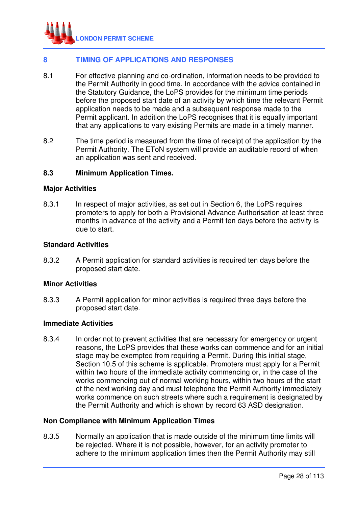

# **8 TIMING OF APPLICATIONS AND RESPONSES**

- 8.1 For effective planning and co-ordination, information needs to be provided to the Permit Authority in good time. In accordance with the advice contained in the Statutory Guidance, the LoPS provides for the minimum time periods before the proposed start date of an activity by which time the relevant Permit application needs to be made and a subsequent response made to the Permit applicant. In addition the LoPS recognises that it is equally important that any applications to vary existing Permits are made in a timely manner.
- 8.2 The time period is measured from the time of receipt of the application by the Permit Authority. The EToN system will provide an auditable record of when an application was sent and received.

#### **8.3 Minimum Application Times.**

#### **Major Activities**

8.3.1 In respect of major activities, as set out in Section 6, the LoPS requires promoters to apply for both a Provisional Advance Authorisation at least three months in advance of the activity and a Permit ten days before the activity is due to start.

#### **Standard Activities**

8.3.2 A Permit application for standard activities is required ten days before the proposed start date.

#### **Minor Activities**

8.3.3 A Permit application for minor activities is required three days before the proposed start date.

#### **Immediate Activities**

8.3.4 In order not to prevent activities that are necessary for emergency or urgent reasons, the LoPS provides that these works can commence and for an initial stage may be exempted from requiring a Permit. During this initial stage, Section 10.5 of this scheme is applicable. Promoters must apply for a Permit within two hours of the immediate activity commencing or, in the case of the works commencing out of normal working hours, within two hours of the start of the next working day and must telephone the Permit Authority immediately works commence on such streets where such a requirement is designated by the Permit Authority and which is shown by record 63 ASD designation.

#### **Non Compliance with Minimum Application Times**

8.3.5 Normally an application that is made outside of the minimum time limits will be rejected. Where it is not possible, however, for an activity promoter to adhere to the minimum application times then the Permit Authority may still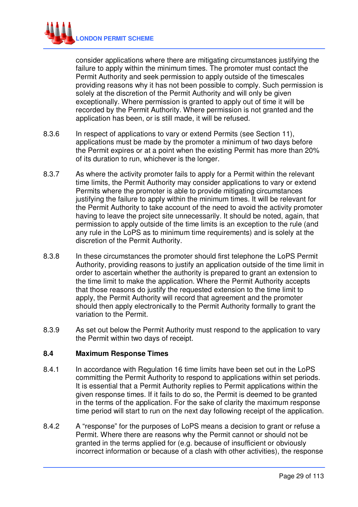

consider applications where there are mitigating circumstances justifying the failure to apply within the minimum times. The promoter must contact the Permit Authority and seek permission to apply outside of the timescales providing reasons why it has not been possible to comply. Such permission is solely at the discretion of the Permit Authority and will only be given exceptionally. Where permission is granted to apply out of time it will be recorded by the Permit Authority. Where permission is not granted and the application has been, or is still made, it will be refused.

- 8.3.6 In respect of applications to vary or extend Permits (see Section 11), applications must be made by the promoter a minimum of two days before the Permit expires or at a point when the existing Permit has more than 20% of its duration to run, whichever is the longer.
- 8.3.7 As where the activity promoter fails to apply for a Permit within the relevant time limits, the Permit Authority may consider applications to vary or extend Permits where the promoter is able to provide mitigating circumstances justifying the failure to apply within the minimum times. It will be relevant for the Permit Authority to take account of the need to avoid the activity promoter having to leave the project site unnecessarily. It should be noted, again, that permission to apply outside of the time limits is an exception to the rule (and any rule in the LoPS as to minimum time requirements) and is solely at the discretion of the Permit Authority.
- 8.3.8 In these circumstances the promoter should first telephone the LoPS Permit Authority, providing reasons to justify an application outside of the time limit in order to ascertain whether the authority is prepared to grant an extension to the time limit to make the application. Where the Permit Authority accepts that those reasons do justify the requested extension to the time limit to apply, the Permit Authority will record that agreement and the promoter should then apply electronically to the Permit Authority formally to grant the variation to the Permit.
- 8.3.9 As set out below the Permit Authority must respond to the application to vary the Permit within two days of receipt.

#### **8.4 Maximum Response Times**

- 8.4.1 In accordance with Regulation 16 time limits have been set out in the LoPS committing the Permit Authority to respond to applications within set periods. It is essential that a Permit Authority replies to Permit applications within the given response times. If it fails to do so, the Permit is deemed to be granted in the terms of the application. For the sake of clarity the maximum response time period will start to run on the next day following receipt of the application.
- 8.4.2 A "response" for the purposes of LoPS means a decision to grant or refuse a Permit. Where there are reasons why the Permit cannot or should not be granted in the terms applied for (e.g. because of insufficient or obviously incorrect information or because of a clash with other activities), the response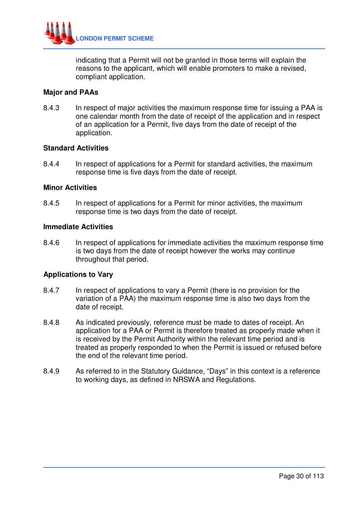

indicating that a Permit will not be granted in those terms will explain the reasons to the applicant, which will enable promoters to make a revised, compliant application.

#### **Major and PAAs**

8.4.3 In respect of major activities the maximum response time for issuing a PAA is one calendar month from the date of receipt of the application and in respect of an application for a Permit, five days from the date of receipt of the application.

#### **Standard Activities**

8.4.4 In respect of applications for a Permit for standard activities, the maximum response time is five days from the date of receipt.

#### **Minor Activities**

8.4.5 In respect of applications for a Permit for minor activities, the maximum response time is two days from the date of receipt.

#### **Immediate Activities**

8.4.6 In respect of applications for immediate activities the maximum response time is two days from the date of receipt however the works may continue throughout that period.

#### **Applications to Vary**

- 8.4.7 In respect of applications to vary a Permit (there is no provision for the variation of a PAA) the maximum response time is also two days from the date of receipt.
- 8.4.8 As indicated previously, reference must be made to dates of receipt. An application for a PAA or Permit is therefore treated as properly made when it is received by the Permit Authority within the relevant time period and is treated as properly responded to when the Permit is issued or refused before the end of the relevant time period.
- 8.4.9 As referred to in the Statutory Guidance, "Days" in this context is a reference to working days, as defined in NRSWA and Regulations.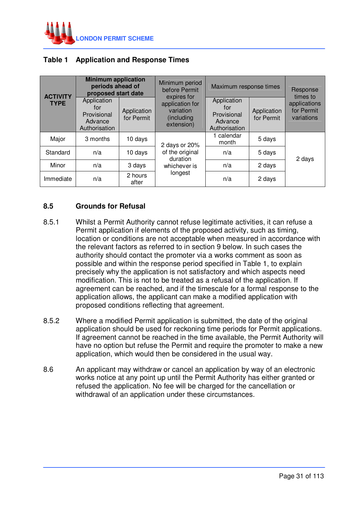

# **Table 1 Application and Response Times**

| <b>ACTIVITY</b><br><b>TYPE</b> | <b>Minimum application</b><br>periods ahead of<br>proposed start date |                                                               | Minimum period<br>before Permit<br>expires for                          | Maximum response times                                   |                                                               | Response<br>times to      |
|--------------------------------|-----------------------------------------------------------------------|---------------------------------------------------------------|-------------------------------------------------------------------------|----------------------------------------------------------|---------------------------------------------------------------|---------------------------|
|                                |                                                                       | Application<br>for<br>Provisional<br>Advance<br>Authorisation | Application<br>for Permit                                               | application for<br>variation<br>(including<br>extension) | Application<br>for<br>Provisional<br>Advance<br>Authorisation | Application<br>for Permit |
| Major                          | 3 months                                                              | 10 days                                                       | 2 days or 20%<br>of the original<br>duration<br>whichever is<br>longest | 1 calendar<br>month                                      | 5 days                                                        |                           |
| Standard                       | n/a                                                                   | 10 days                                                       |                                                                         | n/a                                                      | 5 days                                                        | 2 days                    |
| Minor                          | n/a                                                                   | 3 days                                                        |                                                                         | n/a                                                      | 2 days                                                        |                           |
| Immediate                      | n/a                                                                   | 2 hours<br>after                                              |                                                                         | n/a                                                      | 2 days                                                        |                           |

# **8.5 Grounds for Refusal**

- 8.5.1 Whilst a Permit Authority cannot refuse legitimate activities, it can refuse a Permit application if elements of the proposed activity, such as timing, location or conditions are not acceptable when measured in accordance with the relevant factors as referred to in section 9 below. In such cases the authority should contact the promoter via a works comment as soon as possible and within the response period specified in Table 1, to explain precisely why the application is not satisfactory and which aspects need modification. This is not to be treated as a refusal of the application. If agreement can be reached, and if the timescale for a formal response to the application allows, the applicant can make a modified application with proposed conditions reflecting that agreement.
- 8.5.2 Where a modified Permit application is submitted, the date of the original application should be used for reckoning time periods for Permit applications. If agreement cannot be reached in the time available, the Permit Authority will have no option but refuse the Permit and require the promoter to make a new application, which would then be considered in the usual way.
- 8.6 An applicant may withdraw or cancel an application by way of an electronic works notice at any point up until the Permit Authority has either granted or refused the application. No fee will be charged for the cancellation or withdrawal of an application under these circumstances.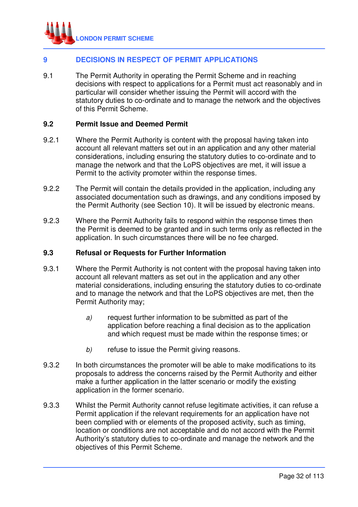

# **9 DECISIONS IN RESPECT OF PERMIT APPLICATIONS**

9.1 The Permit Authority in operating the Permit Scheme and in reaching decisions with respect to applications for a Permit must act reasonably and in particular will consider whether issuing the Permit will accord with the statutory duties to co-ordinate and to manage the network and the objectives of this Permit Scheme.

#### **9.2 Permit Issue and Deemed Permit**

- 9.2.1 Where the Permit Authority is content with the proposal having taken into account all relevant matters set out in an application and any other material considerations, including ensuring the statutory duties to co-ordinate and to manage the network and that the LoPS objectives are met, it will issue a Permit to the activity promoter within the response times.
- 9.2.2 The Permit will contain the details provided in the application, including any associated documentation such as drawings, and any conditions imposed by the Permit Authority (see Section 10). It will be issued by electronic means.
- 9.2.3 Where the Permit Authority fails to respond within the response times then the Permit is deemed to be granted and in such terms only as reflected in the application. In such circumstances there will be no fee charged.

#### **9.3 Refusal or Requests for Further Information**

- 9.3.1 Where the Permit Authority is not content with the proposal having taken into account all relevant matters as set out in the application and any other material considerations, including ensuring the statutory duties to co-ordinate and to manage the network and that the LoPS objectives are met, then the Permit Authority may;
	- a) request further information to be submitted as part of the application before reaching a final decision as to the application and which request must be made within the response times; or
	- b) refuse to issue the Permit giving reasons.
- 9.3.2 In both circumstances the promoter will be able to make modifications to its proposals to address the concerns raised by the Permit Authority and either make a further application in the latter scenario or modify the existing application in the former scenario.
- 9.3.3 Whilst the Permit Authority cannot refuse legitimate activities, it can refuse a Permit application if the relevant requirements for an application have not been complied with or elements of the proposed activity, such as timing, location or conditions are not acceptable and do not accord with the Permit Authority's statutory duties to co-ordinate and manage the network and the objectives of this Permit Scheme.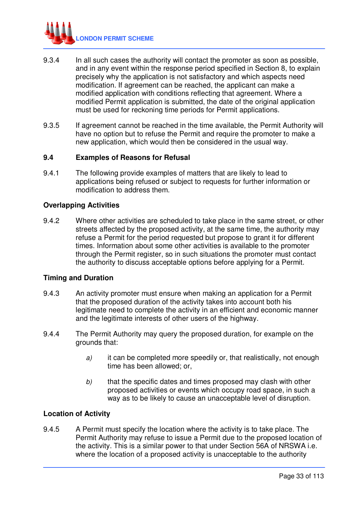

- 9.3.4 In all such cases the authority will contact the promoter as soon as possible, and in any event within the response period specified in Section 8, to explain precisely why the application is not satisfactory and which aspects need modification. If agreement can be reached, the applicant can make a modified application with conditions reflecting that agreement. Where a modified Permit application is submitted, the date of the original application must be used for reckoning time periods for Permit applications.
- 9.3.5 If agreement cannot be reached in the time available, the Permit Authority will have no option but to refuse the Permit and require the promoter to make a new application, which would then be considered in the usual way.

#### **9.4 Examples of Reasons for Refusal**

9.4.1 The following provide examples of matters that are likely to lead to applications being refused or subject to requests for further information or modification to address them.

#### **Overlapping Activities**

9.4.2 Where other activities are scheduled to take place in the same street, or other streets affected by the proposed activity, at the same time, the authority may refuse a Permit for the period requested but propose to grant it for different times. Information about some other activities is available to the promoter through the Permit register, so in such situations the promoter must contact the authority to discuss acceptable options before applying for a Permit.

#### **Timing and Duration**

- 9.4.3 An activity promoter must ensure when making an application for a Permit that the proposed duration of the activity takes into account both his legitimate need to complete the activity in an efficient and economic manner and the legitimate interests of other users of the highway.
- 9.4.4 The Permit Authority may query the proposed duration, for example on the grounds that:
	- $a)$  it can be completed more speedily or, that realistically, not enough time has been allowed; or,
	- $b$  that the specific dates and times proposed may clash with other proposed activities or events which occupy road space, in such a way as to be likely to cause an unacceptable level of disruption.

#### **Location of Activity**

9.4.5 A Permit must specify the location where the activity is to take place. The Permit Authority may refuse to issue a Permit due to the proposed location of the activity. This is a similar power to that under Section 56A of NRSWA i.e. where the location of a proposed activity is unacceptable to the authority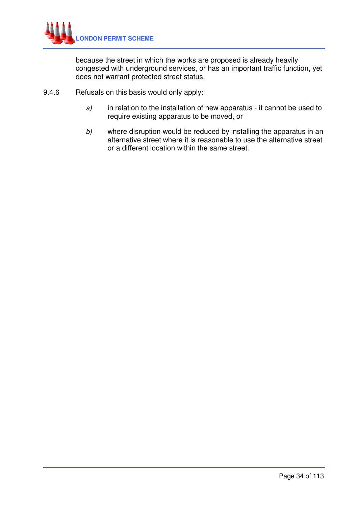

because the street in which the works are proposed is already heavily congested with underground services, or has an important traffic function, yet does not warrant protected street status.

- 9.4.6 Refusals on this basis would only apply:
	- $a$ ) in relation to the installation of new apparatus it cannot be used to require existing apparatus to be moved, or
	- b) where disruption would be reduced by installing the apparatus in an alternative street where it is reasonable to use the alternative street or a different location within the same street.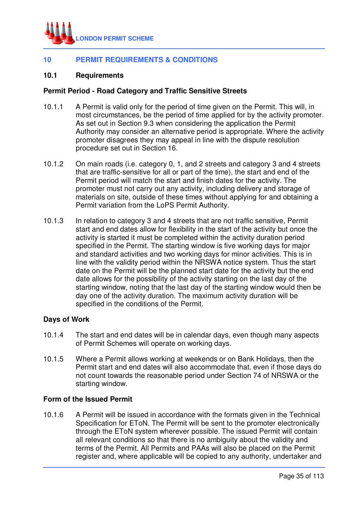

# **10 PERMIT REQUIREMENTS & CONDITIONS**

#### **10.1 Requirements**

#### **Permit Period - Road Category and Traffic Sensitive Streets**

- 10.1.1 A Permit is valid only for the period of time given on the Permit. This will, in most circumstances, be the period of time applied for by the activity promoter. As set out in Section 9.3 when considering the application the Permit Authority may consider an alternative period is appropriate. Where the activity promoter disagrees they may appeal in line with the dispute resolution procedure set out in Section 16.
- 10.1.2 On main roads (i.e. category 0, 1, and 2 streets and category 3 and 4 streets that are traffic-sensitive for all or part of the time), the start and end of the Permit period will match the start and finish dates for the activity. The promoter must not carry out any activity, including delivery and storage of materials on site, outside of these times without applying for and obtaining a Permit variation from the LoPS Permit Authority.
- 10.1.3 In relation to category 3 and 4 streets that are not traffic sensitive, Permit start and end dates allow for flexibility in the start of the activity but once the activity is started it must be completed within the activity duration period specified in the Permit. The starting window is five working days for major and standard activities and two working days for minor activities. This is in line with the validity period within the NRSWA notice system. Thus the start date on the Permit will be the planned start date for the activity but the end date allows for the possibility of the activity starting on the last day of the starting window, noting that the last day of the starting window would then be day one of the activity duration. The maximum activity duration will be specified in the conditions of the Permit.

#### **Days of Work**

- 10.1.4 The start and end dates will be in calendar days, even though many aspects of Permit Schemes will operate on working days.
- 10.1.5 Where a Permit allows working at weekends or on Bank Holidays, then the Permit start and end dates will also accommodate that, even if those days do not count towards the reasonable period under Section 74 of NRSWA or the starting window.

#### **Form of the Issued Permit**

10.1.6 A Permit will be issued in accordance with the formats given in the Technical Specification for EToN. The Permit will be sent to the promoter electronically through the EToN system wherever possible. The issued Permit will contain all relevant conditions so that there is no ambiguity about the validity and terms of the Permit. All Permits and PAAs will also be placed on the Permit register and, where applicable will be copied to any authority, undertaker and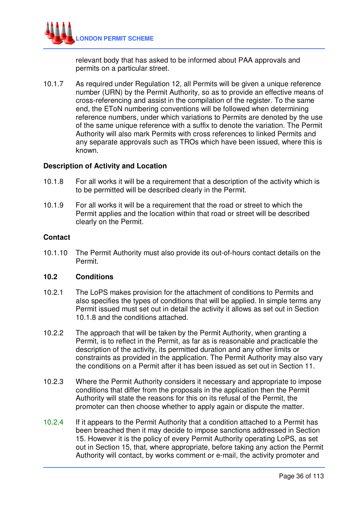

relevant body that has asked to be informed about PAA approvals and permits on a particular street.

10.1.7 As required under Regulation 12, all Permits will be given a unique reference number (URN) by the Permit Authority, so as to provide an effective means of cross-referencing and assist in the compilation of the register. To the same end, the EToN numbering conventions will be followed when determining reference numbers, under which variations to Permits are denoted by the use of the same unique reference with a suffix to denote the variation. The Permit Authority will also mark Permits with cross references to linked Permits and any separate approvals such as TROs which have been issued, where this is known.

#### **Description of Activity and Location**

- 10.1.8 For all works it will be a requirement that a description of the activity which is to be permitted will be described clearly in the Permit.
- 10.1.9 For all works it will be a requirement that the road or street to which the Permit applies and the location within that road or street will be described clearly on the Permit.

#### **Contact**

10.1.10 The Permit Authority must also provide its out-of-hours contact details on the Permit.

#### **10.2 Conditions**

- 10.2.1 The LoPS makes provision for the attachment of conditions to Permits and also specifies the types of conditions that will be applied. In simple terms any Permit issued must set out in detail the activity it allows as set out in Section 10.1.8 and the conditions attached.
- 10.2.2 The approach that will be taken by the Permit Authority, when granting a Permit, is to reflect in the Permit, as far as is reasonable and practicable the description of the activity, its permitted duration and any other limits or constraints as provided in the application. The Permit Authority may also vary the conditions on a Permit after it has been issued as set out in Section 11.
- 10.2.3 Where the Permit Authority considers it necessary and appropriate to impose conditions that differ from the proposals in the application then the Permit Authority will state the reasons for this on its refusal of the Permit, the promoter can then choose whether to apply again or dispute the matter.
- 10.2.4 If it appears to the Permit Authority that a condition attached to a Permit has been breached then it may decide to impose sanctions addressed in Section 15. However it is the policy of every Permit Authority operating LoPS, as set out in Section 15, that, where appropriate, before taking any action the Permit Authority will contact, by works comment or e-mail, the activity promoter and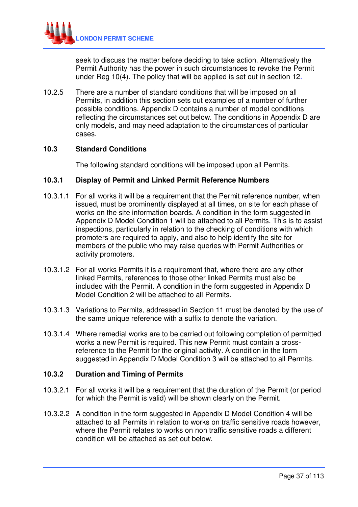

seek to discuss the matter before deciding to take action. Alternatively the Permit Authority has the power in such circumstances to revoke the Permit under Reg 10(4). The policy that will be applied is set out in section 12.

10.2.5 There are a number of standard conditions that will be imposed on all Permits, in addition this section sets out examples of a number of further possible conditions. Appendix D contains a number of model conditions reflecting the circumstances set out below. The conditions in Appendix D are only models, and may need adaptation to the circumstances of particular cases.

## **10.3 Standard Conditions**

The following standard conditions will be imposed upon all Permits.

### **10.3.1 Display of Permit and Linked Permit Reference Numbers**

- 10.3.1.1 For all works it will be a requirement that the Permit reference number, when issued, must be prominently displayed at all times, on site for each phase of works on the site information boards. A condition in the form suggested in Appendix D Model Condition 1 will be attached to all Permits. This is to assist inspections, particularly in relation to the checking of conditions with which promoters are required to apply, and also to help identify the site for members of the public who may raise queries with Permit Authorities or activity promoters.
- 10.3.1.2 For all works Permits it is a requirement that, where there are any other linked Permits, references to those other linked Permits must also be included with the Permit. A condition in the form suggested in Appendix D Model Condition 2 will be attached to all Permits.
- 10.3.1.3 Variations to Permits, addressed in Section 11 must be denoted by the use of the same unique reference with a suffix to denote the variation.
- 10.3.1.4 Where remedial works are to be carried out following completion of permitted works a new Permit is required. This new Permit must contain a crossreference to the Permit for the original activity. A condition in the form suggested in Appendix D Model Condition 3 will be attached to all Permits.

### **10.3.2 Duration and Timing of Permits**

- 10.3.2.1 For all works it will be a requirement that the duration of the Permit (or period for which the Permit is valid) will be shown clearly on the Permit.
- 10.3.2.2 A condition in the form suggested in Appendix D Model Condition 4 will be attached to all Permits in relation to works on traffic sensitive roads however, where the Permit relates to works on non traffic sensitive roads a different condition will be attached as set out below.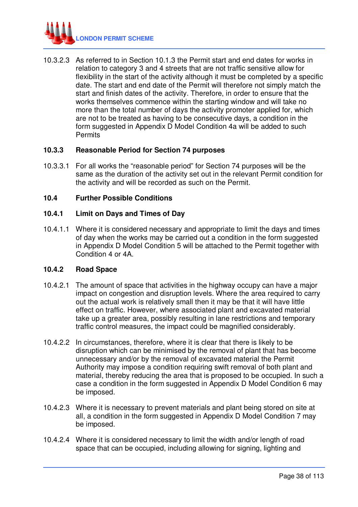

10.3.2.3 As referred to in Section 10.1.3 the Permit start and end dates for works in relation to category 3 and 4 streets that are not traffic sensitive allow for flexibility in the start of the activity although it must be completed by a specific date. The start and end date of the Permit will therefore not simply match the start and finish dates of the activity. Therefore, in order to ensure that the works themselves commence within the starting window and will take no more than the total number of days the activity promoter applied for, which are not to be treated as having to be consecutive days, a condition in the form suggested in Appendix D Model Condition 4a will be added to such **Permits** 

# **10.3.3 Reasonable Period for Section 74 purposes**

10.3.3.1 For all works the "reasonable period" for Section 74 purposes will be the same as the duration of the activity set out in the relevant Permit condition for the activity and will be recorded as such on the Permit.

## **10.4 Further Possible Conditions**

## **10.4.1 Limit on Days and Times of Day**

10.4.1.1 Where it is considered necessary and appropriate to limit the days and times of day when the works may be carried out a condition in the form suggested in Appendix D Model Condition 5 will be attached to the Permit together with Condition 4 or 4A.

### **10.4.2 Road Space**

- 10.4.2.1 The amount of space that activities in the highway occupy can have a major impact on congestion and disruption levels. Where the area required to carry out the actual work is relatively small then it may be that it will have little effect on traffic. However, where associated plant and excavated material take up a greater area, possibly resulting in lane restrictions and temporary traffic control measures, the impact could be magnified considerably.
- 10.4.2.2 In circumstances, therefore, where it is clear that there is likely to be disruption which can be minimised by the removal of plant that has become unnecessary and/or by the removal of excavated material the Permit Authority may impose a condition requiring swift removal of both plant and material, thereby reducing the area that is proposed to be occupied. In such a case a condition in the form suggested in Appendix D Model Condition 6 may be imposed.
- 10.4.2.3 Where it is necessary to prevent materials and plant being stored on site at all, a condition in the form suggested in Appendix D Model Condition 7 may be imposed.
- 10.4.2.4 Where it is considered necessary to limit the width and/or length of road space that can be occupied, including allowing for signing, lighting and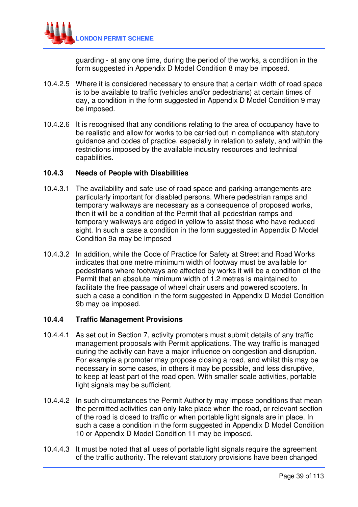

guarding - at any one time, during the period of the works, a condition in the form suggested in Appendix D Model Condition 8 may be imposed.

- 10.4.2.5 Where it is considered necessary to ensure that a certain width of road space is to be available to traffic (vehicles and/or pedestrians) at certain times of day, a condition in the form suggested in Appendix D Model Condition 9 may be imposed.
- 10.4.2.6 It is recognised that any conditions relating to the area of occupancy have to be realistic and allow for works to be carried out in compliance with statutory guidance and codes of practice, especially in relation to safety, and within the restrictions imposed by the available industry resources and technical capabilities.

### **10.4.3 Needs of People with Disabilities**

- 10.4.3.1 The availability and safe use of road space and parking arrangements are particularly important for disabled persons. Where pedestrian ramps and temporary walkways are necessary as a consequence of proposed works, then it will be a condition of the Permit that all pedestrian ramps and temporary walkways are edged in yellow to assist those who have reduced sight. In such a case a condition in the form suggested in Appendix D Model Condition 9a may be imposed
- 10.4.3.2 In addition, while the Code of Practice for Safety at Street and Road Works indicates that one metre minimum width of footway must be available for pedestrians where footways are affected by works it will be a condition of the Permit that an absolute minimum width of 1.2 metres is maintained to facilitate the free passage of wheel chair users and powered scooters. In such a case a condition in the form suggested in Appendix D Model Condition 9b may be imposed.

### **10.4.4 Traffic Management Provisions**

- 10.4.4.1 As set out in Section 7, activity promoters must submit details of any traffic management proposals with Permit applications. The way traffic is managed during the activity can have a major influence on congestion and disruption. For example a promoter may propose closing a road, and whilst this may be necessary in some cases, in others it may be possible, and less disruptive, to keep at least part of the road open. With smaller scale activities, portable light signals may be sufficient.
- 10.4.4.2 In such circumstances the Permit Authority may impose conditions that mean the permitted activities can only take place when the road, or relevant section of the road is closed to traffic or when portable light signals are in place. In such a case a condition in the form suggested in Appendix D Model Condition 10 or Appendix D Model Condition 11 may be imposed.
- 10.4.4.3 It must be noted that all uses of portable light signals require the agreement of the traffic authority. The relevant statutory provisions have been changed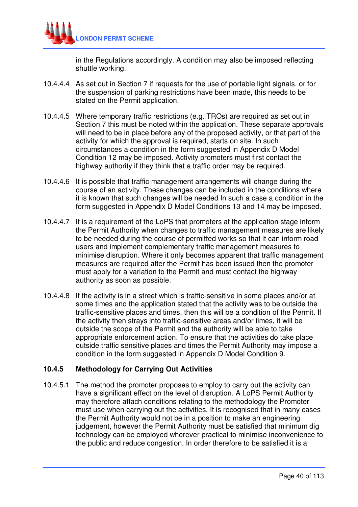

in the Regulations accordingly. A condition may also be imposed reflecting shuttle working.

- 10.4.4.4 As set out in Section 7 if requests for the use of portable light signals, or for the suspension of parking restrictions have been made, this needs to be stated on the Permit application.
- 10.4.4.5 Where temporary traffic restrictions (e.g. TROs) are required as set out in Section 7 this must be noted within the application. These separate approvals will need to be in place before any of the proposed activity, or that part of the activity for which the approval is required, starts on site. In such circumstances a condition in the form suggested in Appendix D Model Condition 12 may be imposed. Activity promoters must first contact the highway authority if they think that a traffic order may be required.
- 10.4.4.6 It is possible that traffic management arrangements will change during the course of an activity. These changes can be included in the conditions where it is known that such changes will be needed In such a case a condition in the form suggested in Appendix D Model Conditions 13 and 14 may be imposed.
- 10.4.4.7 It is a requirement of the LoPS that promoters at the application stage inform the Permit Authority when changes to traffic management measures are likely to be needed during the course of permitted works so that it can inform road users and implement complementary traffic management measures to minimise disruption. Where it only becomes apparent that traffic management measures are required after the Permit has been issued then the promoter must apply for a variation to the Permit and must contact the highway authority as soon as possible.
- 10.4.4.8 If the activity is in a street which is traffic-sensitive in some places and/or at some times and the application stated that the activity was to be outside the traffic-sensitive places and times, then this will be a condition of the Permit. If the activity then strays into traffic-sensitive areas and/or times, it will be outside the scope of the Permit and the authority will be able to take appropriate enforcement action. To ensure that the activities do take place outside traffic sensitive places and times the Permit Authority may impose a condition in the form suggested in Appendix D Model Condition 9.

# **10.4.5 Methodology for Carrying Out Activities**

10.4.5.1 The method the promoter proposes to employ to carry out the activity can have a significant effect on the level of disruption. A LoPS Permit Authority may therefore attach conditions relating to the methodology the Promoter must use when carrying out the activities. It is recognised that in many cases the Permit Authority would not be in a position to make an engineering judgement, however the Permit Authority must be satisfied that minimum dig technology can be employed wherever practical to minimise inconvenience to the public and reduce congestion. In order therefore to be satisfied it is a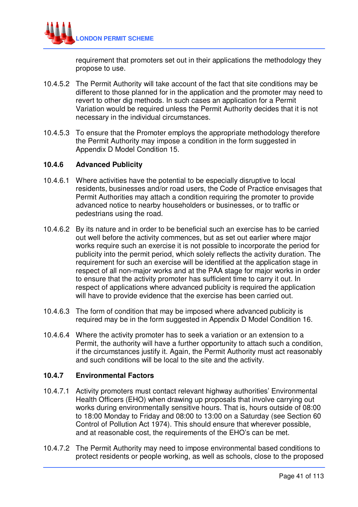

requirement that promoters set out in their applications the methodology they propose to use.

- 10.4.5.2 The Permit Authority will take account of the fact that site conditions may be different to those planned for in the application and the promoter may need to revert to other dig methods. In such cases an application for a Permit Variation would be required unless the Permit Authority decides that it is not necessary in the individual circumstances.
- 10.4.5.3 To ensure that the Promoter employs the appropriate methodology therefore the Permit Authority may impose a condition in the form suggested in Appendix D Model Condition 15.

## **10.4.6 Advanced Publicity**

- 10.4.6.1 Where activities have the potential to be especially disruptive to local residents, businesses and/or road users, the Code of Practice envisages that Permit Authorities may attach a condition requiring the promoter to provide advanced notice to nearby householders or businesses, or to traffic or pedestrians using the road.
- 10.4.6.2 By its nature and in order to be beneficial such an exercise has to be carried out well before the activity commences, but as set out earlier where major works require such an exercise it is not possible to incorporate the period for publicity into the permit period, which solely reflects the activity duration. The requirement for such an exercise will be identified at the application stage in respect of all non-major works and at the PAA stage for major works in order to ensure that the activity promoter has sufficient time to carry it out. In respect of applications where advanced publicity is required the application will have to provide evidence that the exercise has been carried out.
- 10.4.6.3 The form of condition that may be imposed where advanced publicity is required may be in the form suggested in Appendix D Model Condition 16.
- 10.4.6.4 Where the activity promoter has to seek a variation or an extension to a Permit, the authority will have a further opportunity to attach such a condition, if the circumstances justify it. Again, the Permit Authority must act reasonably and such conditions will be local to the site and the activity.

# **10.4.7 Environmental Factors**

- 10.4.7.1 Activity promoters must contact relevant highway authorities' Environmental Health Officers (EHO) when drawing up proposals that involve carrying out works during environmentally sensitive hours. That is, hours outside of 08:00 to 18:00 Monday to Friday and 08:00 to 13:00 on a Saturday (see Section 60 Control of Pollution Act 1974). This should ensure that wherever possible, and at reasonable cost, the requirements of the EHO's can be met.
- 10.4.7.2 The Permit Authority may need to impose environmental based conditions to protect residents or people working, as well as schools, close to the proposed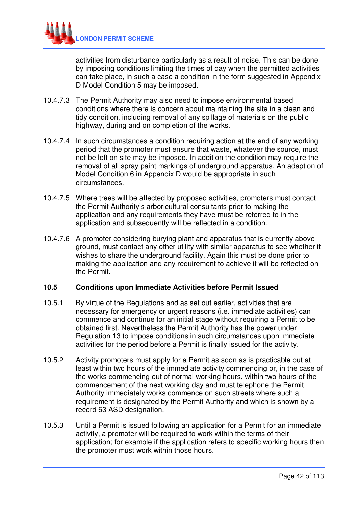

activities from disturbance particularly as a result of noise. This can be done by imposing conditions limiting the times of day when the permitted activities can take place, in such a case a condition in the form suggested in Appendix D Model Condition 5 may be imposed.

- 10.4.7.3 The Permit Authority may also need to impose environmental based conditions where there is concern about maintaining the site in a clean and tidy condition, including removal of any spillage of materials on the public highway, during and on completion of the works.
- 10.4.7.4 In such circumstances a condition requiring action at the end of any working period that the promoter must ensure that waste, whatever the source, must not be left on site may be imposed. In addition the condition may require the removal of all spray paint markings of underground apparatus. An adaption of Model Condition 6 in Appendix D would be appropriate in such circumstances.
- 10.4.7.5 Where trees will be affected by proposed activities, promoters must contact the Permit Authority's arboricultural consultants prior to making the application and any requirements they have must be referred to in the application and subsequently will be reflected in a condition.
- 10.4.7.6 A promoter considering burying plant and apparatus that is currently above ground, must contact any other utility with similar apparatus to see whether it wishes to share the underground facility. Again this must be done prior to making the application and any requirement to achieve it will be reflected on the Permit.

# **10.5 Conditions upon Immediate Activities before Permit Issued**

- 10.5.1 By virtue of the Regulations and as set out earlier, activities that are necessary for emergency or urgent reasons (i.e. immediate activities) can commence and continue for an initial stage without requiring a Permit to be obtained first. Nevertheless the Permit Authority has the power under Regulation 13 to impose conditions in such circumstances upon immediate activities for the period before a Permit is finally issued for the activity.
- 10.5.2 Activity promoters must apply for a Permit as soon as is practicable but at least within two hours of the immediate activity commencing or, in the case of the works commencing out of normal working hours, within two hours of the commencement of the next working day and must telephone the Permit Authority immediately works commence on such streets where such a requirement is designated by the Permit Authority and which is shown by a record 63 ASD designation.
- 10.5.3 Until a Permit is issued following an application for a Permit for an immediate activity, a promoter will be required to work within the terms of their application; for example if the application refers to specific working hours then the promoter must work within those hours.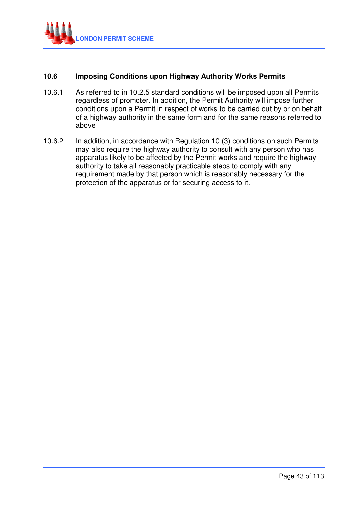

# **10.6 Imposing Conditions upon Highway Authority Works Permits**

- 10.6.1 As referred to in 10.2.5 standard conditions will be imposed upon all Permits regardless of promoter. In addition, the Permit Authority will impose further conditions upon a Permit in respect of works to be carried out by or on behalf of a highway authority in the same form and for the same reasons referred to above
- 10.6.2 In addition, in accordance with Regulation 10 (3) conditions on such Permits may also require the highway authority to consult with any person who has apparatus likely to be affected by the Permit works and require the highway authority to take all reasonably practicable steps to comply with any requirement made by that person which is reasonably necessary for the protection of the apparatus or for securing access to it.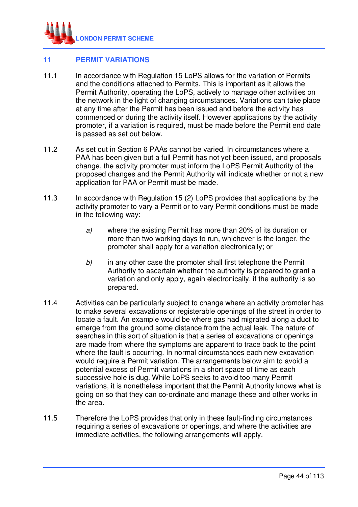

# **11 PERMIT VARIATIONS**

- 11.1 In accordance with Regulation 15 LoPS allows for the variation of Permits and the conditions attached to Permits. This is important as it allows the Permit Authority, operating the LoPS, actively to manage other activities on the network in the light of changing circumstances. Variations can take place at any time after the Permit has been issued and before the activity has commenced or during the activity itself. However applications by the activity promoter, if a variation is required, must be made before the Permit end date is passed as set out below.
- 11.2 As set out in Section 6 PAAs cannot be varied. In circumstances where a PAA has been given but a full Permit has not yet been issued, and proposals change, the activity promoter must inform the LoPS Permit Authority of the proposed changes and the Permit Authority will indicate whether or not a new application for PAA or Permit must be made.
- 11.3 In accordance with Regulation 15 (2) LoPS provides that applications by the activity promoter to vary a Permit or to vary Permit conditions must be made in the following way:
	- a) where the existing Permit has more than 20% of its duration or more than two working days to run, whichever is the longer, the promoter shall apply for a variation electronically; or
	- $b)$  in any other case the promoter shall first telephone the Permit Authority to ascertain whether the authority is prepared to grant a variation and only apply, again electronically, if the authority is so prepared.
- 11.4 Activities can be particularly subject to change where an activity promoter has to make several excavations or registerable openings of the street in order to locate a fault. An example would be where gas had migrated along a duct to emerge from the ground some distance from the actual leak. The nature of searches in this sort of situation is that a series of excavations or openings are made from where the symptoms are apparent to trace back to the point where the fault is occurring. In normal circumstances each new excavation would require a Permit variation. The arrangements below aim to avoid a potential excess of Permit variations in a short space of time as each successive hole is dug. While LoPS seeks to avoid too many Permit variations, it is nonetheless important that the Permit Authority knows what is going on so that they can co-ordinate and manage these and other works in the area.
- 11.5 Therefore the LoPS provides that only in these fault-finding circumstances requiring a series of excavations or openings, and where the activities are immediate activities, the following arrangements will apply.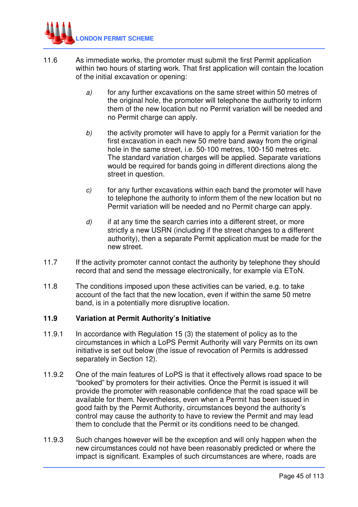

- 11.6 As immediate works, the promoter must submit the first Permit application within two hours of starting work. That first application will contain the location of the initial excavation or opening:
	- a) for any further excavations on the same street within 50 metres of the original hole, the promoter will telephone the authority to inform them of the new location but no Permit variation will be needed and no Permit charge can apply.
	- b) the activity promoter will have to apply for a Permit variation for the first excavation in each new 50 metre band away from the original hole in the same street, i.e. 50-100 metres, 100-150 metres etc. The standard variation charges will be applied. Separate variations would be required for bands going in different directions along the street in question.
	- $c$ ) for any further excavations within each band the promoter will have to telephone the authority to inform them of the new location but no Permit variation will be needed and no Permit charge can apply.
	- $d$  if at any time the search carries into a different street, or more strictly a new USRN (including if the street changes to a different authority), then a separate Permit application must be made for the new street.
- 11.7 If the activity promoter cannot contact the authority by telephone they should record that and send the message electronically, for example via EToN.
- 11.8 The conditions imposed upon these activities can be varied, e.g. to take account of the fact that the new location, even if within the same 50 metre band, is in a potentially more disruptive location.

# **11.9 Variation at Permit Authority's Initiative**

- 11.9.1 In accordance with Regulation 15 (3) the statement of policy as to the circumstances in which a LoPS Permit Authority will vary Permits on its own initiative is set out below (the issue of revocation of Permits is addressed separately in Section 12).
- 11.9.2 One of the main features of LoPS is that it effectively allows road space to be "booked" by promoters for their activities. Once the Permit is issued it will provide the promoter with reasonable confidence that the road space will be available for them. Nevertheless, even when a Permit has been issued in good faith by the Permit Authority, circumstances beyond the authority's control may cause the authority to have to review the Permit and may lead them to conclude that the Permit or its conditions need to be changed.
- 11.9.3 Such changes however will be the exception and will only happen when the new circumstances could not have been reasonably predicted or where the impact is significant. Examples of such circumstances are where, roads are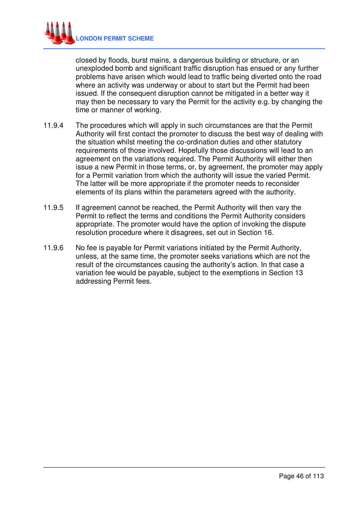

closed by floods, burst mains, a dangerous building or structure, or an unexploded bomb and significant traffic disruption has ensued or any further problems have arisen which would lead to traffic being diverted onto the road where an activity was underway or about to start but the Permit had been issued. If the consequent disruption cannot be mitigated in a better way it may then be necessary to vary the Permit for the activity e.g. by changing the time or manner of working.

- 11.9.4 The procedures which will apply in such circumstances are that the Permit Authority will first contact the promoter to discuss the best way of dealing with the situation whilst meeting the co-ordination duties and other statutory requirements of those involved. Hopefully those discussions will lead to an agreement on the variations required. The Permit Authority will either then issue a new Permit in those terms, or, by agreement, the promoter may apply for a Permit variation from which the authority will issue the varied Permit. The latter will be more appropriate if the promoter needs to reconsider elements of its plans within the parameters agreed with the authority.
- 11.9.5 If agreement cannot be reached, the Permit Authority will then vary the Permit to reflect the terms and conditions the Permit Authority considers appropriate. The promoter would have the option of invoking the dispute resolution procedure where it disagrees, set out in Section 16.
- 11.9.6 No fee is payable for Permit variations initiated by the Permit Authority, unless, at the same time, the promoter seeks variations which are not the result of the circumstances causing the authority's action. In that case a variation fee would be payable, subject to the exemptions in Section 13 addressing Permit fees.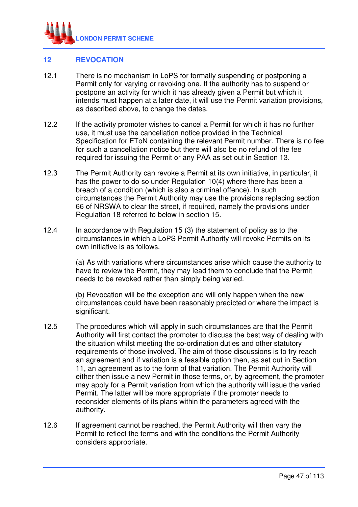

# **12 REVOCATION**

- 12.1 There is no mechanism in LoPS for formally suspending or postponing a Permit only for varying or revoking one. If the authority has to suspend or postpone an activity for which it has already given a Permit but which it intends must happen at a later date, it will use the Permit variation provisions, as described above, to change the dates.
- 12.2 If the activity promoter wishes to cancel a Permit for which it has no further use, it must use the cancellation notice provided in the Technical Specification for EToN containing the relevant Permit number. There is no fee for such a cancellation notice but there will also be no refund of the fee required for issuing the Permit or any PAA as set out in Section 13.
- 12.3 The Permit Authority can revoke a Permit at its own initiative, in particular, it has the power to do so under Regulation 10(4) where there has been a breach of a condition (which is also a criminal offence). In such circumstances the Permit Authority may use the provisions replacing section 66 of NRSWA to clear the street, if required, namely the provisions under Regulation 18 referred to below in section 15.
- 12.4 In accordance with Regulation 15 (3) the statement of policy as to the circumstances in which a LoPS Permit Authority will revoke Permits on its own initiative is as follows.

 (a) As with variations where circumstances arise which cause the authority to have to review the Permit, they may lead them to conclude that the Permit needs to be revoked rather than simply being varied.

 (b) Revocation will be the exception and will only happen when the new circumstances could have been reasonably predicted or where the impact is significant.

- 12.5 The procedures which will apply in such circumstances are that the Permit Authority will first contact the promoter to discuss the best way of dealing with the situation whilst meeting the co-ordination duties and other statutory requirements of those involved. The aim of those discussions is to try reach an agreement and if variation is a feasible option then, as set out in Section 11, an agreement as to the form of that variation. The Permit Authority will either then issue a new Permit in those terms, or, by agreement, the promoter may apply for a Permit variation from which the authority will issue the varied Permit. The latter will be more appropriate if the promoter needs to reconsider elements of its plans within the parameters agreed with the authority.
- 12.6 If agreement cannot be reached, the Permit Authority will then vary the Permit to reflect the terms and with the conditions the Permit Authority considers appropriate.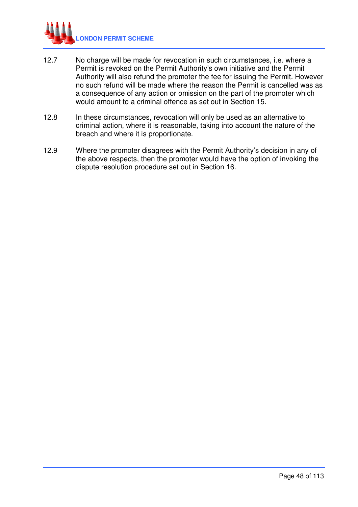

- 12.7 No charge will be made for revocation in such circumstances, i.e. where a Permit is revoked on the Permit Authority's own initiative and the Permit Authority will also refund the promoter the fee for issuing the Permit. However no such refund will be made where the reason the Permit is cancelled was as a consequence of any action or omission on the part of the promoter which would amount to a criminal offence as set out in Section 15.
- 12.8 In these circumstances, revocation will only be used as an alternative to criminal action, where it is reasonable, taking into account the nature of the breach and where it is proportionate.
- 12.9 Where the promoter disagrees with the Permit Authority's decision in any of the above respects, then the promoter would have the option of invoking the dispute resolution procedure set out in Section 16.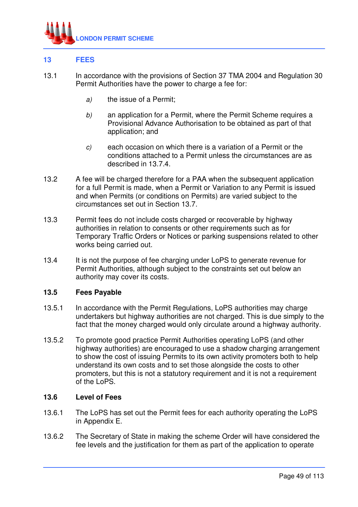

# **13 FEES**

- 13.1 In accordance with the provisions of Section 37 TMA 2004 and Regulation 30 Permit Authorities have the power to charge a fee for:
	- a) the issue of a Permit;
	- b) an application for a Permit, where the Permit Scheme requires a Provisional Advance Authorisation to be obtained as part of that application; and
	- c) each occasion on which there is a variation of a Permit or the conditions attached to a Permit unless the circumstances are as described in 13.7.4.
- 13.2 A fee will be charged therefore for a PAA when the subsequent application for a full Permit is made, when a Permit or Variation to any Permit is issued and when Permits (or conditions on Permits) are varied subject to the circumstances set out in Section 13.7.
- 13.3 Permit fees do not include costs charged or recoverable by highway authorities in relation to consents or other requirements such as for Temporary Traffic Orders or Notices or parking suspensions related to other works being carried out.
- 13.4 It is not the purpose of fee charging under LoPS to generate revenue for Permit Authorities, although subject to the constraints set out below an authority may cover its costs.

# **13.5 Fees Payable**

- 13.5.1 In accordance with the Permit Regulations, LoPS authorities may charge undertakers but highway authorities are not charged. This is due simply to the fact that the money charged would only circulate around a highway authority.
- 13.5.2 To promote good practice Permit Authorities operating LoPS (and other highway authorities) are encouraged to use a shadow charging arrangement to show the cost of issuing Permits to its own activity promoters both to help understand its own costs and to set those alongside the costs to other promoters, but this is not a statutory requirement and it is not a requirement of the LoPS.

## **13.6 Level of Fees**

- 13.6.1 The LoPS has set out the Permit fees for each authority operating the LoPS in Appendix E.
- 13.6.2 The Secretary of State in making the scheme Order will have considered the fee levels and the justification for them as part of the application to operate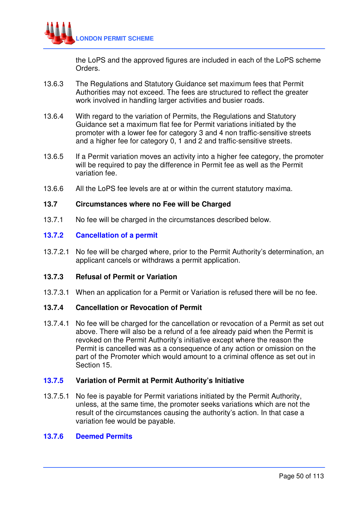

the LoPS and the approved figures are included in each of the LoPS scheme Orders.

- 13.6.3 The Regulations and Statutory Guidance set maximum fees that Permit Authorities may not exceed. The fees are structured to reflect the greater work involved in handling larger activities and busier roads.
- 13.6.4 With regard to the variation of Permits, the Regulations and Statutory Guidance set a maximum flat fee for Permit variations initiated by the promoter with a lower fee for category 3 and 4 non traffic-sensitive streets and a higher fee for category 0, 1 and 2 and traffic-sensitive streets.
- 13.6.5 If a Permit variation moves an activity into a higher fee category, the promoter will be required to pay the difference in Permit fee as well as the Permit variation fee.
- 13.6.6 All the LoPS fee levels are at or within the current statutory maxima.

#### **13.7 Circumstances where no Fee will be Charged**

13.7.1 No fee will be charged in the circumstances described below.

## **13.7.2 Cancellation of a permit**

13.7.2.1 No fee will be charged where, prior to the Permit Authority's determination, an applicant cancels or withdraws a permit application.

### **13.7.3 Refusal of Permit or Variation**

13.7.3.1 When an application for a Permit or Variation is refused there will be no fee.

# **13.7.4 Cancellation or Revocation of Permit**

13.7.4.1 No fee will be charged for the cancellation or revocation of a Permit as set out above. There will also be a refund of a fee already paid when the Permit is revoked on the Permit Authority's initiative except where the reason the Permit is cancelled was as a consequence of any action or omission on the part of the Promoter which would amount to a criminal offence as set out in Section 15.

### **13.7.5 Variation of Permit at Permit Authority's Initiative**

13.7.5.1 No fee is payable for Permit variations initiated by the Permit Authority, unless, at the same time, the promoter seeks variations which are not the result of the circumstances causing the authority's action. In that case a variation fee would be payable.

### **13.7.6 Deemed Permits**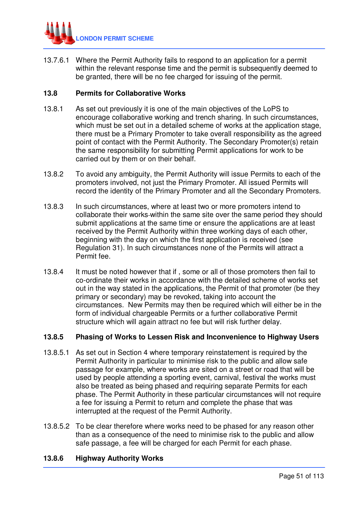

13.7.6.1 Where the Permit Authority fails to respond to an application for a permit within the relevant response time and the permit is subsequently deemed to be granted, there will be no fee charged for issuing of the permit.

# **13.8 Permits for Collaborative Works**

- 13.8.1 As set out previously it is one of the main objectives of the LoPS to encourage collaborative working and trench sharing. In such circumstances, which must be set out in a detailed scheme of works at the application stage, there must be a Primary Promoter to take overall responsibility as the agreed point of contact with the Permit Authority. The Secondary Promoter(s) retain the same responsibility for submitting Permit applications for work to be carried out by them or on their behalf.
- 13.8.2 To avoid any ambiguity, the Permit Authority will issue Permits to each of the promoters involved, not just the Primary Promoter. All issued Permits will record the identity of the Primary Promoter and all the Secondary Promoters.
- 13.8.3 In such circumstances, where at least two or more promoters intend to collaborate their works within the same site over the same period they should submit applications at the same time or ensure the applications are at least received by the Permit Authority within three working days of each other, beginning with the day on which the first application is received (see Regulation 31). In such circumstances none of the Permits will attract a Permit fee.
- 13.8.4 It must be noted however that if , some or all of those promoters then fail to co-ordinate their works in accordance with the detailed scheme of works set out in the way stated in the applications, the Permit of that promoter (be they primary or secondary) may be revoked, taking into account the circumstances. New Permits may then be required which will either be in the form of individual chargeable Permits or a further collaborative Permit structure which will again attract no fee but will risk further delay.

### **13.8.5 Phasing of Works to Lessen Risk and Inconvenience to Highway Users**

- 13.8.5.1 As set out in Section 4 where temporary reinstatement is required by the Permit Authority in particular to minimise risk to the public and allow safe passage for example, where works are sited on a street or road that will be used by people attending a sporting event, carnival, festival the works must also be treated as being phased and requiring separate Permits for each phase. The Permit Authority in these particular circumstances will not require a fee for issuing a Permit to return and complete the phase that was interrupted at the request of the Permit Authority.
- 13.8.5.2 To be clear therefore where works need to be phased for any reason other than as a consequence of the need to minimise risk to the public and allow safe passage, a fee will be charged for each Permit for each phase.

### **13.8.6 Highway Authority Works**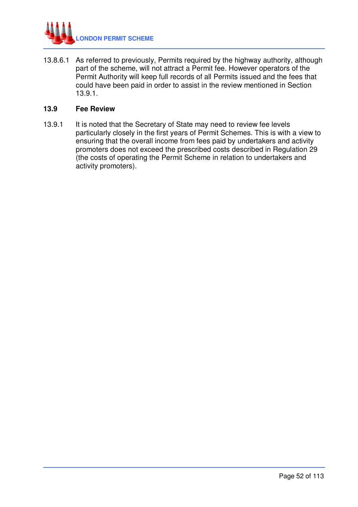

13.8.6.1 As referred to previously, Permits required by the highway authority, although part of the scheme, will not attract a Permit fee. However operators of the Permit Authority will keep full records of all Permits issued and the fees that could have been paid in order to assist in the review mentioned in Section 13.9.1.

## **13.9 Fee Review**

13.9.1 It is noted that the Secretary of State may need to review fee levels particularly closely in the first years of Permit Schemes. This is with a view to ensuring that the overall income from fees paid by undertakers and activity promoters does not exceed the prescribed costs described in Regulation 29 (the costs of operating the Permit Scheme in relation to undertakers and activity promoters).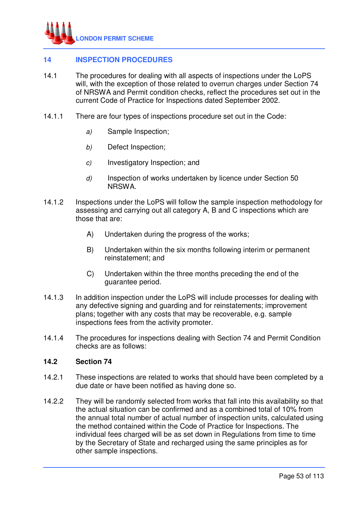

# **14 INSPECTION PROCEDURES**

- 14.1 The procedures for dealing with all aspects of inspections under the LoPS will, with the exception of those related to overrun charges under Section 74 of NRSWA and Permit condition checks, reflect the procedures set out in the current Code of Practice for Inspections dated September 2002.
- 14.1.1 There are four types of inspections procedure set out in the Code:
	- a) Sample Inspection;
	- b) Defect Inspection;
	- c) Investigatory Inspection; and
	- d) Inspection of works undertaken by licence under Section 50 NRSWA.
- 14.1.2 Inspections under the LoPS will follow the sample inspection methodology for assessing and carrying out all category A, B and C inspections which are those that are:
	- A) Undertaken during the progress of the works;
	- B) Undertaken within the six months following interim or permanent reinstatement; and
	- C) Undertaken within the three months preceding the end of the guarantee period.
- 14.1.3 In addition inspection under the LoPS will include processes for dealing with any defective signing and guarding and for reinstatements; improvement plans; together with any costs that may be recoverable, e.g. sample inspections fees from the activity promoter.
- 14.1.4 The procedures for inspections dealing with Section 74 and Permit Condition checks are as follows:

## **14.2 Section 74**

- 14.2.1 These inspections are related to works that should have been completed by a due date or have been notified as having done so.
- 14.2.2 They will be randomly selected from works that fall into this availability so that the actual situation can be confirmed and as a combined total of 10% from the annual total number of actual number of inspection units, calculated using the method contained within the Code of Practice for Inspections. The individual fees charged will be as set down in Regulations from time to time by the Secretary of State and recharged using the same principles as for other sample inspections.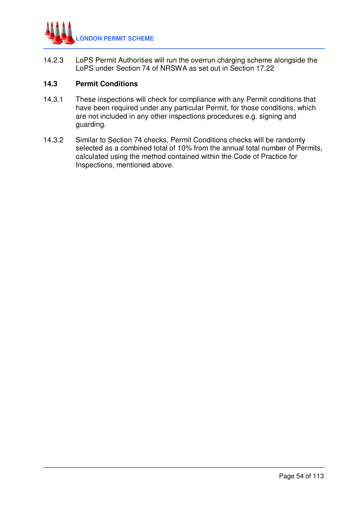

14.2.3 LoPS Permit Authorities will run the overrun charging scheme alongside the LoPS under Section 74 of NRSWA as set out in Section 17.22

# **14.3 Permit Conditions**

- 14.3.1 These inspections will check for compliance with any Permit conditions that have been required under any particular Permit, for those conditions, which are not included in any other inspections procedures e.g. signing and guarding.
- 14.3.2 Similar to Section 74 checks, Permit Conditions checks will be randomly selected as a combined total of 10% from the annual total number of Permits, calculated using the method contained within the Code of Practice for Inspections, mentioned above.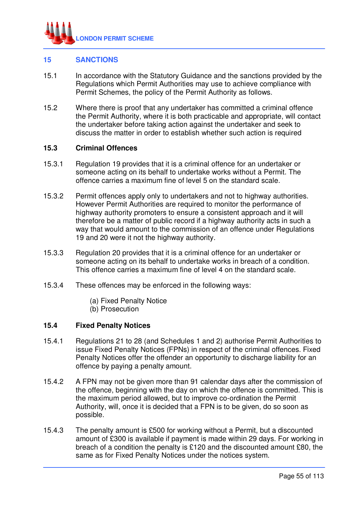

# **15 SANCTIONS**

- 15.1 In accordance with the Statutory Guidance and the sanctions provided by the Regulations which Permit Authorities may use to achieve compliance with Permit Schemes, the policy of the Permit Authority as follows.
- 15.2 Where there is proof that any undertaker has committed a criminal offence the Permit Authority, where it is both practicable and appropriate, will contact the undertaker before taking action against the undertaker and seek to discuss the matter in order to establish whether such action is required

### **15.3 Criminal Offences**

- 15.3.1 Regulation 19 provides that it is a criminal offence for an undertaker or someone acting on its behalf to undertake works without a Permit. The offence carries a maximum fine of level 5 on the standard scale.
- 15.3.2 Permit offences apply only to undertakers and not to highway authorities. However Permit Authorities are required to monitor the performance of highway authority promoters to ensure a consistent approach and it will therefore be a matter of public record if a highway authority acts in such a way that would amount to the commission of an offence under Regulations 19 and 20 were it not the highway authority.
- 15.3.3 Regulation 20 provides that it is a criminal offence for an undertaker or someone acting on its behalf to undertake works in breach of a condition. This offence carries a maximum fine of level 4 on the standard scale.
- 15.3.4 These offences may be enforced in the following ways:
	- (a) Fixed Penalty Notice
	- (b) Prosecution

### **15.4 Fixed Penalty Notices**

- 15.4.1 Regulations 21 to 28 (and Schedules 1 and 2) authorise Permit Authorities to issue Fixed Penalty Notices (FPNs) in respect of the criminal offences. Fixed Penalty Notices offer the offender an opportunity to discharge liability for an offence by paying a penalty amount.
- 15.4.2 A FPN may not be given more than 91 calendar days after the commission of the offence, beginning with the day on which the offence is committed. This is the maximum period allowed, but to improve co-ordination the Permit Authority, will, once it is decided that a FPN is to be given, do so soon as possible.
- 15.4.3 The penalty amount is £500 for working without a Permit, but a discounted amount of £300 is available if payment is made within 29 days. For working in breach of a condition the penalty is £120 and the discounted amount £80, the same as for Fixed Penalty Notices under the notices system.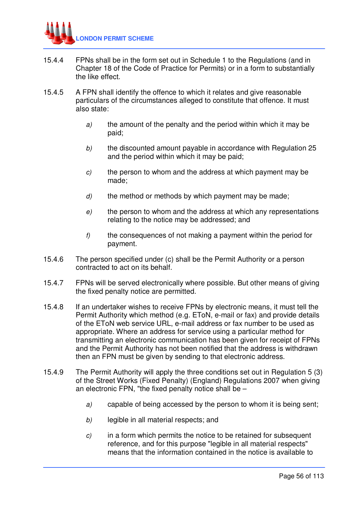

- 15.4.4 FPNs shall be in the form set out in Schedule 1 to the Regulations (and in Chapter 18 of the Code of Practice for Permits) or in a form to substantially the like effect.
- 15.4.5 A FPN shall identify the offence to which it relates and give reasonable particulars of the circumstances alleged to constitute that offence. It must also state:
	- $a$  the amount of the penalty and the period within which it may be paid;
	- b) the discounted amount payable in accordance with Regulation 25 and the period within which it may be paid;
	- $c$  the person to whom and the address at which payment may be made;
	- $d$  the method or methods by which payment may be made;
	- $e$ ) the person to whom and the address at which any representations relating to the notice may be addressed; and
	- $f$  the consequences of not making a payment within the period for payment.
- 15.4.6 The person specified under (c) shall be the Permit Authority or a person contracted to act on its behalf.
- 15.4.7 FPNs will be served electronically where possible. But other means of giving the fixed penalty notice are permitted.
- 15.4.8 If an undertaker wishes to receive FPNs by electronic means, it must tell the Permit Authority which method (e.g. EToN, e-mail or fax) and provide details of the EToN web service URL, e-mail address or fax number to be used as appropriate. Where an address for service using a particular method for transmitting an electronic communication has been given for receipt of FPNs and the Permit Authority has not been notified that the address is withdrawn then an FPN must be given by sending to that electronic address.
- 15.4.9 The Permit Authority will apply the three conditions set out in Regulation 5 (3) of the Street Works (Fixed Penalty) (England) Regulations 2007 when giving an electronic FPN, "the fixed penalty notice shall be –
	- a) capable of being accessed by the person to whom it is being sent;
	- b) legible in all material respects; and
	- $c$ ) in a form which permits the notice to be retained for subsequent reference, and for this purpose "legible in all material respects" means that the information contained in the notice is available to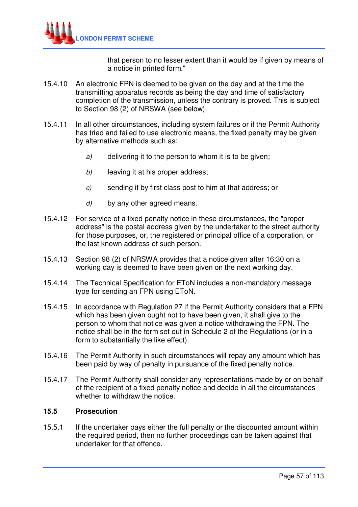

that person to no lesser extent than it would be if given by means of a notice in printed form."

- 15.4.10 An electronic FPN is deemed to be given on the day and at the time the transmitting apparatus records as being the day and time of satisfactory completion of the transmission, unless the contrary is proved. This is subject to Section 98 (2) of NRSWA (see below).
- 15.4.11 In all other circumstances, including system failures or if the Permit Authority has tried and failed to use electronic means, the fixed penalty may be given by alternative methods such as:
	- a) delivering it to the person to whom it is to be given:
	- b) leaving it at his proper address;
	- c) sending it by first class post to him at that address; or
	- d) by any other agreed means.
- 15.4.12 For service of a fixed penalty notice in these circumstances, the "proper address" is the postal address given by the undertaker to the street authority for those purposes, or, the registered or principal office of a corporation, or the last known address of such person.
- 15.4.13 Section 98 (2) of NRSWA provides that a notice given after 16:30 on a working day is deemed to have been given on the next working day.
- 15.4.14 The Technical Specification for EToN includes a non-mandatory message type for sending an FPN using EToN.
- 15.4.15 In accordance with Regulation 27 if the Permit Authority considers that a FPN which has been given ought not to have been given, it shall give to the person to whom that notice was given a notice withdrawing the FPN. The notice shall be in the form set out in Schedule 2 of the Regulations (or in a form to substantially the like effect).
- 15.4.16 The Permit Authority in such circumstances will repay any amount which has been paid by way of penalty in pursuance of the fixed penalty notice.
- 15.4.17 The Permit Authority shall consider any representations made by or on behalf of the recipient of a fixed penalty notice and decide in all the circumstances whether to withdraw the notice.

### **15.5 Prosecution**

15.5.1 If the undertaker pays either the full penalty or the discounted amount within the required period, then no further proceedings can be taken against that undertaker for that offence.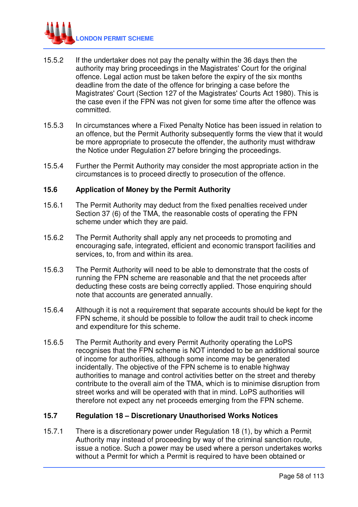

- 15.5.2 If the undertaker does not pay the penalty within the 36 days then the authority may bring proceedings in the Magistrates' Court for the original offence. Legal action must be taken before the expiry of the six months deadline from the date of the offence for bringing a case before the Magistrates' Court (Section 127 of the Magistrates' Courts Act 1980). This is the case even if the FPN was not given for some time after the offence was committed.
- 15.5.3 In circumstances where a Fixed Penalty Notice has been issued in relation to an offence, but the Permit Authority subsequently forms the view that it would be more appropriate to prosecute the offender, the authority must withdraw the Notice under Regulation 27 before bringing the proceedings.
- 15.5.4 Further the Permit Authority may consider the most appropriate action in the circumstances is to proceed directly to prosecution of the offence.

## **15.6 Application of Money by the Permit Authority**

- 15.6.1 The Permit Authority may deduct from the fixed penalties received under Section 37 (6) of the TMA, the reasonable costs of operating the FPN scheme under which they are paid.
- 15.6.2 The Permit Authority shall apply any net proceeds to promoting and encouraging safe, integrated, efficient and economic transport facilities and services, to, from and within its area.
- 15.6.3 The Permit Authority will need to be able to demonstrate that the costs of running the FPN scheme are reasonable and that the net proceeds after deducting these costs are being correctly applied. Those enquiring should note that accounts are generated annually.
- 15.6.4 Although it is not a requirement that separate accounts should be kept for the FPN scheme, it should be possible to follow the audit trail to check income and expenditure for this scheme.
- 15.6.5 The Permit Authority and every Permit Authority operating the LoPS recognises that the FPN scheme is NOT intended to be an additional source of income for authorities, although some income may be generated incidentally. The objective of the FPN scheme is to enable highway authorities to manage and control activities better on the street and thereby contribute to the overall aim of the TMA, which is to minimise disruption from street works and will be operated with that in mind. LoPS authorities will therefore not expect any net proceeds emerging from the FPN scheme.

### **15.7 Regulation 18 – Discretionary Unauthorised Works Notices**

15.7.1 There is a discretionary power under Regulation 18 (1), by which a Permit Authority may instead of proceeding by way of the criminal sanction route, issue a notice. Such a power may be used where a person undertakes works without a Permit for which a Permit is required to have been obtained or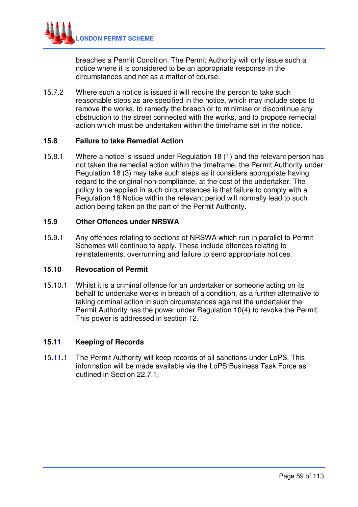

breaches a Permit Condition. The Permit Authority will only issue such a notice where it is considered to be an appropriate response in the circumstances and not as a matter of course.

15.7.2 Where such a notice is issued it will require the person to take such reasonable steps as are specified in the notice, which may include steps to remove the works, to remedy the breach or to minimise or discontinue any obstruction to the street connected with the works, and to propose remedial action which must be undertaken within the timeframe set in the notice.

## **15.8 Failure to take Remedial Action**

15.8.1 Where a notice is issued under Regulation 18 (1) and the relevant person has not taken the remedial action within the timeframe, the Permit Authority under Regulation 18 (3) may take such steps as it considers appropriate having regard to the original non-compliance, at the cost of the undertaker. The policy to be applied in such circumstances is that failure to comply with a Regulation 18 Notice within the relevant period will normally lead to such action being taken on the part of the Permit Authority.

## **15.9 Other Offences under NRSWA**

15.9.1 Any offences relating to sections of NRSWA which run in parallel to Permit Schemes will continue to apply. These include offences relating to reinstatements, overrunning and failure to send appropriate notices.

### **15.10 Revocation of Permit**

15.10.1 Whilst it is a criminal offence for an undertaker or someone acting on its behalf to undertake works in breach of a condition, as a further alternative to taking criminal action in such circumstances against the undertaker the Permit Authority has the power under Regulation 10(4) to revoke the Permit. This power is addressed in section 12.

# **15.11 Keeping of Records**

15.11.1 The Permit Authority will keep records of all sanctions under LoPS. This information will be made available via the LoPS Business Task Force as outlined in Section 22.7.1.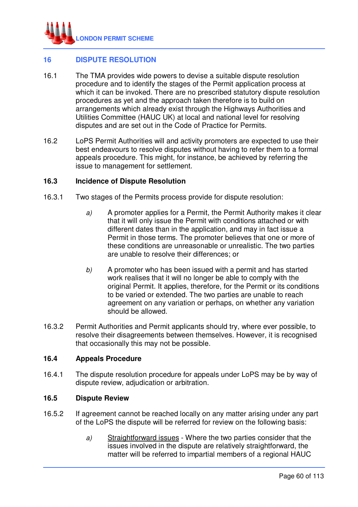

# **16 DISPUTE RESOLUTION**

- 16.1 The TMA provides wide powers to devise a suitable dispute resolution procedure and to identify the stages of the Permit application process at which it can be invoked. There are no prescribed statutory dispute resolution procedures as yet and the approach taken therefore is to build on arrangements which already exist through the Highways Authorities and Utilities Committee (HAUC UK) at local and national level for resolving disputes and are set out in the Code of Practice for Permits.
- 16.2 LoPS Permit Authorities will and activity promoters are expected to use their best endeavours to resolve disputes without having to refer them to a formal appeals procedure. This might, for instance, be achieved by referring the issue to management for settlement.

## **16.3 Incidence of Dispute Resolution**

- 16.3.1 Two stages of the Permits process provide for dispute resolution:
	- a) A promoter applies for a Permit, the Permit Authority makes it clear that it will only issue the Permit with conditions attached or with different dates than in the application, and may in fact issue a Permit in those terms. The promoter believes that one or more of these conditions are unreasonable or unrealistic. The two parties are unable to resolve their differences; or
	- b) A promoter who has been issued with a permit and has started work realises that it will no longer be able to comply with the original Permit. It applies, therefore, for the Permit or its conditions to be varied or extended. The two parties are unable to reach agreement on any variation or perhaps, on whether any variation should be allowed.
- 16.3.2 Permit Authorities and Permit applicants should try, where ever possible, to resolve their disagreements between themselves. However, it is recognised that occasionally this may not be possible.

### **16.4 Appeals Procedure**

16.4.1 The dispute resolution procedure for appeals under LoPS may be by way of dispute review, adjudication or arbitration.

### **16.5 Dispute Review**

- 16.5.2 If agreement cannot be reached locally on any matter arising under any part of the LoPS the dispute will be referred for review on the following basis:
	- a) Straightforward issues Where the two parties consider that the issues involved in the dispute are relatively straightforward, the matter will be referred to impartial members of a regional HAUC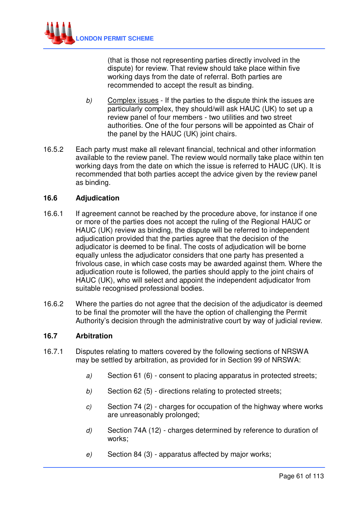

(that is those not representing parties directly involved in the dispute) for review. That review should take place within five working days from the date of referral. Both parties are recommended to accept the result as binding.

- b) Complex issues If the parties to the dispute think the issues are particularly complex, they should/will ask HAUC (UK) to set up a review panel of four members - two utilities and two street authorities. One of the four persons will be appointed as Chair of the panel by the HAUC (UK) joint chairs.
- 16.5.2 Each party must make all relevant financial, technical and other information available to the review panel. The review would normally take place within ten working days from the date on which the issue is referred to HAUC (UK). It is recommended that both parties accept the advice given by the review panel as binding.

## **16.6 Adjudication**

- 16.6.1 If agreement cannot be reached by the procedure above, for instance if one or more of the parties does not accept the ruling of the Regional HAUC or HAUC (UK) review as binding, the dispute will be referred to independent adjudication provided that the parties agree that the decision of the adjudicator is deemed to be final. The costs of adjudication will be borne equally unless the adjudicator considers that one party has presented a frivolous case, in which case costs may be awarded against them. Where the adjudication route is followed, the parties should apply to the joint chairs of HAUC (UK), who will select and appoint the independent adjudicator from suitable recognised professional bodies.
- 16.6.2 Where the parties do not agree that the decision of the adjudicator is deemed to be final the promoter will the have the option of challenging the Permit Authority's decision through the administrative court by way of judicial review.

## **16.7 Arbitration**

- 16.7.1 Disputes relating to matters covered by the following sections of NRSWA may be settled by arbitration, as provided for in Section 99 of NRSWA:
	- a) Section 61 (6) consent to placing apparatus in protected streets;
	- b) Section 62 (5) directions relating to protected streets;
	- c) Section 74 (2) charges for occupation of the highway where works are unreasonably prolonged;
	- d) Section 74A (12) charges determined by reference to duration of works;
	- e) Section 84 (3) apparatus affected by major works;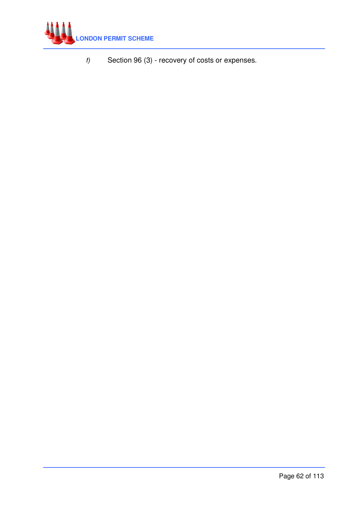

 $f$  Section 96 (3) - recovery of costs or expenses.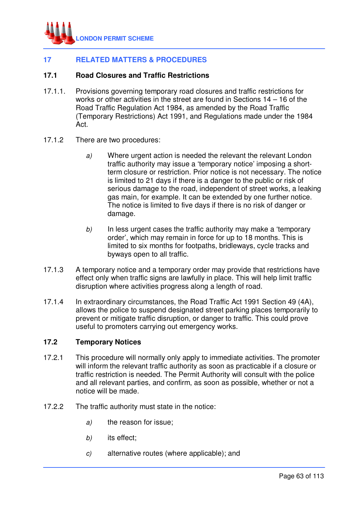

# **17 RELATED MATTERS & PROCEDURES**

# **17.1 Road Closures and Traffic Restrictions**

- 17.1.1. Provisions governing temporary road closures and traffic restrictions for works or other activities in the street are found in Sections 14 – 16 of the Road Traffic Regulation Act 1984, as amended by the Road Traffic (Temporary Restrictions) Act 1991, and Regulations made under the 1984 Act.
- 17.1.2 There are two procedures:
	- a) Where urgent action is needed the relevant the relevant London traffic authority may issue a 'temporary notice' imposing a shortterm closure or restriction. Prior notice is not necessary. The notice is limited to 21 days if there is a danger to the public or risk of serious damage to the road, independent of street works, a leaking gas main, for example. It can be extended by one further notice. The notice is limited to five days if there is no risk of danger or damage.
	- b) In less urgent cases the traffic authority may make a 'temporary order', which may remain in force for up to 18 months. This is limited to six months for footpaths, bridleways, cycle tracks and byways open to all traffic.
- 17.1.3 A temporary notice and a temporary order may provide that restrictions have effect only when traffic signs are lawfully in place. This will help limit traffic disruption where activities progress along a length of road.
- 17.1.4 In extraordinary circumstances, the Road Traffic Act 1991 Section 49 (4A), allows the police to suspend designated street parking places temporarily to prevent or mitigate traffic disruption, or danger to traffic. This could prove useful to promoters carrying out emergency works.

# **17.2 Temporary Notices**

- 17.2.1 This procedure will normally only apply to immediate activities. The promoter will inform the relevant traffic authority as soon as practicable if a closure or traffic restriction is needed. The Permit Authority will consult with the police and all relevant parties, and confirm, as soon as possible, whether or not a notice will be made.
- 17.2.2 The traffic authority must state in the notice:
	- a) the reason for issue;
	- b) its effect;
	- c) alternative routes (where applicable); and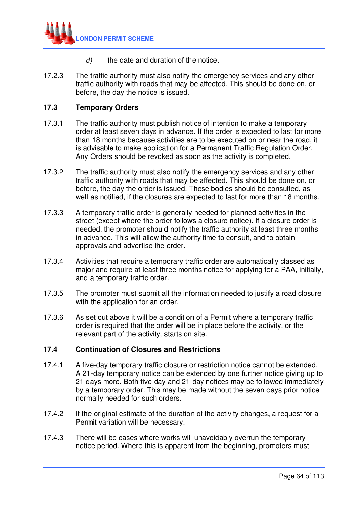

- $d$  the date and duration of the notice.
- 17.2.3 The traffic authority must also notify the emergency services and any other traffic authority with roads that may be affected. This should be done on, or before, the day the notice is issued.

## **17.3 Temporary Orders**

- 17.3.1 The traffic authority must publish notice of intention to make a temporary order at least seven days in advance. If the order is expected to last for more than 18 months because activities are to be executed on or near the road, it is advisable to make application for a Permanent Traffic Regulation Order. Any Orders should be revoked as soon as the activity is completed.
- 17.3.2 The traffic authority must also notify the emergency services and any other traffic authority with roads that may be affected. This should be done on, or before, the day the order is issued. These bodies should be consulted, as well as notified, if the closures are expected to last for more than 18 months.
- 17.3.3 A temporary traffic order is generally needed for planned activities in the street (except where the order follows a closure notice). If a closure order is needed, the promoter should notify the traffic authority at least three months in advance. This will allow the authority time to consult, and to obtain approvals and advertise the order.
- 17.3.4 Activities that require a temporary traffic order are automatically classed as major and require at least three months notice for applying for a PAA, initially, and a temporary traffic order.
- 17.3.5 The promoter must submit all the information needed to justify a road closure with the application for an order.
- 17.3.6 As set out above it will be a condition of a Permit where a temporary traffic order is required that the order will be in place before the activity, or the relevant part of the activity, starts on site.

## **17.4 Continuation of Closures and Restrictions**

- 17.4.1 A five-day temporary traffic closure or restriction notice cannot be extended. A 21-day temporary notice can be extended by one further notice giving up to 21 days more. Both five-day and 21-day notices may be followed immediately by a temporary order. This may be made without the seven days prior notice normally needed for such orders.
- 17.4.2 If the original estimate of the duration of the activity changes, a request for a Permit variation will be necessary.
- 17.4.3 There will be cases where works will unavoidably overrun the temporary notice period. Where this is apparent from the beginning, promoters must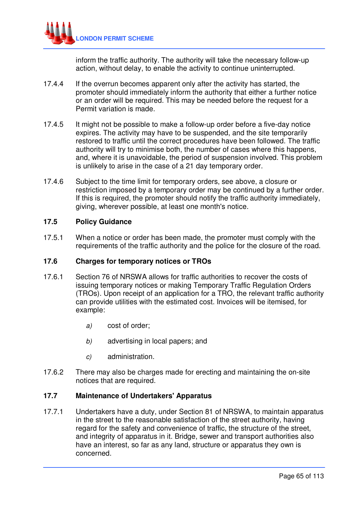

inform the traffic authority. The authority will take the necessary follow-up action, without delay, to enable the activity to continue uninterrupted.

- 17.4.4 If the overrun becomes apparent only after the activity has started, the promoter should immediately inform the authority that either a further notice or an order will be required. This may be needed before the request for a Permit variation is made.
- 17.4.5 It might not be possible to make a follow-up order before a five-day notice expires. The activity may have to be suspended, and the site temporarily restored to traffic until the correct procedures have been followed. The traffic authority will try to minimise both, the number of cases where this happens, and, where it is unavoidable, the period of suspension involved. This problem is unlikely to arise in the case of a 21 day temporary order.
- 17.4.6 Subject to the time limit for temporary orders, see above, a closure or restriction imposed by a temporary order may be continued by a further order. If this is required, the promoter should notify the traffic authority immediately, giving, wherever possible, at least one month's notice.

## **17.5 Policy Guidance**

17.5.1 When a notice or order has been made, the promoter must comply with the requirements of the traffic authority and the police for the closure of the road.

## **17.6 Charges for temporary notices or TROs**

- 17.6.1 Section 76 of NRSWA allows for traffic authorities to recover the costs of issuing temporary notices or making Temporary Traffic Regulation Orders (TROs). Upon receipt of an application for a TRO, the relevant traffic authority can provide utilities with the estimated cost. Invoices will be itemised, for example:
	- a) cost of order;
	- b) advertising in local papers; and
	- c) administration.
- 17.6.2 There may also be charges made for erecting and maintaining the on-site notices that are required.

# **17.7 Maintenance of Undertakers' Apparatus**

17.7.1 Undertakers have a duty, under Section 81 of NRSWA, to maintain apparatus in the street to the reasonable satisfaction of the street authority, having regard for the safety and convenience of traffic, the structure of the street, and integrity of apparatus in it. Bridge, sewer and transport authorities also have an interest, so far as any land, structure or apparatus they own is concerned.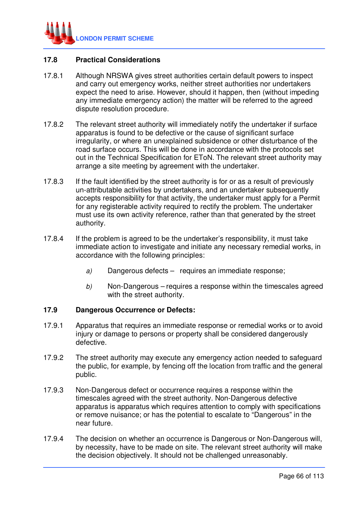

# **17.8 Practical Considerations**

- 17.8.1 Although NRSWA gives street authorities certain default powers to inspect and carry out emergency works, neither street authorities nor undertakers expect the need to arise. However, should it happen, then (without impeding any immediate emergency action) the matter will be referred to the agreed dispute resolution procedure.
- 17.8.2 The relevant street authority will immediately notify the undertaker if surface apparatus is found to be defective or the cause of significant surface irregularity, or where an unexplained subsidence or other disturbance of the road surface occurs. This will be done in accordance with the protocols set out in the Technical Specification for EToN. The relevant street authority may arrange a site meeting by agreement with the undertaker.
- 17.8.3 If the fault identified by the street authority is for or as a result of previously un-attributable activities by undertakers, and an undertaker subsequently accepts responsibility for that activity, the undertaker must apply for a Permit for any registerable activity required to rectify the problem. The undertaker must use its own activity reference, rather than that generated by the street authority.
- 17.8.4 If the problem is agreed to be the undertaker's responsibility, it must take immediate action to investigate and initiate any necessary remedial works, in accordance with the following principles:
	- a) Dangerous defects requires an immediate response;
	- $b$  Non-Dangerous requires a response within the timescales agreed with the street authority.

### **17.9 Dangerous Occurrence or Defects:**

- 17.9.1 Apparatus that requires an immediate response or remedial works or to avoid injury or damage to persons or property shall be considered dangerously defective.
- 17.9.2 The street authority may execute any emergency action needed to safeguard the public, for example, by fencing off the location from traffic and the general public.
- 17.9.3 Non-Dangerous defect or occurrence requires a response within the timescales agreed with the street authority. Non-Dangerous defective apparatus is apparatus which requires attention to comply with specifications or remove nuisance; or has the potential to escalate to "Dangerous" in the near future.
- 17.9.4 The decision on whether an occurrence is Dangerous or Non-Dangerous will, by necessity, have to be made on site. The relevant street authority will make the decision objectively. It should not be challenged unreasonably.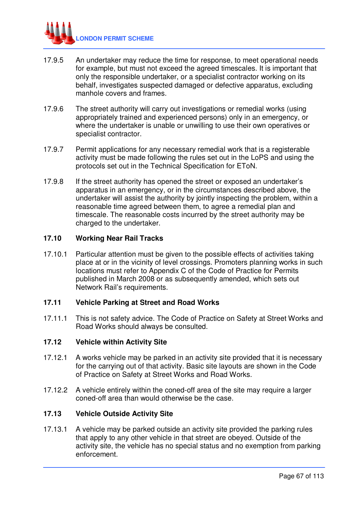

- 17.9.5 An undertaker may reduce the time for response, to meet operational needs for example, but must not exceed the agreed timescales. It is important that only the responsible undertaker, or a specialist contractor working on its behalf, investigates suspected damaged or defective apparatus, excluding manhole covers and frames.
- 17.9.6 The street authority will carry out investigations or remedial works (using appropriately trained and experienced persons) only in an emergency, or where the undertaker is unable or unwilling to use their own operatives or specialist contractor.
- 17.9.7 Permit applications for any necessary remedial work that is a registerable activity must be made following the rules set out in the LoPS and using the protocols set out in the Technical Specification for EToN.
- 17.9.8 If the street authority has opened the street or exposed an undertaker's apparatus in an emergency, or in the circumstances described above, the undertaker will assist the authority by jointly inspecting the problem, within a reasonable time agreed between them, to agree a remedial plan and timescale. The reasonable costs incurred by the street authority may be charged to the undertaker.

## **17.10 Working Near Rail Tracks**

17.10.1 Particular attention must be given to the possible effects of activities taking place at or in the vicinity of level crossings. Promoters planning works in such locations must refer to Appendix C of the Code of Practice for Permits published in March 2008 or as subsequently amended, which sets out Network Rail's requirements.

# **17.11 Vehicle Parking at Street and Road Works**

17.11.1 This is not safety advice. The Code of Practice on Safety at Street Works and Road Works should always be consulted.

### **17.12 Vehicle within Activity Site**

- 17.12.1 A works vehicle may be parked in an activity site provided that it is necessary for the carrying out of that activity. Basic site layouts are shown in the Code of Practice on Safety at Street Works and Road Works.
- 17.12.2 A vehicle entirely within the coned-off area of the site may require a larger coned-off area than would otherwise be the case.

# **17.13 Vehicle Outside Activity Site**

17.13.1 A vehicle may be parked outside an activity site provided the parking rules that apply to any other vehicle in that street are obeyed. Outside of the activity site, the vehicle has no special status and no exemption from parking enforcement.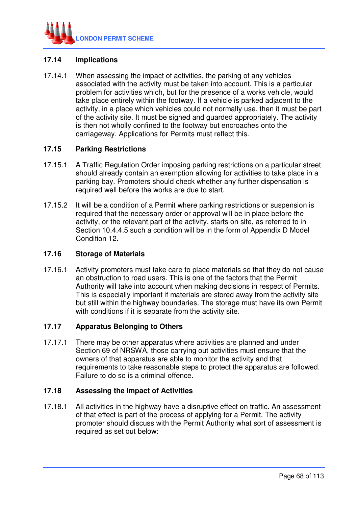

# **17.14 Implications**

17.14.1 When assessing the impact of activities, the parking of any vehicles associated with the activity must be taken into account. This is a particular problem for activities which, but for the presence of a works vehicle, would take place entirely within the footway. If a vehicle is parked adjacent to the activity, in a place which vehicles could not normally use, then it must be part of the activity site. It must be signed and guarded appropriately. The activity is then not wholly confined to the footway but encroaches onto the carriageway. Applications for Permits must reflect this.

# **17.15 Parking Restrictions**

- 17.15.1 A Traffic Regulation Order imposing parking restrictions on a particular street should already contain an exemption allowing for activities to take place in a parking bay. Promoters should check whether any further dispensation is required well before the works are due to start.
- 17.15.2 It will be a condition of a Permit where parking restrictions or suspension is required that the necessary order or approval will be in place before the activity, or the relevant part of the activity, starts on site, as referred to in Section 10.4.4.5 such a condition will be in the form of Appendix D Model Condition 12.

# **17.16 Storage of Materials**

17.16.1 Activity promoters must take care to place materials so that they do not cause an obstruction to road users. This is one of the factors that the Permit Authority will take into account when making decisions in respect of Permits. This is especially important if materials are stored away from the activity site but still within the highway boundaries. The storage must have its own Permit with conditions if it is separate from the activity site.

# **17.17 Apparatus Belonging to Others**

17.17.1 There may be other apparatus where activities are planned and under Section 69 of NRSWA, those carrying out activities must ensure that the owners of that apparatus are able to monitor the activity and that requirements to take reasonable steps to protect the apparatus are followed. Failure to do so is a criminal offence.

### **17.18 Assessing the Impact of Activities**

17.18.1 All activities in the highway have a disruptive effect on traffic. An assessment of that effect is part of the process of applying for a Permit. The activity promoter should discuss with the Permit Authority what sort of assessment is required as set out below: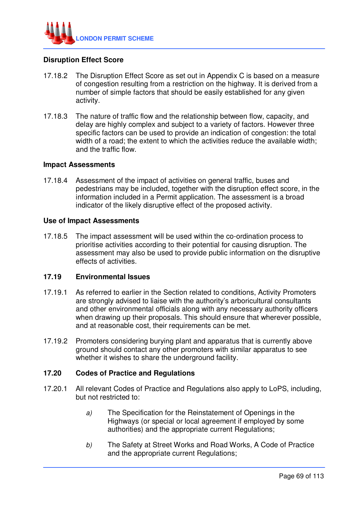

# **Disruption Effect Score**

- 17.18.2 The Disruption Effect Score as set out in Appendix C is based on a measure of congestion resulting from a restriction on the highway. It is derived from a number of simple factors that should be easily established for any given activity.
- 17.18.3 The nature of traffic flow and the relationship between flow, capacity, and delay are highly complex and subject to a variety of factors. However three specific factors can be used to provide an indication of congestion: the total width of a road; the extent to which the activities reduce the available width; and the traffic flow.

### **Impact Assessments**

17.18.4 Assessment of the impact of activities on general traffic, buses and pedestrians may be included, together with the disruption effect score, in the information included in a Permit application. The assessment is a broad indicator of the likely disruptive effect of the proposed activity.

## **Use of Impact Assessments**

17.18.5 The impact assessment will be used within the co-ordination process to prioritise activities according to their potential for causing disruption. The assessment may also be used to provide public information on the disruptive effects of activities.

## **17.19 Environmental Issues**

- 17.19.1 As referred to earlier in the Section related to conditions, Activity Promoters are strongly advised to liaise with the authority's arboricultural consultants and other environmental officials along with any necessary authority officers when drawing up their proposals. This should ensure that wherever possible, and at reasonable cost, their requirements can be met.
- 17.19.2 Promoters considering burying plant and apparatus that is currently above ground should contact any other promoters with similar apparatus to see whether it wishes to share the underground facility.

## **17.20 Codes of Practice and Regulations**

- 17.20.1 All relevant Codes of Practice and Regulations also apply to LoPS, including, but not restricted to:
	- a) The Specification for the Reinstatement of Openings in the Highways (or special or local agreement if employed by some authorities) and the appropriate current Regulations;
	- b) The Safety at Street Works and Road Works, A Code of Practice and the appropriate current Regulations;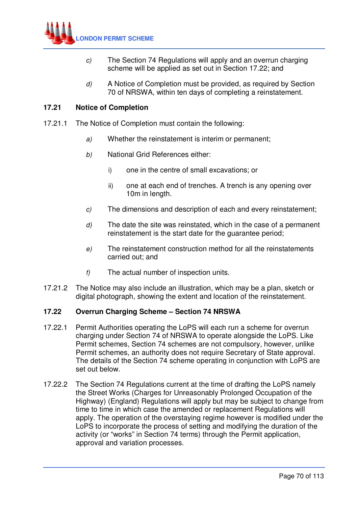

- c) The Section 74 Regulations will apply and an overrun charging scheme will be applied as set out in Section 17.22; and
- d) A Notice of Completion must be provided, as required by Section 70 of NRSWA, within ten days of completing a reinstatement.

# **17.21 Notice of Completion**

- 17.21.1 The Notice of Completion must contain the following:
	- a) Whether the reinstatement is interim or permanent;
	- b) National Grid References either:
		- i) one in the centre of small excavations; or
		- ii) one at each end of trenches. A trench is any opening over 10m in length.
	- c) The dimensions and description of each and every reinstatement;
	- $d$ ) The date the site was reinstated, which in the case of a permanent reinstatement is the start date for the guarantee period;
	- e) The reinstatement construction method for all the reinstatements carried out; and
	- f) The actual number of inspection units.
- 17.21.2 The Notice may also include an illustration, which may be a plan, sketch or digital photograph, showing the extent and location of the reinstatement.

# **17.22 Overrun Charging Scheme – Section 74 NRSWA**

- 17.22.1 Permit Authorities operating the LoPS will each run a scheme for overrun charging under Section 74 of NRSWA to operate alongside the LoPS. Like Permit schemes, Section 74 schemes are not compulsory, however, unlike Permit schemes, an authority does not require Secretary of State approval. The details of the Section 74 scheme operating in conjunction with LoPS are set out below.
- 17.22.2 The Section 74 Regulations current at the time of drafting the LoPS namely the Street Works (Charges for Unreasonably Prolonged Occupation of the Highway) (England) Regulations will apply but may be subject to change from time to time in which case the amended or replacement Regulations will apply. The operation of the overstaying regime however is modified under the LoPS to incorporate the process of setting and modifying the duration of the activity (or "works" in Section 74 terms) through the Permit application, approval and variation processes.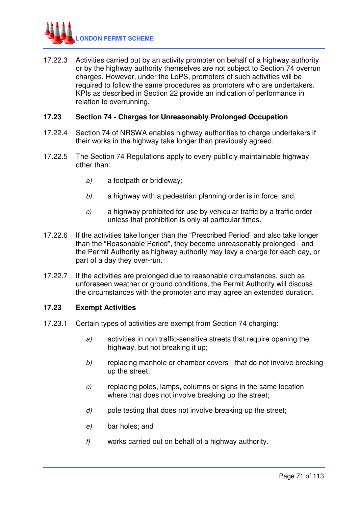

17.22.3 Activities carried out by an activity promoter on behalf of a highway authority or by the highway authority themselves are not subject to Section 74 overrun charges. However, under the LoPS, promoters of such activities will be required to follow the same procedures as promoters who are undertakers. KPIs as described in Section 22 provide an indication of performance in relation to overrunning.

## **17.23 Section 74 - Charges for Unreasonably Prolonged Occupation**

- 17.22.4 Section 74 of NRSWA enables highway authorities to charge undertakers if their works in the highway take longer than previously agreed.
- 17.22.5 The Section 74 Regulations apply to every publicly maintainable highway other than:
	- a) a footpath or bridleway;
	- $b$  a highway with a pedestrian planning order is in force; and,
	- c) a highway prohibited for use by vehicular traffic by a traffic order unless that prohibition is only at particular times.
- 17.22.6 If the activities take longer than the "Prescribed Period" and also take longer than the "Reasonable Period", they become unreasonably prolonged - and the Permit Authority as highway authority may levy a charge for each day, or part of a day they over-run.
- 17.22.7 If the activities are prolonged due to reasonable circumstances, such as unforeseen weather or ground conditions, the Permit Authority will discuss the circumstances with the promoter and may agree an extended duration.

## **17.23 Exempt Activities**

- 17.23.1 Certain types of activities are exempt from Section 74 charging:
	- a) activities in non traffic-sensitive streets that require opening the highway, but not breaking it up;
	- b) replacing manhole or chamber covers that do not involve breaking up the street;
	- c) replacing poles, lamps, columns or signs in the same location where that does not involve breaking up the street;
	- $d$  pole testing that does not involve breaking up the street;
	- e) bar holes; and
	- f) works carried out on behalf of a highway authority.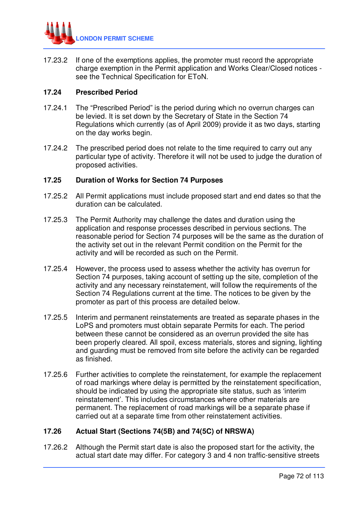

17.23.2 If one of the exemptions applies, the promoter must record the appropriate charge exemption in the Permit application and Works Clear/Closed notices see the Technical Specification for EToN.

# **17.24 Prescribed Period**

- 17.24.1 The "Prescribed Period" is the period during which no overrun charges can be levied. It is set down by the Secretary of State in the Section 74 Regulations which currently (as of April 2009) provide it as two days, starting on the day works begin.
- 17.24.2 The prescribed period does not relate to the time required to carry out any particular type of activity. Therefore it will not be used to judge the duration of proposed activities.

### **17.25 Duration of Works for Section 74 Purposes**

- 17.25.2 All Permit applications must include proposed start and end dates so that the duration can be calculated.
- 17.25.3 The Permit Authority may challenge the dates and duration using the application and response processes described in pervious sections. The reasonable period for Section 74 purposes will be the same as the duration of the activity set out in the relevant Permit condition on the Permit for the activity and will be recorded as such on the Permit.
- 17.25.4 However, the process used to assess whether the activity has overrun for Section 74 purposes, taking account of setting up the site, completion of the activity and any necessary reinstatement, will follow the requirements of the Section 74 Regulations current at the time. The notices to be given by the promoter as part of this process are detailed below.
- 17.25.5 Interim and permanent reinstatements are treated as separate phases in the LoPS and promoters must obtain separate Permits for each. The period between these cannot be considered as an overrun provided the site has been properly cleared. All spoil, excess materials, stores and signing, lighting and guarding must be removed from site before the activity can be regarded as finished.
- 17.25.6 Further activities to complete the reinstatement, for example the replacement of road markings where delay is permitted by the reinstatement specification, should be indicated by using the appropriate site status, such as 'interim reinstatement'. This includes circumstances where other materials are permanent. The replacement of road markings will be a separate phase if carried out at a separate time from other reinstatement activities.

# **17.26 Actual Start (Sections 74(5B) and 74(5C) of NRSWA)**

17.26.2 Although the Permit start date is also the proposed start for the activity, the actual start date may differ. For category 3 and 4 non traffic-sensitive streets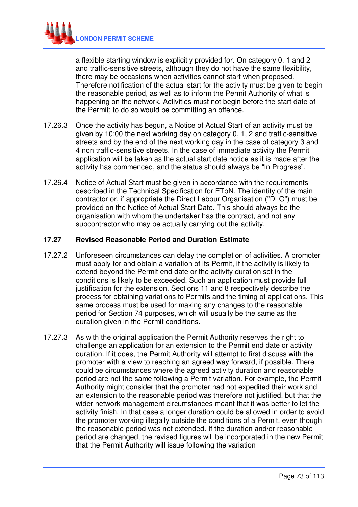

a flexible starting window is explicitly provided for. On category 0, 1 and 2 and traffic-sensitive streets, although they do not have the same flexibility, there may be occasions when activities cannot start when proposed. Therefore notification of the actual start for the activity must be given to begin the reasonable period, as well as to inform the Permit Authority of what is happening on the network. Activities must not begin before the start date of the Permit; to do so would be committing an offence.

- 17.26.3 Once the activity has begun, a Notice of Actual Start of an activity must be given by 10:00 the next working day on category 0, 1, 2 and traffic-sensitive streets and by the end of the next working day in the case of category 3 and 4 non traffic-sensitive streets. In the case of immediate activity the Permit application will be taken as the actual start date notice as it is made after the activity has commenced, and the status should always be "In Progress".
- 17.26.4 Notice of Actual Start must be given in accordance with the requirements described in the Technical Specification for EToN. The identity of the main contractor or, if appropriate the Direct Labour Organisation ("DLO") must be provided on the Notice of Actual Start Date. This should always be the organisation with whom the undertaker has the contract, and not any subcontractor who may be actually carrying out the activity.

### **17.27 Revised Reasonable Period and Duration Estimate**

- 17.27.2 Unforeseen circumstances can delay the completion of activities. A promoter must apply for and obtain a variation of its Permit, if the activity is likely to extend beyond the Permit end date or the activity duration set in the conditions is likely to be exceeded. Such an application must provide full justification for the extension. Sections 11 and 8 respectively describe the process for obtaining variations to Permits and the timing of applications. This same process must be used for making any changes to the reasonable period for Section 74 purposes, which will usually be the same as the duration given in the Permit conditions.
- 17.27.3 As with the original application the Permit Authority reserves the right to challenge an application for an extension to the Permit end date or activity duration. If it does, the Permit Authority will attempt to first discuss with the promoter with a view to reaching an agreed way forward, if possible. There could be circumstances where the agreed activity duration and reasonable period are not the same following a Permit variation. For example, the Permit Authority might consider that the promoter had not expedited their work and an extension to the reasonable period was therefore not justified, but that the wider network management circumstances meant that it was better to let the activity finish. In that case a longer duration could be allowed in order to avoid the promoter working illegally outside the conditions of a Permit, even though the reasonable period was not extended. If the duration and/or reasonable period are changed, the revised figures will be incorporated in the new Permit that the Permit Authority will issue following the variation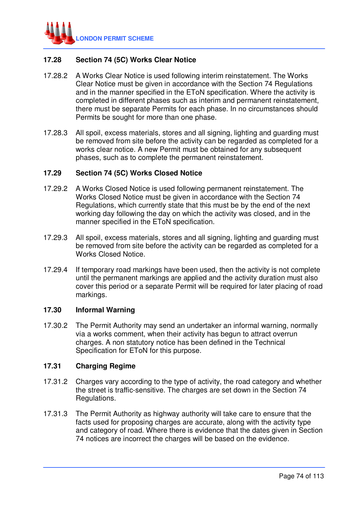

## **17.28 Section 74 (5C) Works Clear Notice**

- 17.28.2 A Works Clear Notice is used following interim reinstatement. The Works Clear Notice must be given in accordance with the Section 74 Regulations and in the manner specified in the EToN specification. Where the activity is completed in different phases such as interim and permanent reinstatement, there must be separate Permits for each phase. In no circumstances should Permits be sought for more than one phase.
- 17.28.3 All spoil, excess materials, stores and all signing, lighting and guarding must be removed from site before the activity can be regarded as completed for a works clear notice. A new Permit must be obtained for any subsequent phases, such as to complete the permanent reinstatement.

#### **17.29 Section 74 (5C) Works Closed Notice**

- 17.29.2 A Works Closed Notice is used following permanent reinstatement. The Works Closed Notice must be given in accordance with the Section 74 Regulations, which currently state that this must be by the end of the next working day following the day on which the activity was closed, and in the manner specified in the EToN specification.
- 17.29.3 All spoil, excess materials, stores and all signing, lighting and guarding must be removed from site before the activity can be regarded as completed for a Works Closed Notice.
- 17.29.4 If temporary road markings have been used, then the activity is not complete until the permanent markings are applied and the activity duration must also cover this period or a separate Permit will be required for later placing of road markings.

#### **17.30 Informal Warning**

17.30.2 The Permit Authority may send an undertaker an informal warning, normally via a works comment, when their activity has begun to attract overrun charges. A non statutory notice has been defined in the Technical Specification for EToN for this purpose.

### **17.31 Charging Regime**

- 17.31.2 Charges vary according to the type of activity, the road category and whether the street is traffic-sensitive. The charges are set down in the Section 74 Regulations.
- 17.31.3 The Permit Authority as highway authority will take care to ensure that the facts used for proposing charges are accurate, along with the activity type and category of road. Where there is evidence that the dates given in Section 74 notices are incorrect the charges will be based on the evidence.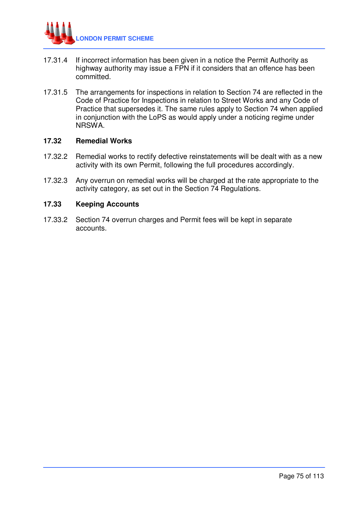

- 17.31.4 If incorrect information has been given in a notice the Permit Authority as highway authority may issue a FPN if it considers that an offence has been committed.
- 17.31.5 The arrangements for inspections in relation to Section 74 are reflected in the Code of Practice for Inspections in relation to Street Works and any Code of Practice that supersedes it. The same rules apply to Section 74 when applied in conjunction with the LoPS as would apply under a noticing regime under NRSWA.

#### **17.32 Remedial Works**

- 17.32.2 Remedial works to rectify defective reinstatements will be dealt with as a new activity with its own Permit, following the full procedures accordingly.
- 17.32.3 Any overrun on remedial works will be charged at the rate appropriate to the activity category, as set out in the Section 74 Regulations.

#### **17.33 Keeping Accounts**

17.33.2 Section 74 overrun charges and Permit fees will be kept in separate accounts.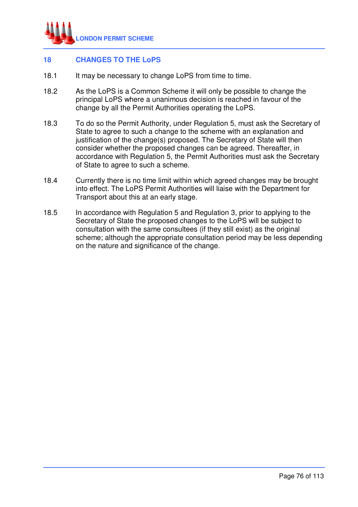

# **18 CHANGES TO THE LoPS**

- 18.1 It may be necessary to change LoPS from time to time.
- 18.2 As the LoPS is a Common Scheme it will only be possible to change the principal LoPS where a unanimous decision is reached in favour of the change by all the Permit Authorities operating the LoPS.
- 18.3 To do so the Permit Authority, under Regulation 5, must ask the Secretary of State to agree to such a change to the scheme with an explanation and justification of the change(s) proposed. The Secretary of State will then consider whether the proposed changes can be agreed. Thereafter, in accordance with Regulation 5, the Permit Authorities must ask the Secretary of State to agree to such a scheme.
- 18.4 Currently there is no time limit within which agreed changes may be brought into effect. The LoPS Permit Authorities will liaise with the Department for Transport about this at an early stage.
- 18.5 In accordance with Regulation 5 and Regulation 3, prior to applying to the Secretary of State the proposed changes to the LoPS will be subject to consultation with the same consultees (if they still exist) as the original scheme; although the appropriate consultation period may be less depending on the nature and significance of the change.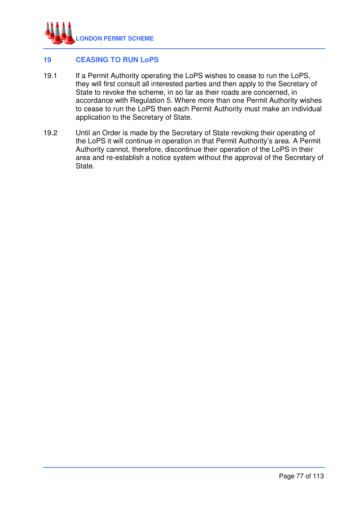

## **19 CEASING TO RUN LoPS**

- 19.1 If a Permit Authority operating the LoPS wishes to cease to run the LoPS, they will first consult all interested parties and then apply to the Secretary of State to revoke the scheme, in so far as their roads are concerned, in accordance with Regulation 5. Where more than one Permit Authority wishes to cease to run the LoPS then each Permit Authority must make an individual application to the Secretary of State.
- 19.2 Until an Order is made by the Secretary of State revoking their operating of the LoPS it will continue in operation in that Permit Authority's area. A Permit Authority cannot, therefore, discontinue their operation of the LoPS in their area and re-establish a notice system without the approval of the Secretary of State.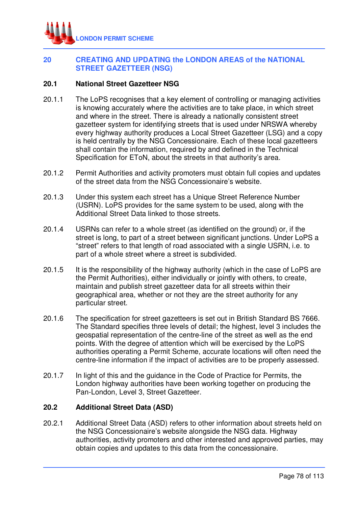

## **20 CREATING AND UPDATING the LONDON AREAS of the NATIONAL STREET GAZETTEER (NSG)**

### **20.1 National Street Gazetteer NSG**

- 20.1.1 The LoPS recognises that a key element of controlling or managing activities is knowing accurately where the activities are to take place, in which street and where in the street. There is already a nationally consistent street gazetteer system for identifying streets that is used under NRSWA whereby every highway authority produces a Local Street Gazetteer (LSG) and a copy is held centrally by the NSG Concessionaire. Each of these local gazetteers shall contain the information, required by and defined in the Technical Specification for EToN, about the streets in that authority's area.
- 20.1.2 Permit Authorities and activity promoters must obtain full copies and updates of the street data from the NSG Concessionaire's website.
- 20.1.3 Under this system each street has a Unique Street Reference Number (USRN). LoPS provides for the same system to be used, along with the Additional Street Data linked to those streets.
- 20.1.4 USRNs can refer to a whole street (as identified on the ground) or, if the street is long, to part of a street between significant junctions. Under LoPS a "street" refers to that length of road associated with a single USRN, i.e. to part of a whole street where a street is subdivided.
- 20.1.5 It is the responsibility of the highway authority (which in the case of LoPS are the Permit Authorities), either individually or jointly with others, to create, maintain and publish street gazetteer data for all streets within their geographical area, whether or not they are the street authority for any particular street.
- 20.1.6 The specification for street gazetteers is set out in British Standard BS 7666. The Standard specifies three levels of detail; the highest, level 3 includes the geospatial representation of the centre-line of the street as well as the end points. With the degree of attention which will be exercised by the LoPS authorities operating a Permit Scheme, accurate locations will often need the centre-line information if the impact of activities are to be properly assessed.
- 20.1.7 In light of this and the guidance in the Code of Practice for Permits, the London highway authorities have been working together on producing the Pan-London, Level 3, Street Gazetteer.

### **20.2 Additional Street Data (ASD)**

20.2.1 Additional Street Data (ASD) refers to other information about streets held on the NSG Concessionaire's website alongside the NSG data. Highway authorities, activity promoters and other interested and approved parties, may obtain copies and updates to this data from the concessionaire.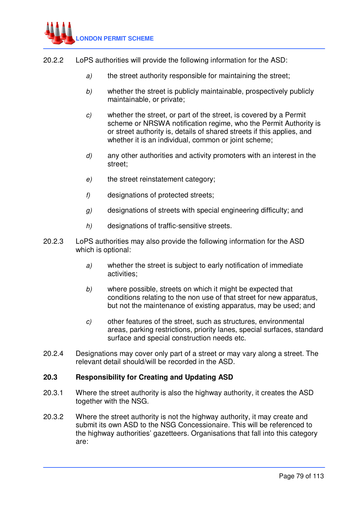

- 20.2.2 LoPS authorities will provide the following information for the ASD:
	- a) the street authority responsible for maintaining the street;
	- b) whether the street is publicly maintainable, prospectively publicly maintainable, or private;
	- c) whether the street, or part of the street, is covered by a Permit scheme or NRSWA notification regime, who the Permit Authority is or street authority is, details of shared streets if this applies, and whether it is an individual, common or joint scheme;
	- d) any other authorities and activity promoters with an interest in the street;
	- e) the street reinstatement category;
	- f) designations of protected streets;
	- $g$ ) designations of streets with special engineering difficulty; and
	- h) designations of traffic-sensitive streets.
- 20.2.3 LoPS authorities may also provide the following information for the ASD which is optional:
	- a) whether the street is subject to early notification of immediate activities;
	- b) where possible, streets on which it might be expected that conditions relating to the non use of that street for new apparatus, but not the maintenance of existing apparatus, may be used; and
	- c) other features of the street, such as structures, environmental areas, parking restrictions, priority lanes, special surfaces, standard surface and special construction needs etc.
- 20.2.4 Designations may cover only part of a street or may vary along a street. The relevant detail should/will be recorded in the ASD.

#### **20.3 Responsibility for Creating and Updating ASD**

- 20.3.1 Where the street authority is also the highway authority, it creates the ASD together with the NSG.
- 20.3.2 Where the street authority is not the highway authority, it may create and submit its own ASD to the NSG Concessionaire. This will be referenced to the highway authorities' gazetteers. Organisations that fall into this category are: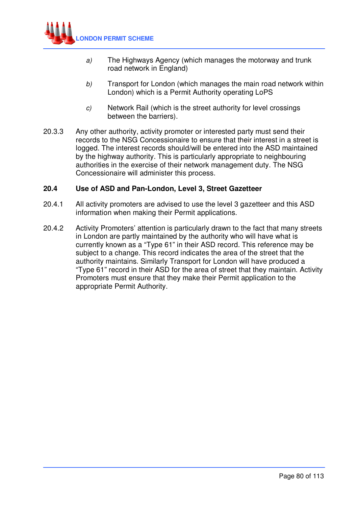

- a) The Highways Agency (which manages the motorway and trunk road network in England)
- b) Transport for London (which manages the main road network within London) which is a Permit Authority operating LoPS
- c) Network Rail (which is the street authority for level crossings between the barriers).
- 20.3.3 Any other authority, activity promoter or interested party must send their records to the NSG Concessionaire to ensure that their interest in a street is logged. The interest records should/will be entered into the ASD maintained by the highway authority. This is particularly appropriate to neighbouring authorities in the exercise of their network management duty. The NSG Concessionaire will administer this process.

### **20.4 Use of ASD and Pan-London, Level 3, Street Gazetteer**

- 20.4.1 All activity promoters are advised to use the level 3 gazetteer and this ASD information when making their Permit applications.
- 20.4.2 Activity Promoters' attention is particularly drawn to the fact that many streets in London are partly maintained by the authority who will have what is currently known as a "Type 61" in their ASD record. This reference may be subject to a change. This record indicates the area of the street that the authority maintains. Similarly Transport for London will have produced a "Type 61" record in their ASD for the area of street that they maintain. Activity Promoters must ensure that they make their Permit application to the appropriate Permit Authority.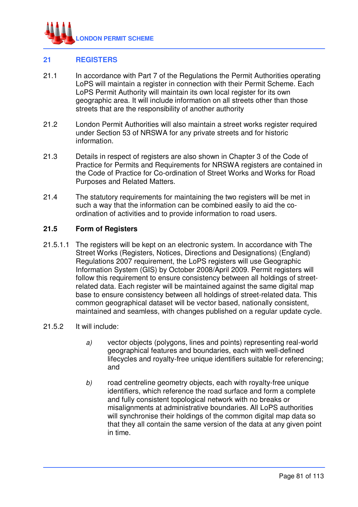

## **21 REGISTERS**

- 21.1 In accordance with Part 7 of the Regulations the Permit Authorities operating LoPS will maintain a register in connection with their Permit Scheme. Each LoPS Permit Authority will maintain its own local register for its own geographic area. It will include information on all streets other than those streets that are the responsibility of another authority
- 21.2 London Permit Authorities will also maintain a street works register required under Section 53 of NRSWA for any private streets and for historic information.
- 21.3 Details in respect of registers are also shown in Chapter 3 of the Code of Practice for Permits and Requirements for NRSWA registers are contained in the Code of Practice for Co-ordination of Street Works and Works for Road Purposes and Related Matters.
- 21.4 The statutory requirements for maintaining the two registers will be met in such a way that the information can be combined easily to aid the coordination of activities and to provide information to road users.

### **21.5 Form of Registers**

21.5.1.1 The registers will be kept on an electronic system. In accordance with The Street Works (Registers, Notices, Directions and Designations) (England) Regulations 2007 requirement, the LoPS registers will use Geographic Information System (GIS) by October 2008/April 2009. Permit registers will follow this requirement to ensure consistency between all holdings of streetrelated data. Each register will be maintained against the same digital map base to ensure consistency between all holdings of street-related data. This common geographical dataset will be vector based, nationally consistent, maintained and seamless, with changes published on a regular update cycle.

#### 21.5.2 It will include:

- a) vector objects (polygons, lines and points) representing real-world geographical features and boundaries, each with well-defined lifecycles and royalty-free unique identifiers suitable for referencing; and
- b) road centreline geometry objects, each with royalty-free unique identifiers, which reference the road surface and form a complete and fully consistent topological network with no breaks or misalignments at administrative boundaries. All LoPS authorities will synchronise their holdings of the common digital map data so that they all contain the same version of the data at any given point in time.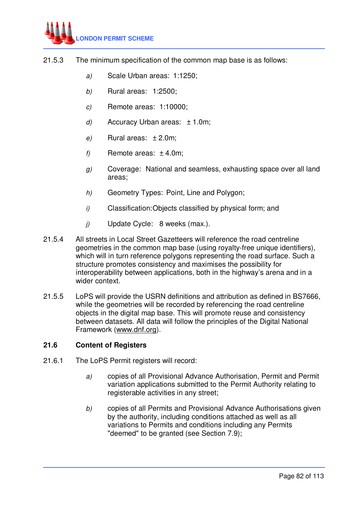

- 21.5.3 The minimum specification of the common map base is as follows:
	- a) Scale Urban areas: 1:1250;
	- b) Rural areas: 1:2500;
	- c) Remote areas: 1:10000;
	- d) Accuracy Urban areas:  $\pm$  1.0m;
	- e) Rural areas:  $\pm 2.0$ m;
	- f) Remote areas:  $\pm$  4.0m;
	- g) Coverage: National and seamless, exhausting space over all land areas;
	- h) Geometry Types: Point, Line and Polygon:
	- i) Classification: Objects classified by physical form; and
	- j) Update Cycle: 8 weeks (max.).
- 21.5.4 All streets in Local Street Gazetteers will reference the road centreline geometries in the common map base (using royalty-free unique identifiers), which will in turn reference polygons representing the road surface. Such a structure promotes consistency and maximises the possibility for interoperability between applications, both in the highway's arena and in a wider context.
- 21.5.5 LoPS will provide the USRN definitions and attribution as defined in BS7666, while the geometries will be recorded by referencing the road centreline objects in the digital map base. This will promote reuse and consistency between datasets. All data will follow the principles of the Digital National Framework (www.dnf.org).

#### **21.6 Content of Registers**

- 21.6.1 The LoPS Permit registers will record:
	- a) copies of all Provisional Advance Authorisation, Permit and Permit variation applications submitted to the Permit Authority relating to registerable activities in any street;
	- b) copies of all Permits and Provisional Advance Authorisations given by the authority, including conditions attached as well as all variations to Permits and conditions including any Permits "deemed" to be granted (see Section 7.9);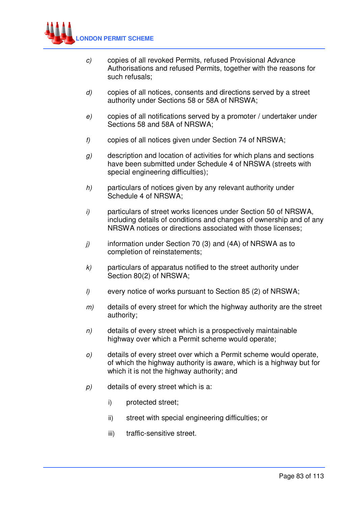

- c) copies of all revoked Permits, refused Provisional Advance Authorisations and refused Permits, together with the reasons for such refusals;
- d) copies of all notices, consents and directions served by a street authority under Sections 58 or 58A of NRSWA;
- e) copies of all notifications served by a promoter / undertaker under Sections 58 and 58A of NRSWA;
- f) copies of all notices given under Section 74 of NRSWA;
- g) description and location of activities for which plans and sections have been submitted under Schedule 4 of NRSWA (streets with special engineering difficulties);
- $h$  particulars of notices given by any relevant authority under Schedule 4 of NRSWA;
- i) particulars of street works licences under Section 50 of NRSWA, including details of conditions and changes of ownership and of any NRSWA notices or directions associated with those licenses;
- $j$  information under Section 70 (3) and (4A) of NRSWA as to completion of reinstatements;
- $k$ ) particulars of apparatus notified to the street authority under Section 80(2) of NRSWA;
- l) every notice of works pursuant to Section 85 (2) of NRSWA;
- $m$ ) details of every street for which the highway authority are the street authority;
- $n$  details of every street which is a prospectively maintainable highway over which a Permit scheme would operate;
- o) details of every street over which a Permit scheme would operate, of which the highway authority is aware, which is a highway but for which it is not the highway authority; and
- p) details of every street which is a:
	- i) protected street;
	- ii) street with special engineering difficulties; or
	- iii) traffic-sensitive street.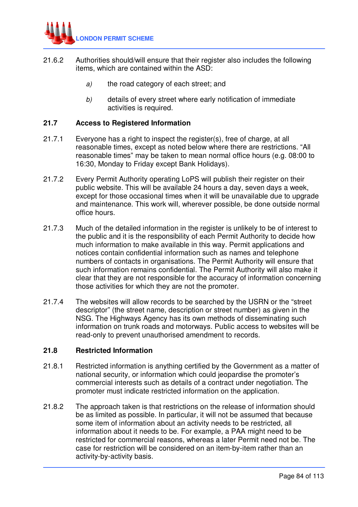

- 21.6.2 Authorities should/will ensure that their register also includes the following items, which are contained within the ASD:
	- a) the road category of each street; and
	- b) details of every street where early notification of immediate activities is required.

### **21.7 Access to Registered Information**

- 21.7.1 Everyone has a right to inspect the register(s), free of charge, at all reasonable times, except as noted below where there are restrictions. "All reasonable times" may be taken to mean normal office hours (e.g. 08:00 to 16:30, Monday to Friday except Bank Holidays).
- 21.7.2 Every Permit Authority operating LoPS will publish their register on their public website. This will be available 24 hours a day, seven days a week, except for those occasional times when it will be unavailable due to upgrade and maintenance. This work will, wherever possible, be done outside normal office hours.
- 21.7.3 Much of the detailed information in the register is unlikely to be of interest to the public and it is the responsibility of each Permit Authority to decide how much information to make available in this way. Permit applications and notices contain confidential information such as names and telephone numbers of contacts in organisations. The Permit Authority will ensure that such information remains confidential. The Permit Authority will also make it clear that they are not responsible for the accuracy of information concerning those activities for which they are not the promoter.
- 21.7.4 The websites will allow records to be searched by the USRN or the "street descriptor" (the street name, description or street number) as given in the NSG. The Highways Agency has its own methods of disseminating such information on trunk roads and motorways. Public access to websites will be read-only to prevent unauthorised amendment to records.

#### **21.8 Restricted Information**

- 21.8.1 Restricted information is anything certified by the Government as a matter of national security, or information which could jeopardise the promoter's commercial interests such as details of a contract under negotiation. The promoter must indicate restricted information on the application.
- 21.8.2 The approach taken is that restrictions on the release of information should be as limited as possible. In particular, it will not be assumed that because some item of information about an activity needs to be restricted, all information about it needs to be. For example, a PAA might need to be restricted for commercial reasons, whereas a later Permit need not be. The case for restriction will be considered on an item-by-item rather than an activity-by-activity basis.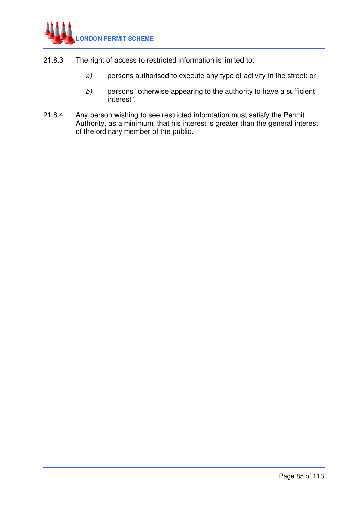

- 21.8.3 The right of access to restricted information is limited to:
	- a) persons authorised to execute any type of activity in the street; or
	- b) persons "otherwise appearing to the authority to have a sufficient interest".
- 21.8.4 Any person wishing to see restricted information must satisfy the Permit Authority, as a minimum, that his interest is greater than the general interest of the ordinary member of the public.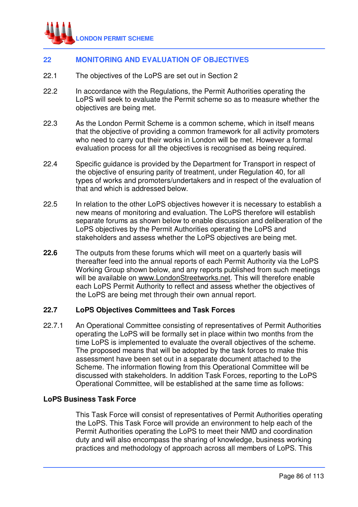

## **22 MONITORING AND EVALUATION OF OBJECTIVES**

- 22.1 The objectives of the LoPS are set out in Section 2
- 22.2 In accordance with the Regulations, the Permit Authorities operating the LoPS will seek to evaluate the Permit scheme so as to measure whether the objectives are being met.
- 22.3 As the London Permit Scheme is a common scheme, which in itself means that the objective of providing a common framework for all activity promoters who need to carry out their works in London will be met. However a formal evaluation process for all the objectives is recognised as being required.
- 22.4 Specific guidance is provided by the Department for Transport in respect of the objective of ensuring parity of treatment, under Regulation 40, for all types of works and promoters/undertakers and in respect of the evaluation of that and which is addressed below.
- 22.5 In relation to the other LoPS objectives however it is necessary to establish a new means of monitoring and evaluation. The LoPS therefore will establish separate forums as shown below to enable discussion and deliberation of the LoPS objectives by the Permit Authorities operating the LoPS and stakeholders and assess whether the LoPS objectives are being met.
- **22.6** The outputs from these forums which will meet on a quarterly basis will thereafter feed into the annual reports of each Permit Authority via the LoPS Working Group shown below, and any reports published from such meetings will be available on www.LondonStreetworks.net. This will therefore enable each LoPS Permit Authority to reflect and assess whether the objectives of the LoPS are being met through their own annual report.

#### **22.7 LoPS Objectives Committees and Task Forces**

22.7.1 An Operational Committee consisting of representatives of Permit Authorities operating the LoPS will be formally set in place within two months from the time LoPS is implemented to evaluate the overall objectives of the scheme. The proposed means that will be adopted by the task forces to make this assessment have been set out in a separate document attached to the Scheme. The information flowing from this Operational Committee will be discussed with stakeholders. In addition Task Forces, reporting to the LoPS Operational Committee, will be established at the same time as follows:

### **LoPS Business Task Force**

This Task Force will consist of representatives of Permit Authorities operating the LoPS. This Task Force will provide an environment to help each of the Permit Authorities operating the LoPS to meet their NMD and coordination duty and will also encompass the sharing of knowledge, business working practices and methodology of approach across all members of LoPS. This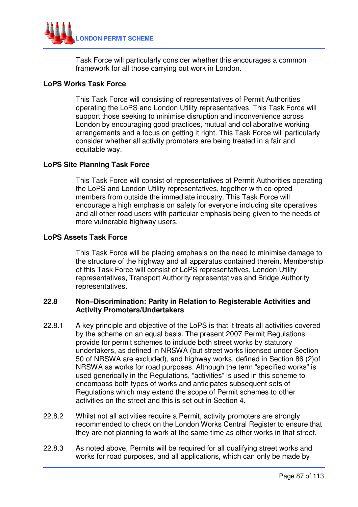

Task Force will particularly consider whether this encourages a common framework for all those carrying out work in London.

### **LoPS Works Task Force**

This Task Force will consisting of representatives of Permit Authorities operating the LoPS and London Utility representatives. This Task Force will support those seeking to minimise disruption and inconvenience across London by encouraging good practices, mutual and collaborative working arrangements and a focus on getting it right. This Task Force will particularly consider whether all activity promoters are being treated in a fair and equitable way.

### **LoPS Site Planning Task Force**

This Task Force will consist of representatives of Permit Authorities operating the LoPS and London Utility representatives, together with co-opted members from outside the immediate industry. This Task Force will encourage a high emphasis on safety for everyone including site operatives and all other road users with particular emphasis being given to the needs of more vulnerable highway users.

### **LoPS Assets Task Force**

This Task Force will be placing emphasis on the need to minimise damage to the structure of the highway and all apparatus contained therein. Membership of this Task Force will consist of LoPS representatives, London Utility representatives, Transport Authority representatives and Bridge Authority representatives.

### **22.8 Non–Discrimination: Parity in Relation to Registerable Activities and Activity Promoters/Undertakers**

- 22.8.1 A key principle and objective of the LoPS is that it treats all activities covered by the scheme on an equal basis. The present 2007 Permit Regulations provide for permit schemes to include both street works by statutory undertakers, as defined in NRSWA (but street works licensed under Section 50 of NRSWA are excluded), and highway works, defined in Section 86 (2)of NRSWA as works for road purposes. Although the term "specified works" is used generically in the Regulations, "activities" is used in this scheme to encompass both types of works and anticipates subsequent sets of Regulations which may extend the scope of Permit schemes to other activities on the street and this is set out in Section 4.
- 22.8.2 Whilst not all activities require a Permit, activity promoters are strongly recommended to check on the London Works Central Register to ensure that they are not planning to work at the same time as other works in that street.
- 22.8.3 As noted above, Permits will be required for all qualifying street works and works for road purposes, and all applications, which can only be made by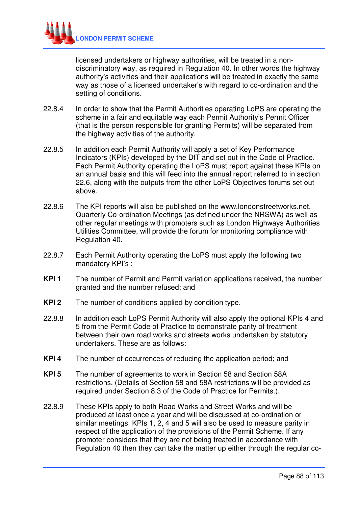

licensed undertakers or highway authorities, will be treated in a nondiscriminatory way, as required in Regulation 40. In other words the highway authority's activities and their applications will be treated in exactly the same way as those of a licensed undertaker's with regard to co-ordination and the setting of conditions.

- 22.8.4 In order to show that the Permit Authorities operating LoPS are operating the scheme in a fair and equitable way each Permit Authority's Permit Officer (that is the person responsible for granting Permits) will be separated from the highway activities of the authority.
- 22.8.5 In addition each Permit Authority will apply a set of Key Performance Indicators (KPIs) developed by the DfT and set out in the Code of Practice. Each Permit Authority operating the LoPS must report against these KPIs on an annual basis and this will feed into the annual report referred to in section 22.6, along with the outputs from the other LoPS Objectives forums set out above.
- 22.8.6 The KPI reports will also be published on the www.londonstreetworks.net. Quarterly Co-ordination Meetings (as defined under the NRSWA) as well as other regular meetings with promoters such as London Highways Authorities Utilities Committee, will provide the forum for monitoring compliance with Regulation 40.
- 22.8.7 Each Permit Authority operating the LoPS must apply the following two mandatory KPI's :
- **KPI 1** The number of Permit and Permit variation applications received, the number granted and the number refused; and
- **KPI 2** The number of conditions applied by condition type.
- 22.8.8 In addition each LoPS Permit Authority will also apply the optional KPIs 4 and 5 from the Permit Code of Practice to demonstrate parity of treatment between their own road works and streets works undertaken by statutory undertakers. These are as follows:
- **KPI 4** The number of occurrences of reducing the application period; and
- **KPI 5** The number of agreements to work in Section 58 and Section 58A restrictions. (Details of Section 58 and 58A restrictions will be provided as required under Section 8.3 of the Code of Practice for Permits.).
- 22.8.9 These KPIs apply to both Road Works and Street Works and will be produced at least once a year and will be discussed at co-ordination or similar meetings. KPIs 1, 2, 4 and 5 will also be used to measure parity in respect of the application of the provisions of the Permit Scheme. If any promoter considers that they are not being treated in accordance with Regulation 40 then they can take the matter up either through the regular co-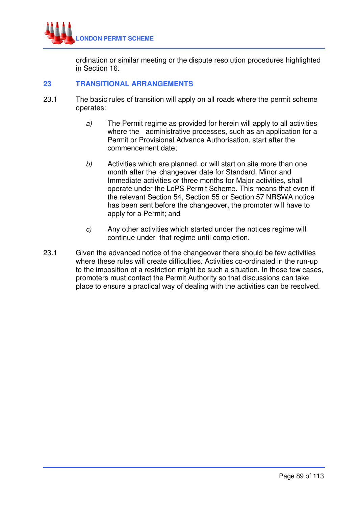

ordination or similar meeting or the dispute resolution procedures highlighted in Section 16.

## **23 TRANSITIONAL ARRANGEMENTS**

- 23.1 The basic rules of transition will apply on all roads where the permit scheme operates:
	- a) The Permit regime as provided for herein will apply to all activities where the administrative processes, such as an application for a Permit or Provisional Advance Authorisation, start after the commencement date;
	- b) Activities which are planned, or will start on site more than one month after the changeover date for Standard, Minor and Immediate activities or three months for Major activities, shall operate under the LoPS Permit Scheme. This means that even if the relevant Section 54, Section 55 or Section 57 NRSWA notice has been sent before the changeover, the promoter will have to apply for a Permit; and
	- c) Any other activities which started under the notices regime will continue under that regime until completion.
- 23.1 Given the advanced notice of the changeover there should be few activities where these rules will create difficulties. Activities co-ordinated in the run-up to the imposition of a restriction might be such a situation. In those few cases, promoters must contact the Permit Authority so that discussions can take place to ensure a practical way of dealing with the activities can be resolved.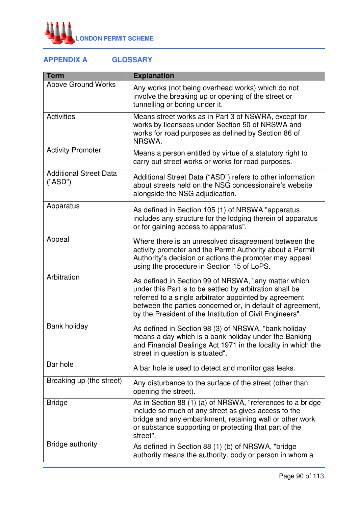

# **APPENDIX A GLOSSARY**

| <b>Term</b>                              | <b>Explanation</b>                                                                                                                                                                                                                                                                                   |
|------------------------------------------|------------------------------------------------------------------------------------------------------------------------------------------------------------------------------------------------------------------------------------------------------------------------------------------------------|
| <b>Above Ground Works</b>                | Any works (not being overhead works) which do not<br>involve the breaking up or opening of the street or<br>tunnelling or boring under it.                                                                                                                                                           |
| <b>Activities</b>                        | Means street works as in Part 3 of NSWRA, except for<br>works by licensees under Section 50 of NRSWA and<br>works for road purposes as defined by Section 86 of<br>NRSWA.                                                                                                                            |
| <b>Activity Promoter</b>                 | Means a person entitled by virtue of a statutory right to<br>carry out street works or works for road purposes.                                                                                                                                                                                      |
| <b>Additional Street Data</b><br>("ASD") | Additional Street Data ("ASD") refers to other information<br>about streets held on the NSG concessionaire's website<br>alongside the NSG adjudication.                                                                                                                                              |
| Apparatus                                | As defined in Section 105 (1) of NRSWA "apparatus<br>includes any structure for the lodging therein of apparatus<br>or for gaining access to apparatus".                                                                                                                                             |
| Appeal                                   | Where there is an unresolved disagreement between the<br>activity promoter and the Permit Authority about a Permit<br>Authority's decision or actions the promoter may appeal<br>using the procedure in Section 15 of LoPS.                                                                          |
| Arbitration                              | As defined in Section 99 of NRSWA, "any matter which<br>under this Part is to be settled by arbitration shall be<br>referred to a single arbitrator appointed by agreement<br>between the parties concerned or, in default of agreement,<br>by the President of the Institution of Civil Engineers". |
| Bank holiday                             | As defined in Section 98 (3) of NRSWA, "bank holiday<br>means a day which is a bank holiday under the Banking<br>and Financial Dealings Act 1971 in the locality in which the<br>street in question is situated".                                                                                    |
| Bar hole                                 | A bar hole is used to detect and monitor gas leaks.                                                                                                                                                                                                                                                  |
| Breaking up (the street)                 | Any disturbance to the surface of the street (other than<br>opening the street).                                                                                                                                                                                                                     |
| <b>Bridge</b>                            | As in Section 88 (1) (a) of NRSWA, "references to a bridge<br>include so much of any street as gives access to the<br>bridge and any embankment, retaining wall or other work<br>or substance supporting or protecting that part of the<br>street".                                                  |
| <b>Bridge authority</b>                  | As defined in Section 88 (1) (b) of NRSWA, "bridge<br>authority means the authority, body or person in whom a                                                                                                                                                                                        |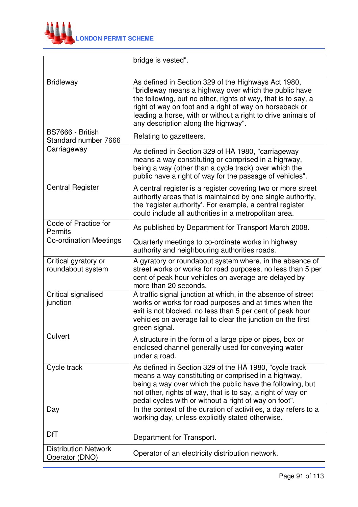

|                                               | bridge is vested".                                                                                                                                                                                                                                                                                                                              |
|-----------------------------------------------|-------------------------------------------------------------------------------------------------------------------------------------------------------------------------------------------------------------------------------------------------------------------------------------------------------------------------------------------------|
| <b>Bridleway</b>                              | As defined in Section 329 of the Highways Act 1980,<br>"bridleway means a highway over which the public have<br>the following, but no other, rights of way, that is to say, a<br>right of way on foot and a right of way on horseback or<br>leading a horse, with or without a right to drive animals of<br>any description along the highway". |
| BS7666 - British<br>Standard number 7666      | Relating to gazetteers.                                                                                                                                                                                                                                                                                                                         |
| Carriageway                                   | As defined in Section 329 of HA 1980, "carriageway<br>means a way constituting or comprised in a highway,<br>being a way (other than a cycle track) over which the<br>public have a right of way for the passage of vehicles".                                                                                                                  |
| <b>Central Register</b>                       | A central register is a register covering two or more street<br>authority areas that is maintained by one single authority,<br>the 'register authority'. For example, a central register<br>could include all authorities in a metropolitan area.                                                                                               |
| Code of Practice for<br>Permits               | As published by Department for Transport March 2008.                                                                                                                                                                                                                                                                                            |
| <b>Co-ordination Meetings</b>                 | Quarterly meetings to co-ordinate works in highway<br>authority and neighbouring authorities roads.                                                                                                                                                                                                                                             |
| Critical gyratory or<br>roundabout system     | A gyratory or roundabout system where, in the absence of<br>street works or works for road purposes, no less than 5 per<br>cent of peak hour vehicles on average are delayed by<br>more than 20 seconds.                                                                                                                                        |
| Critical signalised<br>junction               | A traffic signal junction at which, in the absence of street<br>works or works for road purposes and at times when the<br>exit is not blocked, no less than 5 per cent of peak hour<br>vehicles on average fail to clear the junction on the first<br>green signal.                                                                             |
| Culvert                                       | A structure in the form of a large pipe or pipes, box or<br>enclosed channel generally used for conveying water<br>under a road.                                                                                                                                                                                                                |
| Cycle track                                   | As defined in Section 329 of the HA 1980, "cycle track<br>means a way constituting or comprised in a highway,<br>being a way over which the public have the following, but<br>not other, rights of way, that is to say, a right of way on<br>pedal cycles with or without a right of way on foot".                                              |
| Day                                           | In the context of the duration of activities, a day refers to a<br>working day, unless explicitly stated otherwise.                                                                                                                                                                                                                             |
| <b>DfT</b>                                    | Department for Transport.                                                                                                                                                                                                                                                                                                                       |
| <b>Distribution Network</b><br>Operator (DNO) | Operator of an electricity distribution network.                                                                                                                                                                                                                                                                                                |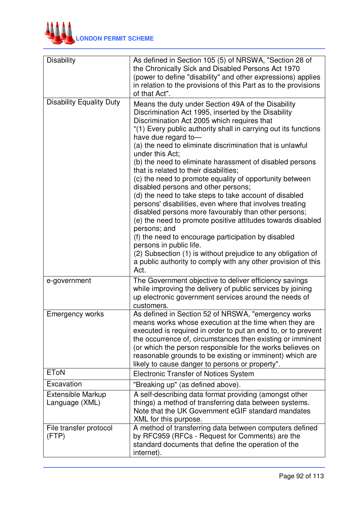

| <b>Disability</b>                          | As defined in Section 105 (5) of NRSWA, "Section 28 of<br>the Chronically Sick and Disabled Persons Act 1970<br>(power to define "disability" and other expressions) applies<br>in relation to the provisions of this Part as to the provisions<br>of that Act".                                                                                                                                                                                                                                                                                                                                                                                                                                                                                                                                                                                                                                                                                                                                                                   |
|--------------------------------------------|------------------------------------------------------------------------------------------------------------------------------------------------------------------------------------------------------------------------------------------------------------------------------------------------------------------------------------------------------------------------------------------------------------------------------------------------------------------------------------------------------------------------------------------------------------------------------------------------------------------------------------------------------------------------------------------------------------------------------------------------------------------------------------------------------------------------------------------------------------------------------------------------------------------------------------------------------------------------------------------------------------------------------------|
| <b>Disability Equality Duty</b>            | Means the duty under Section 49A of the Disability<br>Discrimination Act 1995, inserted by the Disability<br>Discrimination Act 2005 which requires that<br>"(1) Every public authority shall in carrying out its functions<br>have due regard to-<br>(a) the need to eliminate discrimination that is unlawful<br>under this Act;<br>(b) the need to eliminate harassment of disabled persons<br>that is related to their disabilities;<br>(c) the need to promote equality of opportunity between<br>disabled persons and other persons;<br>(d) the need to take steps to take account of disabled<br>persons' disabilities, even where that involves treating<br>disabled persons more favourably than other persons;<br>(e) the need to promote positive attitudes towards disabled<br>persons; and<br>(f) the need to encourage participation by disabled<br>persons in public life.<br>(2) Subsection (1) is without prejudice to any obligation of<br>a public authority to comply with any other provision of this<br>Act. |
| e-government                               | The Government objective to deliver efficiency savings<br>while improving the delivery of public services by joining<br>up electronic government services around the needs of<br>customers.                                                                                                                                                                                                                                                                                                                                                                                                                                                                                                                                                                                                                                                                                                                                                                                                                                        |
| <b>Emergency works</b>                     | As defined in Section 52 of NRSWA, "emergency works<br>means works whose execution at the time when they are<br>executed is required in order to put an end to, or to prevent<br>the occurrence of, circumstances then existing or imminent<br>(or which the person responsible for the works believes on<br>reasonable grounds to be existing or imminent) which are<br>likely to cause danger to persons or property".                                                                                                                                                                                                                                                                                                                                                                                                                                                                                                                                                                                                           |
| <b>EToN</b>                                | <b>Electronic Transfer of Notices System</b>                                                                                                                                                                                                                                                                                                                                                                                                                                                                                                                                                                                                                                                                                                                                                                                                                                                                                                                                                                                       |
| Excavation                                 | "Breaking up" (as defined above).                                                                                                                                                                                                                                                                                                                                                                                                                                                                                                                                                                                                                                                                                                                                                                                                                                                                                                                                                                                                  |
| <b>Extensible Markup</b><br>Language (XML) | A self-describing data format providing (amongst other<br>things) a method of transferring data between systems.<br>Note that the UK Government eGIF standard mandates<br>XML for this purpose.                                                                                                                                                                                                                                                                                                                                                                                                                                                                                                                                                                                                                                                                                                                                                                                                                                    |
| File transfer protocol<br>(FTP)            | A method of transferring data between computers defined<br>by RFC959 (RFCs - Request for Comments) are the<br>standard documents that define the operation of the<br>internet).                                                                                                                                                                                                                                                                                                                                                                                                                                                                                                                                                                                                                                                                                                                                                                                                                                                    |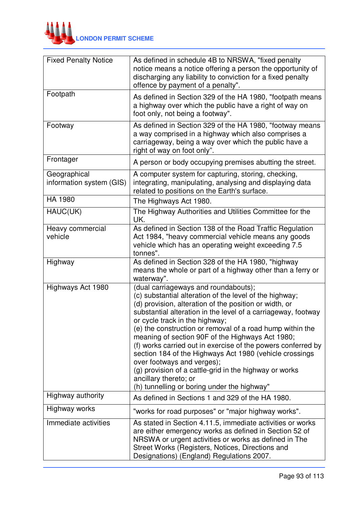

| <b>Fixed Penalty Notice</b>              | As defined in schedule 4B to NRSWA, "fixed penalty<br>notice means a notice offering a person the opportunity of<br>discharging any liability to conviction for a fixed penalty<br>offence by payment of a penalty".                                                                                                                                                                                                                                                                                                                                                                                                                                                     |
|------------------------------------------|--------------------------------------------------------------------------------------------------------------------------------------------------------------------------------------------------------------------------------------------------------------------------------------------------------------------------------------------------------------------------------------------------------------------------------------------------------------------------------------------------------------------------------------------------------------------------------------------------------------------------------------------------------------------------|
| Footpath                                 | As defined in Section 329 of the HA 1980, "footpath means<br>a highway over which the public have a right of way on<br>foot only, not being a footway".                                                                                                                                                                                                                                                                                                                                                                                                                                                                                                                  |
| Footway                                  | As defined in Section 329 of the HA 1980, "footway means<br>a way comprised in a highway which also comprises a<br>carriageway, being a way over which the public have a<br>right of way on foot only".                                                                                                                                                                                                                                                                                                                                                                                                                                                                  |
| Frontager                                | A person or body occupying premises abutting the street.                                                                                                                                                                                                                                                                                                                                                                                                                                                                                                                                                                                                                 |
| Geographical<br>information system (GIS) | A computer system for capturing, storing, checking,<br>integrating, manipulating, analysing and displaying data<br>related to positions on the Earth's surface.                                                                                                                                                                                                                                                                                                                                                                                                                                                                                                          |
| HA 1980                                  | The Highways Act 1980.                                                                                                                                                                                                                                                                                                                                                                                                                                                                                                                                                                                                                                                   |
| HAUC(UK)                                 | The Highway Authorities and Utilities Committee for the<br>UK.                                                                                                                                                                                                                                                                                                                                                                                                                                                                                                                                                                                                           |
| Heavy commercial<br>vehicle              | As defined in Section 138 of the Road Traffic Regulation<br>Act 1984, "heavy commercial vehicle means any goods<br>vehicle which has an operating weight exceeding 7.5<br>tonnes".                                                                                                                                                                                                                                                                                                                                                                                                                                                                                       |
| Highway                                  | As defined in Section 328 of the HA 1980, "highway<br>means the whole or part of a highway other than a ferry or<br>waterway".                                                                                                                                                                                                                                                                                                                                                                                                                                                                                                                                           |
| Highways Act 1980                        | (dual carriageways and roundabouts);<br>(c) substantial alteration of the level of the highway;<br>(d) provision, alteration of the position or width, or<br>substantial alteration in the level of a carriageway, footway<br>or cycle track in the highway;<br>(e) the construction or removal of a road hump within the<br>meaning of section 90F of the Highways Act 1980;<br>(f) works carried out in exercise of the powers conferred by<br>section 184 of the Highways Act 1980 (vehicle crossings<br>over footways and verges);<br>(g) provision of a cattle-grid in the highway or works<br>ancillary thereto; or<br>(h) tunnelling or boring under the highway" |
| Highway authority                        | As defined in Sections 1 and 329 of the HA 1980.                                                                                                                                                                                                                                                                                                                                                                                                                                                                                                                                                                                                                         |
| Highway works                            | "works for road purposes" or "major highway works".                                                                                                                                                                                                                                                                                                                                                                                                                                                                                                                                                                                                                      |
| Immediate activities                     | As stated in Section 4.11.5, immediate activities or works<br>are either emergency works as defined in Section 52 of<br>NRSWA or urgent activities or works as defined in The<br>Street Works (Registers, Notices, Directions and<br>Designations) (England) Regulations 2007.                                                                                                                                                                                                                                                                                                                                                                                           |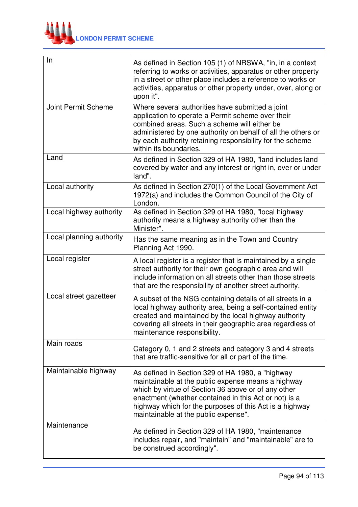

| In                         | As defined in Section 105 (1) of NRSWA, "in, in a context<br>referring to works or activities, apparatus or other property<br>in a street or other place includes a reference to works or<br>activities, apparatus or other property under, over, along or<br>upon it".                                                    |
|----------------------------|----------------------------------------------------------------------------------------------------------------------------------------------------------------------------------------------------------------------------------------------------------------------------------------------------------------------------|
| <b>Joint Permit Scheme</b> | Where several authorities have submitted a joint<br>application to operate a Permit scheme over their<br>combined areas. Such a scheme will either be<br>administered by one authority on behalf of all the others or<br>by each authority retaining responsibility for the scheme<br>within its boundaries.               |
| Land                       | As defined in Section 329 of HA 1980, "land includes land<br>covered by water and any interest or right in, over or under<br>land".                                                                                                                                                                                        |
| Local authority            | As defined in Section 270(1) of the Local Government Act<br>1972(a) and includes the Common Council of the City of<br>London.                                                                                                                                                                                              |
| Local highway authority    | As defined in Section 329 of HA 1980, "local highway<br>authority means a highway authority other than the<br>Minister".                                                                                                                                                                                                   |
| Local planning authority   | Has the same meaning as in the Town and Country<br>Planning Act 1990.                                                                                                                                                                                                                                                      |
| Local register             | A local register is a register that is maintained by a single<br>street authority for their own geographic area and will<br>include information on all streets other than those streets<br>that are the responsibility of another street authority.                                                                        |
| Local street gazetteer     | A subset of the NSG containing details of all streets in a<br>local highway authority area, being a self-contained entity<br>created and maintained by the local highway authority<br>covering all streets in their geographic area regardless of<br>maintenance responsibility.                                           |
| Main roads                 | Category 0, 1 and 2 streets and category 3 and 4 streets<br>that are traffic-sensitive for all or part of the time.                                                                                                                                                                                                        |
| Maintainable highway       | As defined in Section 329 of HA 1980, a "highway"<br>maintainable at the public expense means a highway<br>which by virtue of Section 36 above or of any other<br>enactment (whether contained in this Act or not) is a<br>highway which for the purposes of this Act is a highway<br>maintainable at the public expense". |
| Maintenance                | As defined in Section 329 of HA 1980, "maintenance<br>includes repair, and "maintain" and "maintainable" are to<br>be construed accordingly".                                                                                                                                                                              |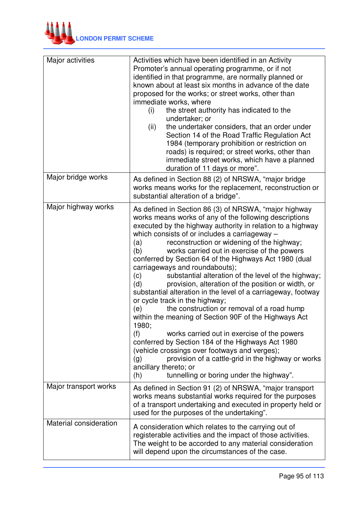

| Major activities       | Activities which have been identified in an Activity<br>Promoter's annual operating programme, or if not<br>identified in that programme, are normally planned or<br>known about at least six months in advance of the date<br>proposed for the works; or street works, other than<br>immediate works, where<br>(i)<br>the street authority has indicated to the<br>undertaker; or<br>the undertaker considers, that an order under<br>(ii)<br>Section 14 of the Road Traffic Regulation Act<br>1984 (temporary prohibition or restriction on<br>roads) is required; or street works, other than<br>immediate street works, which have a planned<br>duration of 11 days or more".                                                                                                                                                                                                                                                                                                                                                                                                               |
|------------------------|-------------------------------------------------------------------------------------------------------------------------------------------------------------------------------------------------------------------------------------------------------------------------------------------------------------------------------------------------------------------------------------------------------------------------------------------------------------------------------------------------------------------------------------------------------------------------------------------------------------------------------------------------------------------------------------------------------------------------------------------------------------------------------------------------------------------------------------------------------------------------------------------------------------------------------------------------------------------------------------------------------------------------------------------------------------------------------------------------|
| Major bridge works     | As defined in Section 88 (2) of NRSWA, "major bridge<br>works means works for the replacement, reconstruction or<br>substantial alteration of a bridge".                                                                                                                                                                                                                                                                                                                                                                                                                                                                                                                                                                                                                                                                                                                                                                                                                                                                                                                                        |
| Major highway works    | As defined in Section 86 (3) of NRSWA, "major highway<br>works means works of any of the following descriptions<br>executed by the highway authority in relation to a highway<br>which consists of or includes a carriageway -<br>reconstruction or widening of the highway;<br>(a)<br>works carried out in exercise of the powers<br>(b)<br>conferred by Section 64 of the Highways Act 1980 (dual<br>carriageways and roundabouts);<br>substantial alteration of the level of the highway;<br>(c)<br>provision, alteration of the position or width, or<br>(d)<br>substantial alteration in the level of a carriageway, footway<br>or cycle track in the highway;<br>the construction or removal of a road hump<br>(e)<br>within the meaning of Section 90F of the Highways Act<br>1980;<br>(f)<br>works carried out in exercise of the powers<br>conferred by Section 184 of the Highways Act 1980<br>(vehicle crossings over footways and verges);<br>provision of a cattle-grid in the highway or works<br>(g)<br>ancillary thereto; or<br>tunnelling or boring under the highway".<br>(h) |
| Major transport works  | As defined in Section 91 (2) of NRSWA, "major transport"<br>works means substantial works required for the purposes<br>of a transport undertaking and executed in property held or<br>used for the purposes of the undertaking".                                                                                                                                                                                                                                                                                                                                                                                                                                                                                                                                                                                                                                                                                                                                                                                                                                                                |
| Material consideration | A consideration which relates to the carrying out of<br>registerable activities and the impact of those activities.<br>The weight to be accorded to any material consideration<br>will depend upon the circumstances of the case.                                                                                                                                                                                                                                                                                                                                                                                                                                                                                                                                                                                                                                                                                                                                                                                                                                                               |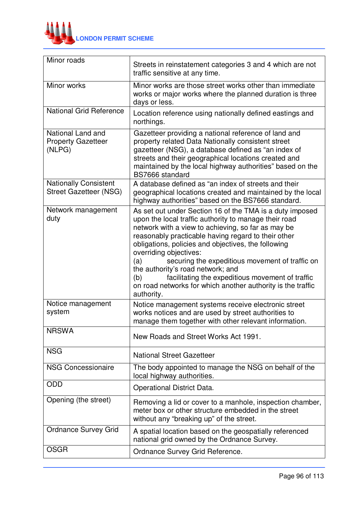

| Minor roads                                                   | Streets in reinstatement categories 3 and 4 which are not<br>traffic sensitive at any time.                                                                                                                                                                                                                                                                                                                                                                                                                                                            |
|---------------------------------------------------------------|--------------------------------------------------------------------------------------------------------------------------------------------------------------------------------------------------------------------------------------------------------------------------------------------------------------------------------------------------------------------------------------------------------------------------------------------------------------------------------------------------------------------------------------------------------|
| Minor works                                                   | Minor works are those street works other than immediate<br>works or major works where the planned duration is three<br>days or less.                                                                                                                                                                                                                                                                                                                                                                                                                   |
| <b>National Grid Reference</b>                                | Location reference using nationally defined eastings and<br>northings.                                                                                                                                                                                                                                                                                                                                                                                                                                                                                 |
| National Land and<br><b>Property Gazetteer</b><br>(NLPG)      | Gazetteer providing a national reference of land and<br>property related Data Nationally consistent street<br>gazetteer (NSG), a database defined as "an index of<br>streets and their geographical locations created and<br>maintained by the local highway authorities" based on the<br>BS7666 standard                                                                                                                                                                                                                                              |
| <b>Nationally Consistent</b><br><b>Street Gazetteer (NSG)</b> | A database defined as "an index of streets and their<br>geographical locations created and maintained by the local<br>highway authorities" based on the BS7666 standard.                                                                                                                                                                                                                                                                                                                                                                               |
| Network management<br>duty                                    | As set out under Section 16 of the TMA is a duty imposed<br>upon the local traffic authority to manage their road<br>network with a view to achieving, so far as may be<br>reasonably practicable having regard to their other<br>obligations, policies and objectives, the following<br>overriding objectives:<br>(a)<br>securing the expeditious movement of traffic on<br>the authority's road network; and<br>facilitating the expeditious movement of traffic<br>(b)<br>on road networks for which another authority is the traffic<br>authority. |
| Notice management<br>system                                   | Notice management systems receive electronic street<br>works notices and are used by street authorities to<br>manage them together with other relevant information.                                                                                                                                                                                                                                                                                                                                                                                    |
| <b>NRSWA</b>                                                  | New Roads and Street Works Act 1991.                                                                                                                                                                                                                                                                                                                                                                                                                                                                                                                   |
| <b>NSG</b>                                                    | <b>National Street Gazetteer</b>                                                                                                                                                                                                                                                                                                                                                                                                                                                                                                                       |
| <b>NSG Concessionaire</b>                                     | The body appointed to manage the NSG on behalf of the<br>local highway authorities.                                                                                                                                                                                                                                                                                                                                                                                                                                                                    |
| ODD                                                           | <b>Operational District Data.</b>                                                                                                                                                                                                                                                                                                                                                                                                                                                                                                                      |
| Opening (the street)                                          | Removing a lid or cover to a manhole, inspection chamber,<br>meter box or other structure embedded in the street<br>without any "breaking up" of the street.                                                                                                                                                                                                                                                                                                                                                                                           |
| <b>Ordnance Survey Grid</b>                                   | A spatial location based on the geospatially referenced<br>national grid owned by the Ordnance Survey.                                                                                                                                                                                                                                                                                                                                                                                                                                                 |
| <b>OSGR</b>                                                   | Ordnance Survey Grid Reference.                                                                                                                                                                                                                                                                                                                                                                                                                                                                                                                        |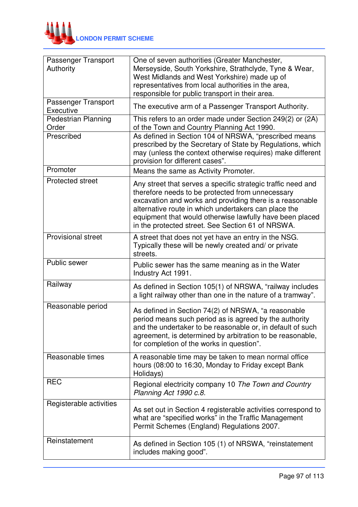

| Passenger Transport<br>Authority    | One of seven authorities (Greater Manchester,<br>Merseyside, South Yorkshire, Strathclyde, Tyne & Wear,<br>West Midlands and West Yorkshire) made up of<br>representatives from local authorities in the area,<br>responsible for public transport in their area.                                                                                     |
|-------------------------------------|-------------------------------------------------------------------------------------------------------------------------------------------------------------------------------------------------------------------------------------------------------------------------------------------------------------------------------------------------------|
| Passenger Transport<br>Executive    | The executive arm of a Passenger Transport Authority.                                                                                                                                                                                                                                                                                                 |
| <b>Pedestrian Planning</b><br>Order | This refers to an order made under Section 249(2) or (2A)<br>of the Town and Country Planning Act 1990.                                                                                                                                                                                                                                               |
| Prescribed                          | As defined in Section 104 of NRSWA, "prescribed means<br>prescribed by the Secretary of State by Regulations, which<br>may (unless the context otherwise requires) make different<br>provision for different cases".                                                                                                                                  |
| Promoter                            | Means the same as Activity Promoter.                                                                                                                                                                                                                                                                                                                  |
| <b>Protected street</b>             | Any street that serves a specific strategic traffic need and<br>therefore needs to be protected from unnecessary<br>excavation and works and providing there is a reasonable<br>alternative route in which undertakers can place the<br>equipment that would otherwise lawfully have been placed<br>in the protected street. See Section 61 of NRSWA. |
| <b>Provisional street</b>           | A street that does not yet have an entry in the NSG.<br>Typically these will be newly created and/ or private<br>streets.                                                                                                                                                                                                                             |
| Public sewer                        | Public sewer has the same meaning as in the Water<br>Industry Act 1991.                                                                                                                                                                                                                                                                               |
| Railway                             | As defined in Section 105(1) of NRSWA, "railway includes<br>a light railway other than one in the nature of a tramway".                                                                                                                                                                                                                               |
| Reasonable period                   | As defined in Section 74(2) of NRSWA, "a reasonable<br>period means such period as is agreed by the authority<br>and the undertaker to be reasonable or, in default of such<br>agreement, is determined by arbitration to be reasonable,<br>for completion of the works in question".                                                                 |
| Reasonable times                    | A reasonable time may be taken to mean normal office<br>hours (08:00 to 16:30, Monday to Friday except Bank<br>Holidays)                                                                                                                                                                                                                              |
| <b>REC</b>                          | Regional electricity company 10 The Town and Country<br>Planning Act 1990 c.8.                                                                                                                                                                                                                                                                        |
| Registerable activities             | As set out in Section 4 registerable activities correspond to<br>what are "specified works" in the Traffic Management<br>Permit Schemes (England) Regulations 2007.                                                                                                                                                                                   |
| Reinstatement                       | As defined in Section 105 (1) of NRSWA, "reinstatement<br>includes making good".                                                                                                                                                                                                                                                                      |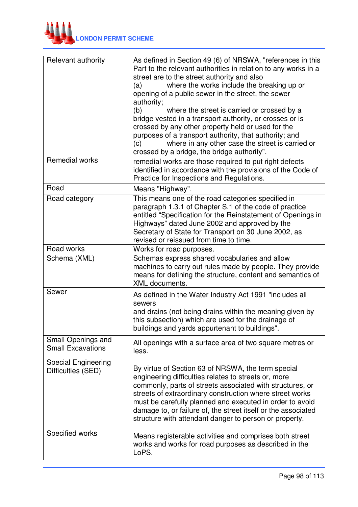

| Relevant authority                               | As defined in Section 49 (6) of NRSWA, "references in this<br>Part to the relevant authorities in relation to any works in a<br>street are to the street authority and also<br>where the works include the breaking up or<br>(a)<br>opening of a public sewer in the street, the sewer<br>authority;<br>(b)<br>where the street is carried or crossed by a<br>bridge vested in a transport authority, or crosses or is<br>crossed by any other property held or used for the<br>purposes of a transport authority, that authority; and<br>where in any other case the street is carried or<br>(c)<br>crossed by a bridge, the bridge authority". |
|--------------------------------------------------|--------------------------------------------------------------------------------------------------------------------------------------------------------------------------------------------------------------------------------------------------------------------------------------------------------------------------------------------------------------------------------------------------------------------------------------------------------------------------------------------------------------------------------------------------------------------------------------------------------------------------------------------------|
| <b>Remedial works</b>                            | remedial works are those required to put right defects<br>identified in accordance with the provisions of the Code of<br>Practice for Inspections and Regulations.                                                                                                                                                                                                                                                                                                                                                                                                                                                                               |
| Road                                             | Means "Highway".                                                                                                                                                                                                                                                                                                                                                                                                                                                                                                                                                                                                                                 |
| Road category                                    | This means one of the road categories specified in<br>paragraph 1.3.1 of Chapter S.1 of the code of practice<br>entitled "Specification for the Reinstatement of Openings in<br>Highways" dated June 2002 and approved by the<br>Secretary of State for Transport on 30 June 2002, as<br>revised or reissued from time to time.                                                                                                                                                                                                                                                                                                                  |
| Road works                                       | Works for road purposes.                                                                                                                                                                                                                                                                                                                                                                                                                                                                                                                                                                                                                         |
| Schema (XML)                                     | Schemas express shared vocabularies and allow<br>machines to carry out rules made by people. They provide<br>means for defining the structure, content and semantics of<br><b>XML</b> documents.                                                                                                                                                                                                                                                                                                                                                                                                                                                 |
| Sewer                                            | As defined in the Water Industry Act 1991 "includes all<br>sewers<br>and drains (not being drains within the meaning given by<br>this subsection) which are used for the drainage of<br>buildings and yards appurtenant to buildings".                                                                                                                                                                                                                                                                                                                                                                                                           |
| Small Openings and<br><b>Small Excavations</b>   | All openings with a surface area of two square metres or<br>less.                                                                                                                                                                                                                                                                                                                                                                                                                                                                                                                                                                                |
| <b>Special Engineering</b><br>Difficulties (SED) | By virtue of Section 63 of NRSWA, the term special<br>engineering difficulties relates to streets or, more<br>commonly, parts of streets associated with structures, or<br>streets of extraordinary construction where street works<br>must be carefully planned and executed in order to avoid<br>damage to, or failure of, the street itself or the associated<br>structure with attendant danger to person or property.                                                                                                                                                                                                                       |
| Specified works                                  | Means registerable activities and comprises both street<br>works and works for road purposes as described in the<br>LoPS.                                                                                                                                                                                                                                                                                                                                                                                                                                                                                                                        |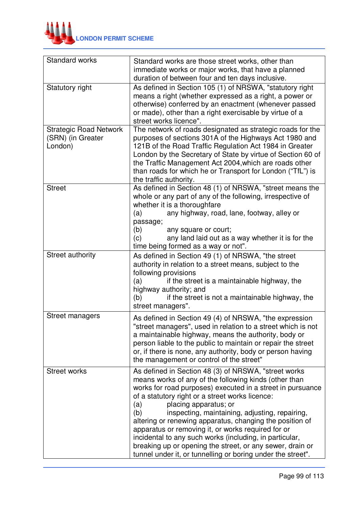

| Standard works                                                | Standard works are those street works, other than<br>immediate works or major works, that have a planned<br>duration of between four and ten days inclusive.                                                                                                                                                                                                                                                                                                                                                                                                                                                                     |
|---------------------------------------------------------------|----------------------------------------------------------------------------------------------------------------------------------------------------------------------------------------------------------------------------------------------------------------------------------------------------------------------------------------------------------------------------------------------------------------------------------------------------------------------------------------------------------------------------------------------------------------------------------------------------------------------------------|
| Statutory right                                               | As defined in Section 105 (1) of NRSWA, "statutory right<br>means a right (whether expressed as a right, a power or<br>otherwise) conferred by an enactment (whenever passed<br>or made), other than a right exercisable by virtue of a<br>street works licence".                                                                                                                                                                                                                                                                                                                                                                |
| <b>Strategic Road Network</b><br>(SRN) (in Greater<br>London) | The network of roads designated as strategic roads for the<br>purposes of sections 301A of the Highways Act 1980 and<br>121B of the Road Traffic Regulation Act 1984 in Greater<br>London by the Secretary of State by virtue of Section 60 of<br>the Traffic Management Act 2004, which are roads other<br>than roads for which he or Transport for London ("TfL") is<br>the traffic authority.                                                                                                                                                                                                                                 |
| <b>Street</b>                                                 | As defined in Section 48 (1) of NRSWA, "street means the<br>whole or any part of any of the following, irrespective of<br>whether it is a thoroughfare<br>any highway, road, lane, footway, alley or<br>(a)<br>passage;<br>(b)<br>any square or court;<br>any land laid out as a way whether it is for the<br>(c)<br>time being formed as a way or not".                                                                                                                                                                                                                                                                         |
| Street authority                                              | As defined in Section 49 (1) of NRSWA, "the street<br>authority in relation to a street means, subject to the<br>following provisions<br>if the street is a maintainable highway, the<br>(a)<br>highway authority; and<br>if the street is not a maintainable highway, the<br>(b)<br>street managers".                                                                                                                                                                                                                                                                                                                           |
| <b>Street managers</b>                                        | As defined in Section 49 (4) of NRSWA, "the expression<br>'street managers", used in relation to a street which is not<br>a maintainable highway, means the authority, body or<br>person liable to the public to maintain or repair the street<br>or, if there is none, any authority, body or person having<br>the management or control of the street"                                                                                                                                                                                                                                                                         |
| <b>Street works</b>                                           | As defined in Section 48 (3) of NRSWA, "street works<br>means works of any of the following kinds (other than<br>works for road purposes) executed in a street in pursuance<br>of a statutory right or a street works licence:<br>(a)<br>placing apparatus; or<br>inspecting, maintaining, adjusting, repairing,<br>(b)<br>altering or renewing apparatus, changing the position of<br>apparatus or removing it, or works required for or<br>incidental to any such works (including, in particular,<br>breaking up or opening the street, or any sewer, drain or<br>tunnel under it, or tunnelling or boring under the street". |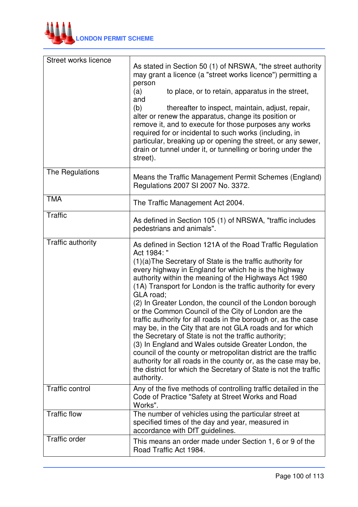

| Street works licence   | As stated in Section 50 (1) of NRSWA, "the street authority<br>may grant a licence (a "street works licence") permitting a<br>person<br>(a)<br>to place, or to retain, apparatus in the street,<br>and<br>(b)<br>thereafter to inspect, maintain, adjust, repair,<br>alter or renew the apparatus, change its position or<br>remove it, and to execute for those purposes any works<br>required for or incidental to such works (including, in<br>particular, breaking up or opening the street, or any sewer,<br>drain or tunnel under it, or tunnelling or boring under the<br>street).                                                                                                                                                                                                                                                                                                                                  |
|------------------------|----------------------------------------------------------------------------------------------------------------------------------------------------------------------------------------------------------------------------------------------------------------------------------------------------------------------------------------------------------------------------------------------------------------------------------------------------------------------------------------------------------------------------------------------------------------------------------------------------------------------------------------------------------------------------------------------------------------------------------------------------------------------------------------------------------------------------------------------------------------------------------------------------------------------------|
| The Regulations        | Means the Traffic Management Permit Schemes (England)<br>Regulations 2007 SI 2007 No. 3372.                                                                                                                                                                                                                                                                                                                                                                                                                                                                                                                                                                                                                                                                                                                                                                                                                                |
| <b>TMA</b>             | The Traffic Management Act 2004.                                                                                                                                                                                                                                                                                                                                                                                                                                                                                                                                                                                                                                                                                                                                                                                                                                                                                           |
| <b>Traffic</b>         | As defined in Section 105 (1) of NRSWA, "traffic includes<br>pedestrians and animals".                                                                                                                                                                                                                                                                                                                                                                                                                                                                                                                                                                                                                                                                                                                                                                                                                                     |
| Traffic authority      | As defined in Section 121A of the Road Traffic Regulation<br>Act 1984: "<br>(1)(a) The Secretary of State is the traffic authority for<br>every highway in England for which he is the highway<br>authority within the meaning of the Highways Act 1980<br>(1A) Transport for London is the traffic authority for every<br>GLA road;<br>(2) In Greater London, the council of the London borough<br>or the Common Council of the City of London are the<br>traffic authority for all roads in the borough or, as the case<br>may be, in the City that are not GLA roads and for which<br>the Secretary of State is not the traffic authority;<br>(3) In England and Wales outside Greater London, the<br>council of the county or metropolitan district are the traffic<br>authority for all roads in the county or, as the case may be,<br>the district for which the Secretary of State is not the traffic<br>authority. |
| <b>Traffic control</b> | Any of the five methods of controlling traffic detailed in the<br>Code of Practice "Safety at Street Works and Road<br>Works".                                                                                                                                                                                                                                                                                                                                                                                                                                                                                                                                                                                                                                                                                                                                                                                             |
| <b>Traffic flow</b>    | The number of vehicles using the particular street at<br>specified times of the day and year, measured in<br>accordance with DfT guidelines.                                                                                                                                                                                                                                                                                                                                                                                                                                                                                                                                                                                                                                                                                                                                                                               |
| <b>Traffic order</b>   | This means an order made under Section 1, 6 or 9 of the<br>Road Traffic Act 1984.                                                                                                                                                                                                                                                                                                                                                                                                                                                                                                                                                                                                                                                                                                                                                                                                                                          |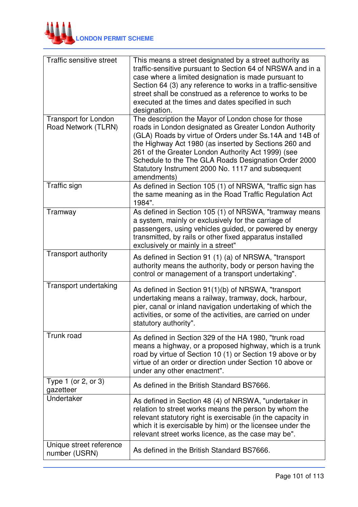

| Traffic sensitive street                           | This means a street designated by a street authority as<br>traffic-sensitive pursuant to Section 64 of NRSWA and in a<br>case where a limited designation is made pursuant to<br>Section 64 (3) any reference to works in a traffic-sensitive<br>street shall be construed as a reference to works to be<br>executed at the times and dates specified in such<br>designation.                                       |
|----------------------------------------------------|---------------------------------------------------------------------------------------------------------------------------------------------------------------------------------------------------------------------------------------------------------------------------------------------------------------------------------------------------------------------------------------------------------------------|
| <b>Transport for London</b><br>Road Network (TLRN) | The description the Mayor of London chose for those<br>roads in London designated as Greater London Authority<br>(GLA) Roads by virtue of Orders under Ss.14A and 14B of<br>the Highway Act 1980 (as inserted by Sections 260 and<br>261 of the Greater London Authority Act 1999) (see<br>Schedule to the The GLA Roads Designation Order 2000<br>Statutory Instrument 2000 No. 1117 and subsequent<br>amendments) |
| Traffic sign                                       | As defined in Section 105 (1) of NRSWA, "traffic sign has<br>the same meaning as in the Road Traffic Regulation Act<br>1984".                                                                                                                                                                                                                                                                                       |
| Tramway                                            | As defined in Section 105 (1) of NRSWA, "tramway means<br>a system, mainly or exclusively for the carriage of<br>passengers, using vehicles guided, or powered by energy<br>transmitted, by rails or other fixed apparatus installed<br>exclusively or mainly in a street"                                                                                                                                          |
| <b>Transport authority</b>                         | As defined in Section 91 (1) (a) of NRSWA, "transport<br>authority means the authority, body or person having the<br>control or management of a transport undertaking".                                                                                                                                                                                                                                             |
| Transport undertaking                              | As defined in Section 91(1)(b) of NRSWA, "transport<br>undertaking means a railway, tramway, dock, harbour,<br>pier, canal or inland navigation undertaking of which the<br>activities, or some of the activities, are carried on under<br>statutory authority"                                                                                                                                                     |
| Trunk road                                         | As defined in Section 329 of the HA 1980, "trunk road<br>means a highway, or a proposed highway, which is a trunk<br>road by virtue of Section 10 (1) or Section 19 above or by<br>virtue of an order or direction under Section 10 above or<br>under any other enactment".                                                                                                                                         |
| Type 1 (or 2, or 3)<br>gazetteer                   | As defined in the British Standard BS7666.                                                                                                                                                                                                                                                                                                                                                                          |
| Undertaker                                         | As defined in Section 48 (4) of NRSWA, "undertaker in<br>relation to street works means the person by whom the<br>relevant statutory right is exercisable (in the capacity in<br>which it is exercisable by him) or the licensee under the<br>relevant street works licence, as the case may be".                                                                                                                   |
| Unique street reference<br>number (USRN)           | As defined in the British Standard BS7666.                                                                                                                                                                                                                                                                                                                                                                          |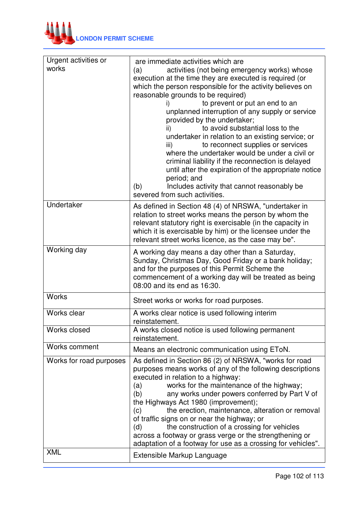

| Urgent activities or<br>works | are immediate activities which are<br>activities (not being emergency works) whose<br>(a)<br>execution at the time they are executed is required (or<br>which the person responsible for the activity believes on<br>reasonable grounds to be required)<br>to prevent or put an end to an<br>i)<br>unplanned interruption of any supply or service<br>provided by the undertaker;<br>to avoid substantial loss to the<br>ii)<br>undertaker in relation to an existing service; or<br>to reconnect supplies or services<br>iii)<br>where the undertaker would be under a civil or<br>criminal liability if the reconnection is delayed<br>until after the expiration of the appropriate notice<br>period; and<br>Includes activity that cannot reasonably be<br>(b)<br>severed from such activities. |  |  |
|-------------------------------|-----------------------------------------------------------------------------------------------------------------------------------------------------------------------------------------------------------------------------------------------------------------------------------------------------------------------------------------------------------------------------------------------------------------------------------------------------------------------------------------------------------------------------------------------------------------------------------------------------------------------------------------------------------------------------------------------------------------------------------------------------------------------------------------------------|--|--|
| Undertaker                    | As defined in Section 48 (4) of NRSWA, "undertaker in<br>relation to street works means the person by whom the<br>relevant statutory right is exercisable (in the capacity in<br>which it is exercisable by him) or the licensee under the<br>relevant street works licence, as the case may be".                                                                                                                                                                                                                                                                                                                                                                                                                                                                                                   |  |  |
| Working day                   | A working day means a day other than a Saturday,<br>Sunday, Christmas Day, Good Friday or a bank holiday;<br>and for the purposes of this Permit Scheme the<br>commencement of a working day will be treated as being<br>08:00 and its end as 16:30.                                                                                                                                                                                                                                                                                                                                                                                                                                                                                                                                                |  |  |
| <b>Works</b>                  | Street works or works for road purposes.                                                                                                                                                                                                                                                                                                                                                                                                                                                                                                                                                                                                                                                                                                                                                            |  |  |
| <b>Works clear</b>            | A works clear notice is used following interim<br>reinstatement.                                                                                                                                                                                                                                                                                                                                                                                                                                                                                                                                                                                                                                                                                                                                    |  |  |
| Works closed                  | A works closed notice is used following permanent<br>reinstatement.                                                                                                                                                                                                                                                                                                                                                                                                                                                                                                                                                                                                                                                                                                                                 |  |  |
| Works comment                 | Means an electronic communication using EToN.                                                                                                                                                                                                                                                                                                                                                                                                                                                                                                                                                                                                                                                                                                                                                       |  |  |
| Works for road purposes       | As defined in Section 86 (2) of NRSWA, "works for road<br>purposes means works of any of the following descriptions<br>executed in relation to a highway:<br>works for the maintenance of the highway;<br>(a)<br>(b)<br>any works under powers conferred by Part V of<br>the Highways Act 1980 (improvement);<br>the erection, maintenance, alteration or removal<br>(c)<br>of traffic signs on or near the highway; or<br>the construction of a crossing for vehicles<br>(d)<br>across a footway or grass verge or the strengthening or<br>adaptation of a footway for use as a crossing for vehicles".                                                                                                                                                                                            |  |  |
| <b>XML</b>                    | Extensible Markup Language                                                                                                                                                                                                                                                                                                                                                                                                                                                                                                                                                                                                                                                                                                                                                                          |  |  |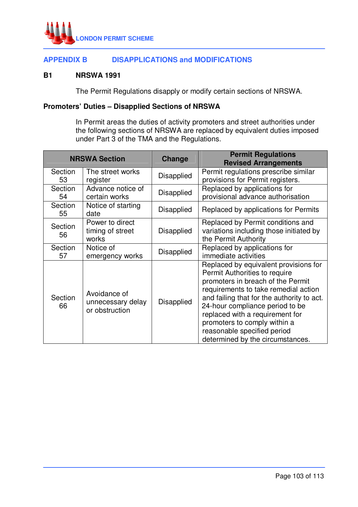

## **APPENDIX B DISAPPLICATIONS and MODIFICATIONS**

### **B1 NRSWA 1991**

The Permit Regulations disapply or modify certain sections of NRSWA.

## **Promoters' Duties – Disapplied Sections of NRSWA**

 In Permit areas the duties of activity promoters and street authorities under the following sections of NRSWA are replaced by equivalent duties imposed under Part 3 of the TMA and the Regulations.

|               | <b>NRSWA Section</b>                                | Change            | <b>Permit Regulations</b><br><b>Revised Arrangements</b>                                                                                                                                                                                                                                                                                                                   |  |
|---------------|-----------------------------------------------------|-------------------|----------------------------------------------------------------------------------------------------------------------------------------------------------------------------------------------------------------------------------------------------------------------------------------------------------------------------------------------------------------------------|--|
| Section<br>53 | The street works<br>register                        | Disapplied        | Permit regulations prescribe similar<br>provisions for Permit registers.                                                                                                                                                                                                                                                                                                   |  |
| Section<br>54 | Advance notice of<br>certain works                  | Disapplied        | Replaced by applications for<br>provisional advance authorisation                                                                                                                                                                                                                                                                                                          |  |
| Section<br>55 | Notice of starting<br>date                          | Disapplied        | Replaced by applications for Permits                                                                                                                                                                                                                                                                                                                                       |  |
| Section<br>56 | Power to direct<br>timing of street<br>works        | Disapplied        | Replaced by Permit conditions and<br>variations including those initiated by<br>the Permit Authority                                                                                                                                                                                                                                                                       |  |
| Section<br>57 | Notice of<br>emergency works                        | <b>Disapplied</b> | Replaced by applications for<br>immediate activities                                                                                                                                                                                                                                                                                                                       |  |
| Section<br>66 | Avoidance of<br>unnecessary delay<br>or obstruction | Disapplied        | Replaced by equivalent provisions for<br>Permit Authorities to require<br>promoters in breach of the Permit<br>requirements to take remedial action<br>and failing that for the authority to act.<br>24-hour compliance period to be<br>replaced with a requirement for<br>promoters to comply within a<br>reasonable specified period<br>determined by the circumstances. |  |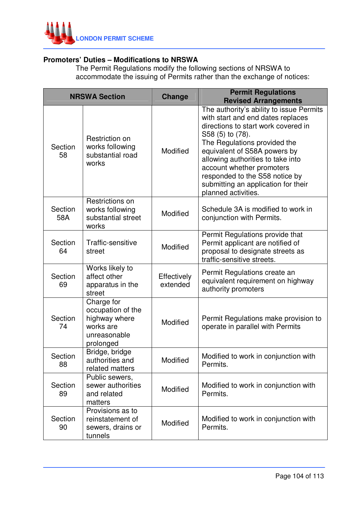

## **Promoters' Duties – Modifications to NRSWA**

 The Permit Regulations modify the following sections of NRSWA to accommodate the issuing of Permits rather than the exchange of notices:

|                | <b>NRSWA Section</b>                                                                       | <b>Change</b>           | <b>Permit Regulations</b><br><b>Revised Arrangements</b>                                                                                                                                                                                                                                                                                                                   |
|----------------|--------------------------------------------------------------------------------------------|-------------------------|----------------------------------------------------------------------------------------------------------------------------------------------------------------------------------------------------------------------------------------------------------------------------------------------------------------------------------------------------------------------------|
| Section<br>58  | Restriction on<br>works following<br>substantial road<br>works                             | Modified                | The authority's ability to issue Permits<br>with start and end dates replaces<br>directions to start work covered in<br>S58 (5) to (78).<br>The Regulations provided the<br>equivalent of S58A powers by<br>allowing authorities to take into<br>account whether promoters<br>responded to the S58 notice by<br>submitting an application for their<br>planned activities. |
| Section<br>58A | Restrictions on<br>works following<br>substantial street<br>works                          | Modified                | Schedule 3A is modified to work in<br>conjunction with Permits.                                                                                                                                                                                                                                                                                                            |
| Section<br>64  | Traffic-sensitive<br>street                                                                | Modified                | Permit Regulations provide that<br>Permit applicant are notified of<br>proposal to designate streets as<br>traffic-sensitive streets.                                                                                                                                                                                                                                      |
| Section<br>69  | Works likely to<br>affect other<br>apparatus in the<br>street                              | Effectively<br>extended | Permit Regulations create an<br>equivalent requirement on highway<br>authority promoters                                                                                                                                                                                                                                                                                   |
| Section<br>74  | Charge for<br>occupation of the<br>highway where<br>works are<br>unreasonable<br>prolonged | Modified                | Permit Regulations make provision to<br>operate in parallel with Permits                                                                                                                                                                                                                                                                                                   |
| Section<br>88  | Bridge, bridge<br>authorities and<br>related matters                                       | Modified                | Modified to work in conjunction with<br>Permits.                                                                                                                                                                                                                                                                                                                           |
| Section<br>89  | Public sewers,<br>sewer authorities<br>and related<br>matters                              | Modified                | Modified to work in conjunction with<br>Permits.                                                                                                                                                                                                                                                                                                                           |
| Section<br>90  | Provisions as to<br>reinstatement of<br>sewers, drains or<br>tunnels                       | Modified                | Modified to work in conjunction with<br>Permits.                                                                                                                                                                                                                                                                                                                           |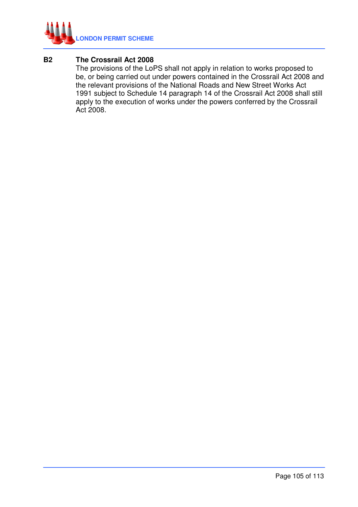

## **B2 The Crossrail Act 2008**

 The provisions of the LoPS shall not apply in relation to works proposed to be, or being carried out under powers contained in the Crossrail Act 2008 and the relevant provisions of the National Roads and New Street Works Act 1991 subject to Schedule 14 paragraph 14 of the Crossrail Act 2008 shall still apply to the execution of works under the powers conferred by the Crossrail Act 2008.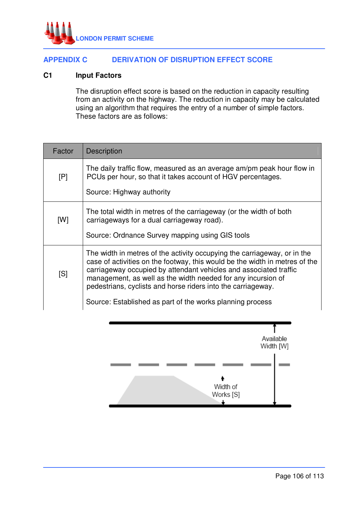

## **APPENDIX C DERIVATION OF DISRUPTION EFFECT SCORE**

### **C1 Input Factors**

 The disruption effect score is based on the reduction in capacity resulting from an activity on the highway. The reduction in capacity may be calculated using an algorithm that requires the entry of a number of simple factors. These factors are as follows:

| Factor | <b>Description</b>                                                                                                                                                                                                                                                                                                                                                                                                        |
|--------|---------------------------------------------------------------------------------------------------------------------------------------------------------------------------------------------------------------------------------------------------------------------------------------------------------------------------------------------------------------------------------------------------------------------------|
| [P]    | The daily traffic flow, measured as an average am/pm peak hour flow in<br>PCUs per hour, so that it takes account of HGV percentages.<br>Source: Highway authority                                                                                                                                                                                                                                                        |
| [W]    | The total width in metres of the carriageway (or the width of both<br>carriageways for a dual carriageway road).<br>Source: Ordnance Survey mapping using GIS tools                                                                                                                                                                                                                                                       |
| [S]    | The width in metres of the activity occupying the carriageway, or in the<br>case of activities on the footway, this would be the width in metres of the<br>carriageway occupied by attendant vehicles and associated traffic<br>management, as well as the width needed for any incursion of<br>pedestrians, cyclists and horse riders into the carriageway.<br>Source: Established as part of the works planning process |

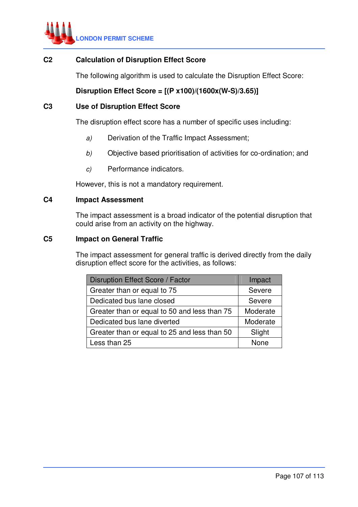

## **C2 Calculation of Disruption Effect Score**

The following algorithm is used to calculate the Disruption Effect Score:

# **Disruption Effect Score = [(P x100)/(1600x(W-S)/3.65)]**

## **C3 Use of Disruption Effect Score**

The disruption effect score has a number of specific uses including:

- a) Derivation of the Traffic Impact Assessment;
- b) Objective based prioritisation of activities for co-ordination; and
- c) Performance indicators.

However, this is not a mandatory requirement.

### **C4 Impact Assessment**

 The impact assessment is a broad indicator of the potential disruption that could arise from an activity on the highway.

### **C5 Impact on General Traffic**

 The impact assessment for general traffic is derived directly from the daily disruption effect score for the activities, as follows:

| Disruption Effect Score / Factor             | Impact   |  |
|----------------------------------------------|----------|--|
| Greater than or equal to 75                  | Severe   |  |
| Dedicated bus lane closed                    | Severe   |  |
| Greater than or equal to 50 and less than 75 | Moderate |  |
| Dedicated bus lane diverted                  | Moderate |  |
| Greater than or equal to 25 and less than 50 | Slight   |  |
| Less than 25                                 | None     |  |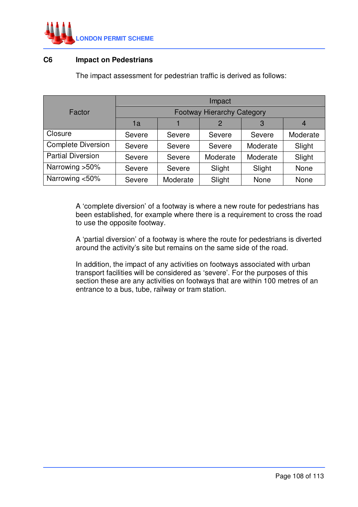

## **C6 Impact on Pedestrians**

The impact assessment for pedestrian traffic is derived as follows:

|                           | Impact                            |          |              |          |             |
|---------------------------|-----------------------------------|----------|--------------|----------|-------------|
| Factor                    | <b>Footway Hierarchy Category</b> |          |              |          |             |
|                           | 1a                                |          | $\mathcal P$ | 3        |             |
| Closure                   | Severe                            | Severe   | Severe       | Severe   | Moderate    |
| <b>Complete Diversion</b> | Severe                            | Severe   | Severe       | Moderate | Slight      |
| <b>Partial Diversion</b>  | Severe                            | Severe   | Moderate     | Moderate | Slight      |
| Narrowing > 50%           | Severe                            | Severe   | Slight       | Slight   | <b>None</b> |
| Narrowing <50%            | Severe                            | Moderate | Slight       | None     | None        |

 A 'complete diversion' of a footway is where a new route for pedestrians has been established, for example where there is a requirement to cross the road to use the opposite footway.

 A 'partial diversion' of a footway is where the route for pedestrians is diverted around the activity's site but remains on the same side of the road.

 In addition, the impact of any activities on footways associated with urban transport facilities will be considered as 'severe'. For the purposes of this section these are any activities on footways that are within 100 metres of an entrance to a bus, tube, railway or tram station.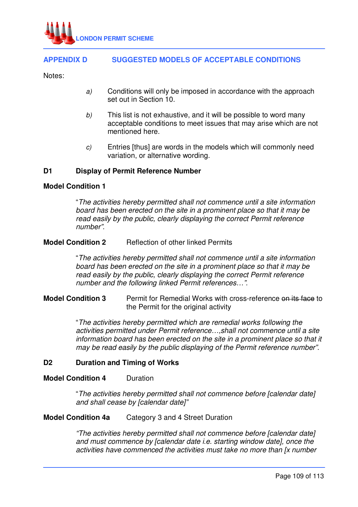

# **APPENDIX D SUGGESTED MODELS OF ACCEPTABLE CONDITIONS**

Notes:

- a) Conditions will only be imposed in accordance with the approach set out in Section 10.
- $b$ ) This list is not exhaustive, and it will be possible to word many acceptable conditions to meet issues that may arise which are not mentioned here.
- c) Entries [thus] are words in the models which will commonly need variation, or alternative wording.

# **D1 Display of Permit Reference Number**

#### **Model Condition 1**

"The activities hereby permitted shall not commence until a site information board has been erected on the site in a prominent place so that it may be read easily by the public, clearly displaying the correct Permit reference number".

#### **Model Condition 2** Reflection of other linked Permits

 "The activities hereby permitted shall not commence until a site information board has been erected on the site in a prominent place so that it may be read easily by the public, clearly displaying the correct Permit reference number and the following linked Permit references…".

# **Model Condition 3** Permit for Remedial Works with cross-reference on its face to the Permit for the original activity

"The activities hereby permitted which are remedial works following the activities permitted under Permit reference…,shall not commence until a site information board has been erected on the site in a prominent place so that it may be read easily by the public displaying of the Permit reference number".

#### **D2 Duration and Timing of Works**

# **Model Condition 4** Duration

 "The activities hereby permitted shall not commence before [calendar date] and shall cease by [calendar date]"

#### **Model Condition 4a** Category 3 and 4 Street Duration

 "The activities hereby permitted shall not commence before [calendar date] and must commence by [calendar date i.e. starting window date], once the activities have commenced the activities must take no more than [x number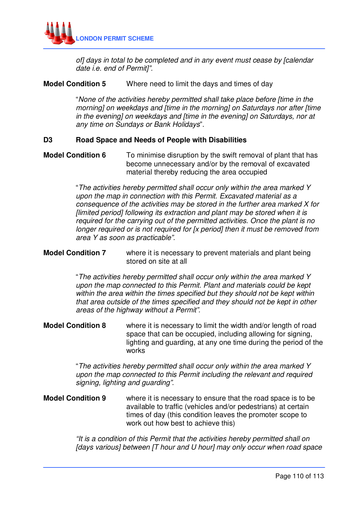

of] days in total to be completed and in any event must cease by [calendar date i.e. end of Permit]".

# **Model Condition 5** Where need to limit the days and times of day

 "None of the activities hereby permitted shall take place before [time in the morning] on weekdays and [time in the morning] on Saturdays nor after [time in the evening] on weekdays and [time in the evening] on Saturdays, nor at any time on Sundays or Bank Holidays".

#### **D3 Road Space and Needs of People with Disabilities**

# **Model Condition 6** To minimise disruption by the swift removal of plant that has become unnecessary and/or by the removal of excavated material thereby reducing the area occupied

 "The activities hereby permitted shall occur only within the area marked Y upon the map in connection with this Permit. Excavated material as a consequence of the activities may be stored in the further area marked X for [limited period] following its extraction and plant may be stored when it is required for the carrying out of the permitted activities. Once the plant is no longer required or is not required for [x period] then it must be removed from area Y as soon as practicable".

#### **Model Condition 7** where it is necessary to prevent materials and plant being stored on site at all

 "The activities hereby permitted shall occur only within the area marked Y upon the map connected to this Permit. Plant and materials could be kept within the area within the times specified but they should not be kept within that area outside of the times specified and they should not be kept in other areas of the highway without a Permit".

# **Model Condition 8** where it is necessary to limit the width and/or length of road space that can be occupied, including allowing for signing, lighting and guarding, at any one time during the period of the works

 "The activities hereby permitted shall occur only within the area marked Y upon the map connected to this Permit including the relevant and required signing, lighting and guarding".

# **Model Condition 9** where it is necessary to ensure that the road space is to be available to traffic (vehicles and/or pedestrians) at certain times of day (this condition leaves the promoter scope to work out how best to achieve this)

"It is a condition of this Permit that the activities hereby permitted shall on [days various] between [T hour and U hour] may only occur when road space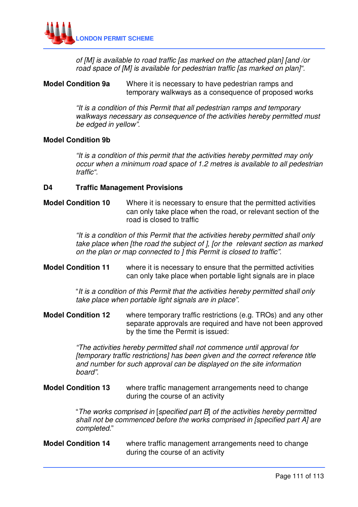

of [M] is available to road traffic [as marked on the attached plan] [and /or road space of [M] is available for pedestrian traffic [as marked on plan]".

# **Model Condition 9a** Where it is necessary to have pedestrian ramps and temporary walkways as a consequence of proposed works

"It is a condition of this Permit that all pedestrian ramps and temporary walkways necessary as consequence of the activities hereby permitted must be edged in yellow".

#### **Model Condition 9b**

"It is a condition of this permit that the activities hereby permitted may only occur when a minimum road space of 1.2 metres is available to all pedestrian traffic".

#### **D4 Traffic Management Provisions**

# **Model Condition 10** Where it is necessary to ensure that the permitted activities can only take place when the road, or relevant section of the road is closed to traffic

"It is a condition of this Permit that the activities hereby permitted shall only take place when [the road the subject of ], [or the relevant section as marked on the plan or map connected to ] this Permit is closed to traffic".

# **Model Condition 11** where it is necessary to ensure that the permitted activities can only take place when portable light signals are in place

"It is a condition of this Permit that the activities hereby permitted shall only take place when portable light signals are in place".

**Model Condition 12** where temporary traffic restrictions (e.g. TROs) and any other separate approvals are required and have not been approved by the time the Permit is issued:

> "The activities hereby permitted shall not commence until approval for [temporary traffic restrictions] has been given and the correct reference title and number for such approval can be displayed on the site information board".

**Model Condition 13** where traffic management arrangements need to change during the course of an activity

> "The works comprised in [specified part B] of the activities hereby permitted shall not be commenced before the works comprised in [specified part A] are completed."

**Model Condition 14** where traffic management arrangements need to change during the course of an activity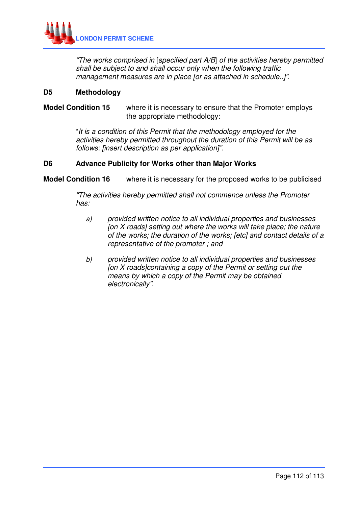

 "The works comprised in [specified part A/B] of the activities hereby permitted shall be subject to and shall occur only when the following traffic management measures are in place for as attached in schedule..!".

#### **D5 Methodology**

# **Model Condition 15** where it is necessary to ensure that the Promoter employs the appropriate methodology:

 "It is a condition of this Permit that the methodology employed for the activities hereby permitted throughout the duration of this Permit will be as follows: [insert description as per application]".

# **D6 Advance Publicity for Works other than Major Works**

**Model Condition 16** where it is necessary for the proposed works to be publicised

 "The activities hereby permitted shall not commence unless the Promoter has:

- a) provided written notice to all individual properties and businesses [on  $X$  roads] setting out where the works will take place; the nature of the works; the duration of the works; [etc] and contact details of a representative of the promoter ; and
- b) provided written notice to all individual properties and businesses [on X roads]containing a copy of the Permit or setting out the means by which a copy of the Permit may be obtained electronically".